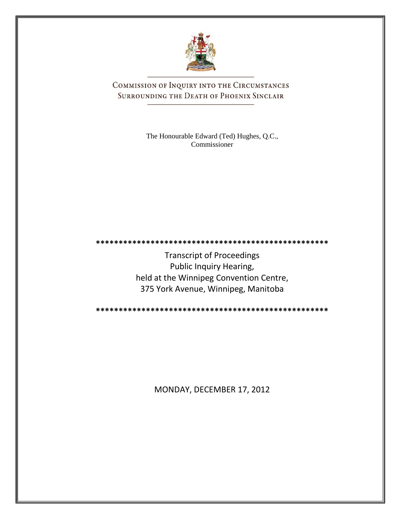

COMMISSION OF INQUIRY INTO THE CIRCUMSTANCES SURROUNDING THE DEATH OF PHOENIX SINCLAIR

> The Honourable Edward (Ted) Hughes, Q.C., Commissioner

Transcript of Proceedings Public Inquiry Hearing, held at the Winnipeg Convention Centre, 375 York Avenue, Winnipeg, Manitoba

**\*\*\*\*\*\*\*\*\*\*\*\*\*\*\*\*\*\*\*\*\*\*\*\*\*\*\*\*\*\*\*\*\*\*\*\*\*\*\*\*\*\*\*\*\*\*\*\*\*\*\***

**\*\*\*\*\*\*\*\*\*\*\*\*\*\*\*\*\*\*\*\*\*\*\*\*\*\*\*\*\*\*\*\*\*\*\*\*\*\*\*\*\*\*\*\*\*\*\*\*\*\*\***

MONDAY, DECEMBER 17, 2012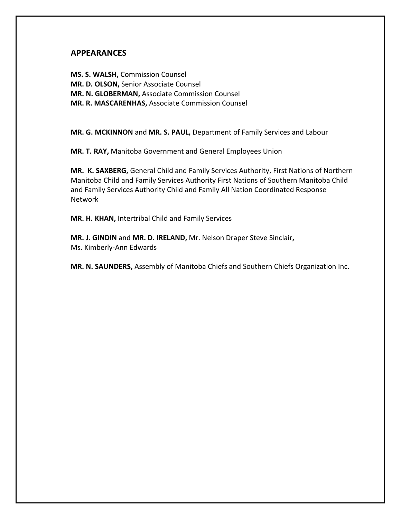## **APPEARANCES**

**MS. S. WALSH,** Commission Counsel **MR. D. OLSON,** Senior Associate Counsel **MR. N. GLOBERMAN,** Associate Commission Counsel **MR. R. MASCARENHAS,** Associate Commission Counsel

**MR. G. MCKINNON** and **MR. S. PAUL,** Department of Family Services and Labour

**MR. T. RAY,** Manitoba Government and General Employees Union

**MR. K. SAXBERG,** General Child and Family Services Authority, First Nations of Northern Manitoba Child and Family Services Authority First Nations of Southern Manitoba Child and Family Services Authority Child and Family All Nation Coordinated Response Network

**MR. H. KHAN,** Intertribal Child and Family Services

**MR. J. GINDIN** and **MR. D. IRELAND,** Mr. Nelson Draper Steve Sinclair**,** Ms. Kimberly-Ann Edwards

**MR. N. SAUNDERS,** Assembly of Manitoba Chiefs and Southern Chiefs Organization Inc.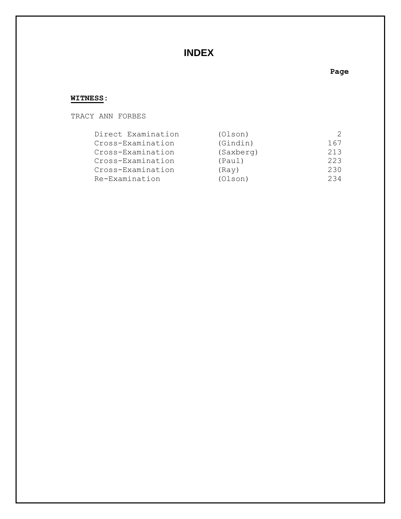## **INDEX**

## **Page**

## **WITNESS:**

TRACY ANN FORBES

| Direct Examination | (Olson)   |     |
|--------------------|-----------|-----|
| Cross-Examination  | (Gindin)  | 167 |
| Cross-Examination  | (Saxberg) | 213 |
| Cross-Examination  | (Paul)    | 223 |
| Cross-Examination  | (Rav)     | 230 |
| Re-Examination     | (Olson)   | 234 |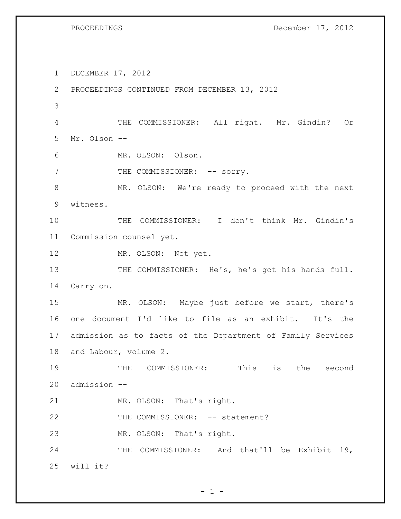PROCEEDINGS December 17, 2012

 DECEMBER 17, 2012 PROCEEDINGS CONTINUED FROM DECEMBER 13, 2012 THE COMMISSIONER: All right. Mr. Gindin? Or Mr. Olson -- MR. OLSON: Olson. 7 THE COMMISSIONER: -- sorry. 8 MR. OLSON: We're ready to proceed with the next witness. THE COMMISSIONER: I don't think Mr. Gindin's Commission counsel yet. 12 MR. OLSON: Not yet. 13 THE COMMISSIONER: He's, he's got his hands full. Carry on. MR. OLSON: Maybe just before we start, there's one document I'd like to file as an exhibit. It's the admission as to facts of the Department of Family Services and Labour, volume 2. THE COMMISSIONER: This is the second admission -- MR. OLSON: That's right. 22 THE COMMISSIONER: -- statement? MR. OLSON: That's right. THE COMMISSIONER: And that'll be Exhibit 19, will it?

 $- 1 -$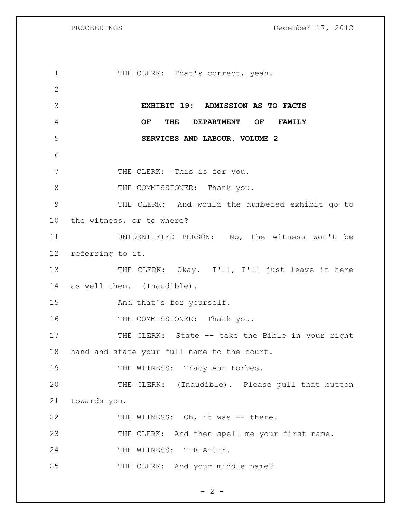PROCEEDINGS December 17, 2012

1 THE CLERK: That's correct, yeah. 2 3 **EXHIBIT 19: ADMISSION AS TO FACTS**  4 **OF THE DEPARTMENT OF FAMILY**  5 **SERVICES AND LABOUR, VOLUME 2** 6 7 THE CLERK: This is for you. 8 THE COMMISSIONER: Thank you. 9 THE CLERK: And would the numbered exhibit go to 10 the witness, or to where? 11 UNIDENTIFIED PERSON: No, the witness won't be 12 referring to it. 13 THE CLERK: Okay. I'll, I'll just leave it here 14 as well then. (Inaudible). 15 And that's for yourself. 16 THE COMMISSIONER: Thank you. 17 THE CLERK: State -- take the Bible in your right 18 hand and state your full name to the court. 19 THE WITNESS: Tracy Ann Forbes. 20 THE CLERK: (Inaudible). Please pull that button 21 towards you. 22 THE WITNESS: Oh, it was -- there. 23 THE CLERK: And then spell me your first name. 24 THE WITNESS: T-R-A-C-Y. 25 THE CLERK: And your middle name?

 $- 2 -$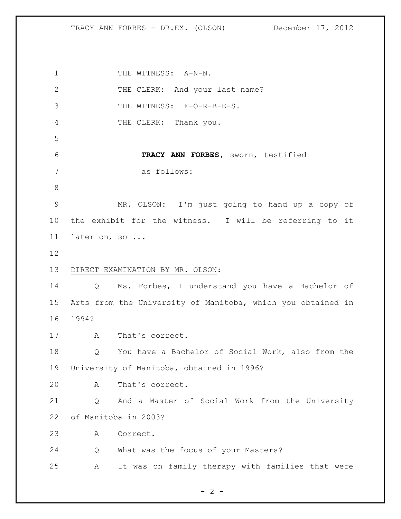1 THE WITNESS: A-N-N. 2 THE CLERK: And your last name? 3 THE WITNESS: F-O-R-B-E-S. THE CLERK: Thank you. **TRACY ANN FORBES,** sworn, testified as follows: MR. OLSON: I'm just going to hand up a copy of the exhibit for the witness. I will be referring to it later on, so ... DIRECT EXAMINATION BY MR. OLSON: Q Ms. Forbes, I understand you have a Bachelor of Arts from the University of Manitoba, which you obtained in 1994? A That's correct. Q You have a Bachelor of Social Work, also from the University of Manitoba, obtained in 1996? A That's correct. Q And a Master of Social Work from the University of Manitoba in 2003? A Correct. Q What was the focus of your Masters? A It was on family therapy with families that were

 $- 2 -$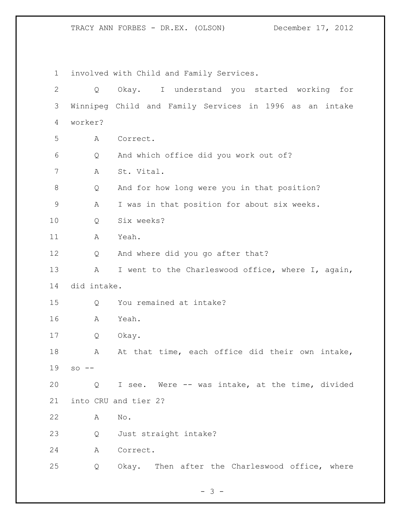involved with Child and Family Services. Q Okay. I understand you started working for Winnipeg Child and Family Services in 1996 as an intake worker? A Correct. Q And which office did you work out of? A St. Vital. Q And for how long were you in that position? A I was in that position for about six weeks. Q Six weeks? A Yeah. Q And where did you go after that? 13 A I went to the Charleswood office, where I, again, did intake. Q You remained at intake? A Yeah. Q Okay. 18 A At that time, each office did their own intake, so -- Q I see. Were -- was intake, at the time, divided into CRU and tier 2? A No. Q Just straight intake? A Correct. Q Okay. Then after the Charleswood office, where

 $- 3 -$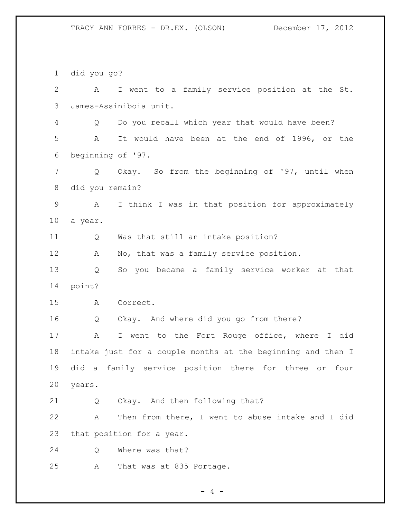did you go? A I went to a family service position at the St. James-Assiniboia unit. Q Do you recall which year that would have been? A It would have been at the end of 1996, or the beginning of '97. Q Okay. So from the beginning of '97, until when did you remain? A I think I was in that position for approximately a year. Q Was that still an intake position? 12 A No, that was a family service position. Q So you became a family service worker at that point? A Correct. Q Okay. And where did you go from there? A I went to the Fort Rouge office, where I did intake just for a couple months at the beginning and then I did a family service position there for three or four years. Q Okay. And then following that? A Then from there, I went to abuse intake and I did that position for a year. Q Where was that? A That was at 835 Portage.

 $- 4 -$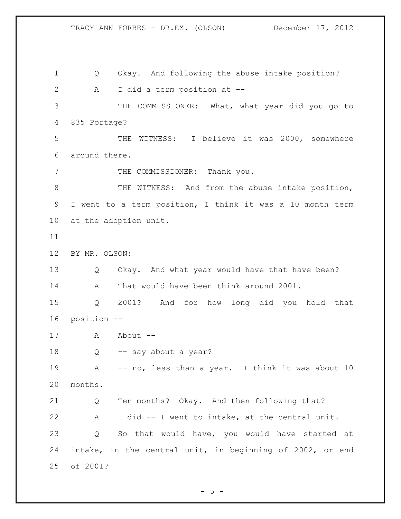Q Okay. And following the abuse intake position? A I did a term position at -- THE COMMISSIONER: What, what year did you go to 835 Portage? THE WITNESS: I believe it was 2000, somewhere around there. 7 THE COMMISSIONER: Thank you. 8 THE WITNESS: And from the abuse intake position, I went to a term position, I think it was a 10 month term at the adoption unit. BY MR. OLSON: Q Okay. And what year would have that have been? A That would have been think around 2001. Q 2001? And for how long did you hold that position -- 17 A About -- Q -- say about a year? 19 A -- no, less than a year. I think it was about 10 months. Q Ten months? Okay. And then following that? A I did -- I went to intake, at the central unit. Q So that would have, you would have started at intake, in the central unit, in beginning of 2002, or end of 2001?

 $-5 -$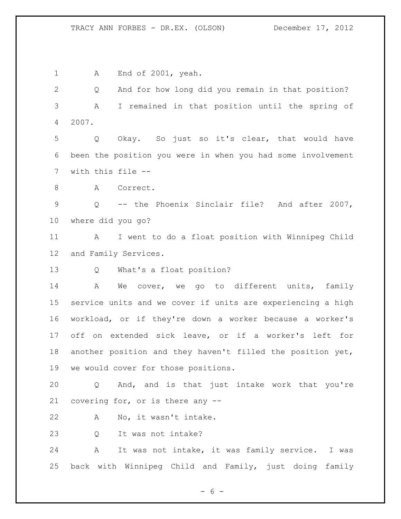1 A End of 2001, yeah. Q And for how long did you remain in that position? A I remained in that position until the spring of 2007. Q Okay. So just so it's clear, that would have been the position you were in when you had some involvement with this file -- 8 A Correct. Q -- the Phoenix Sinclair file? And after 2007, where did you go? A I went to do a float position with Winnipeg Child and Family Services. Q What's a float position? A We cover, we go to different units, family service units and we cover if units are experiencing a high workload, or if they're down a worker because a worker's off on extended sick leave, or if a worker's left for another position and they haven't filled the position yet, we would cover for those positions. Q And, and is that just intake work that you're covering for, or is there any -- A No, it wasn't intake. Q It was not intake? A It was not intake, it was family service. I was back with Winnipeg Child and Family, just doing family

 $- 6 -$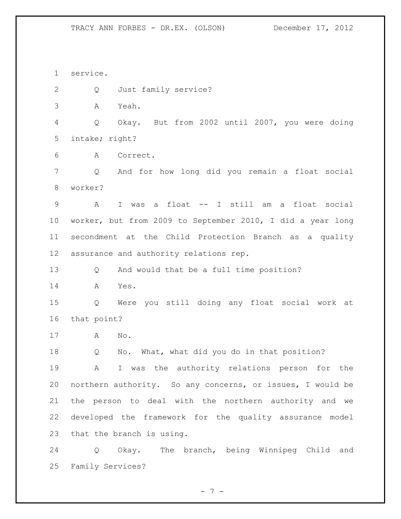service.

Q Just family service?

A Yeah.

 Q Okay. But from 2002 until 2007, you were doing intake; right?

A Correct.

 Q And for how long did you remain a float social worker?

 A I was a float -- I still am a float social worker, but from 2009 to September 2010, I did a year long secondment at the Child Protection Branch as a quality assurance and authority relations rep.

Q And would that be a full time position?

A Yes.

 Q Were you still doing any float social work at that point?

A No.

Q No. What, what did you do in that position?

 A I was the authority relations person for the northern authority. So any concerns, or issues, I would be the person to deal with the northern authority and we developed the framework for the quality assurance model that the branch is using.

 Q Okay. The branch, being Winnipeg Child and Family Services?

- 7 -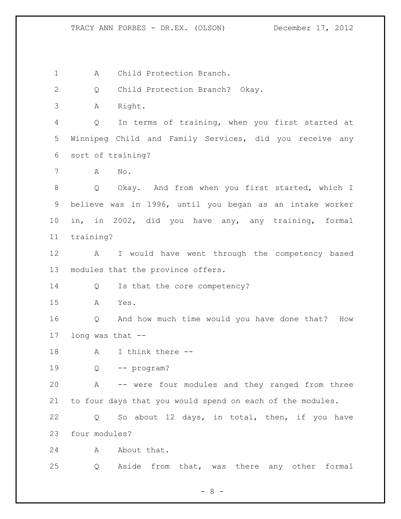1 A Child Protection Branch.

Q Child Protection Branch? Okay.

A Right.

 Q In terms of training, when you first started at Winnipeg Child and Family Services, did you receive any sort of training?

A No.

 Q Okay. And from when you first started, which I believe was in 1996, until you began as an intake worker in, in 2002, did you have any, any training, formal training?

 A I would have went through the competency based modules that the province offers.

14 Q Is that the core competency?

A Yes.

 Q And how much time would you have done that? How long was that --

A I think there --

Q -- program?

 A -- were four modules and they ranged from three to four days that you would spend on each of the modules.

 Q So about 12 days, in total, then, if you have four modules?

24 A About that.

Q Aside from that, was there any other formal

- 8 -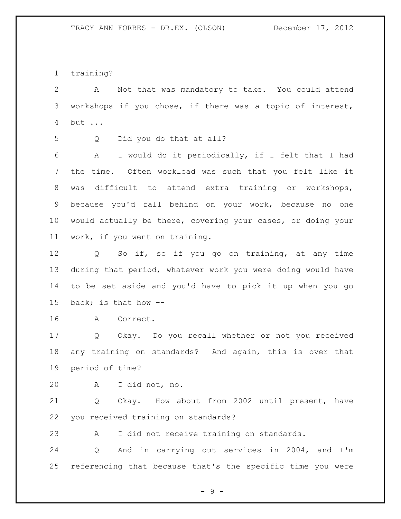training?

 A Not that was mandatory to take. You could attend workshops if you chose, if there was a topic of interest, but ...

Q Did you do that at all?

 A I would do it periodically, if I felt that I had the time. Often workload was such that you felt like it was difficult to attend extra training or workshops, because you'd fall behind on your work, because no one would actually be there, covering your cases, or doing your work, if you went on training.

 Q So if, so if you go on training, at any time during that period, whatever work you were doing would have to be set aside and you'd have to pick it up when you go back; is that how --

A Correct.

 Q Okay. Do you recall whether or not you received any training on standards? And again, this is over that period of time?

A I did not, no.

 Q Okay. How about from 2002 until present, have you received training on standards?

A I did not receive training on standards.

 Q And in carrying out services in 2004, and I'm referencing that because that's the specific time you were

 $-9 -$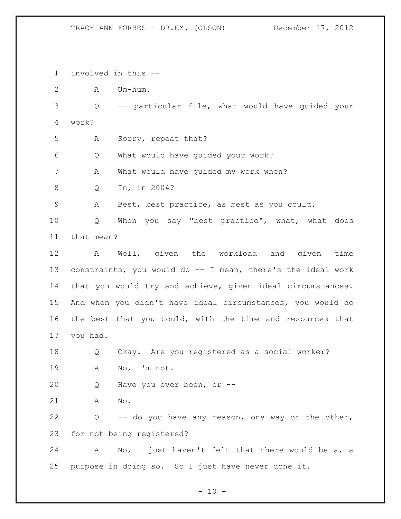involved in this --

A Um-hum.

 Q -- particular file, what would have guided your work?

A Sorry, repeat that?

Q What would have guided your work?

A What would have guided my work when?

Q In, in 2004?

A Best, best practice, as best as you could.

 Q When you say "best practice", what, what does that mean?

 A Well, given the workload and given time constraints, you would do -- I mean, there's the ideal work that you would try and achieve, given ideal circumstances. And when you didn't have ideal circumstances, you would do the best that you could, with the time and resources that you had.

 Q Okay. Are you registered as a social worker? A No, I'm not.

Q Have you ever been, or --

A No.

 Q -- do you have any reason, one way or the other, for not being registered?

 A No, I just haven't felt that there would be a, a purpose in doing so. So I just have never done it.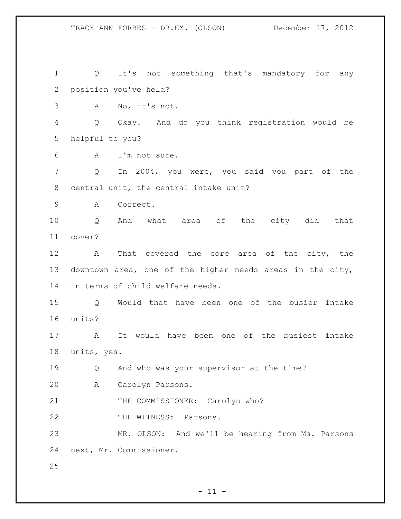Q It's not something that's mandatory for any position you've held? A No, it's not. Q Okay. And do you think registration would be helpful to you? A I'm not sure. Q In 2004, you were, you said you part of the central unit, the central intake unit? A Correct. Q And what area of the city did that cover? A That covered the core area of the city, the downtown area, one of the higher needs areas in the city, in terms of child welfare needs. Q Would that have been one of the busier intake units? A It would have been one of the busiest intake units, yes. Q And who was your supervisor at the time? A Carolyn Parsons. 21 THE COMMISSIONER: Carolyn who? 22 THE WITNESS: Parsons. MR. OLSON: And we'll be hearing from Ms. Parsons next, Mr. Commissioner. 

 $- 11 -$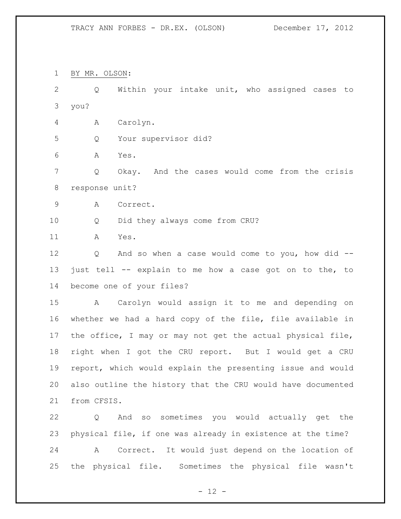BY MR. OLSON:

 Q Within your intake unit, who assigned cases to you?

A Carolyn.

Q Your supervisor did?

A Yes.

 Q Okay. And the cases would come from the crisis response unit?

A Correct.

Q Did they always come from CRU?

A Yes.

 Q And so when a case would come to you, how did -- just tell -- explain to me how a case got on to the, to become one of your files?

 A Carolyn would assign it to me and depending on whether we had a hard copy of the file, file available in the office, I may or may not get the actual physical file, right when I got the CRU report. But I would get a CRU report, which would explain the presenting issue and would also outline the history that the CRU would have documented from CFSIS.

 Q And so sometimes you would actually get the physical file, if one was already in existence at the time? A Correct. It would just depend on the location of the physical file. Sometimes the physical file wasn't

 $- 12 -$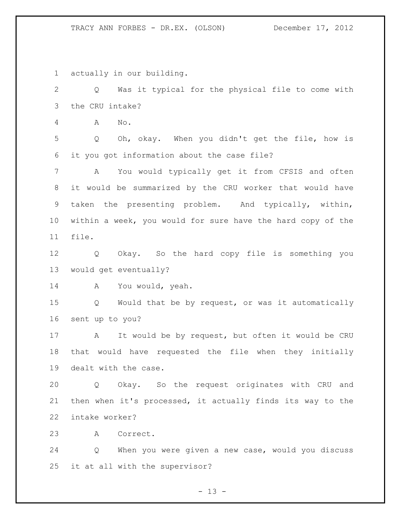actually in our building.

 Q Was it typical for the physical file to come with the CRU intake?

A No.

 Q Oh, okay. When you didn't get the file, how is it you got information about the case file?

 A You would typically get it from CFSIS and often it would be summarized by the CRU worker that would have taken the presenting problem. And typically, within, within a week, you would for sure have the hard copy of the file.

 Q Okay. So the hard copy file is something you would get eventually?

A You would, yeah.

 Q Would that be by request, or was it automatically sent up to you?

 A It would be by request, but often it would be CRU that would have requested the file when they initially dealt with the case.

 Q Okay. So the request originates with CRU and then when it's processed, it actually finds its way to the intake worker?

A Correct.

 Q When you were given a new case, would you discuss it at all with the supervisor?

 $- 13 -$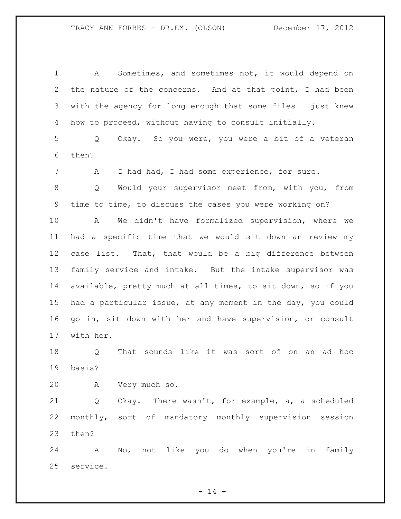A Sometimes, and sometimes not, it would depend on the nature of the concerns. And at that point, I had been with the agency for long enough that some files I just knew how to proceed, without having to consult initially. Q Okay. So you were, you were a bit of a veteran then? A I had had, I had some experience, for sure. Q Would your supervisor meet from, with you, from time to time, to discuss the cases you were working on? A We didn't have formalized supervision, where we had a specific time that we would sit down an review my case list. That, that would be a big difference between family service and intake. But the intake supervisor was available, pretty much at all times, to sit down, so if you had a particular issue, at any moment in the day, you could go in, sit down with her and have supervision, or consult with her. Q That sounds like it was sort of on an ad hoc basis? A Very much so. Q Okay. There wasn't, for example, a, a scheduled monthly, sort of mandatory monthly supervision session then? A No, not like you do when you're in family service.

 $- 14 -$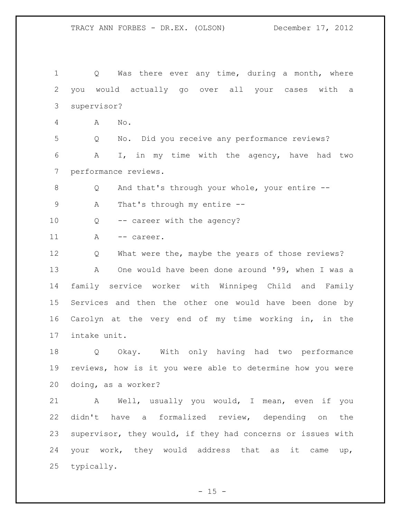1 Q Was there ever any time, during a month, where you would actually go over all your cases with a supervisor? A No. Q No. Did you receive any performance reviews? A I, in my time with the agency, have had two performance reviews. Q And that's through your whole, your entire -- A That's through my entire -- 10 Q -- career with the agency? 11 A -- career. Q What were the, maybe the years of those reviews? A One would have been done around '99, when I was a family service worker with Winnipeg Child and Family Services and then the other one would have been done by Carolyn at the very end of my time working in, in the intake unit. Q Okay. With only having had two performance reviews, how is it you were able to determine how you were doing, as a worker? A Well, usually you would, I mean, even if you didn't have a formalized review, depending on the supervisor, they would, if they had concerns or issues with your work, they would address that as it came up, typically.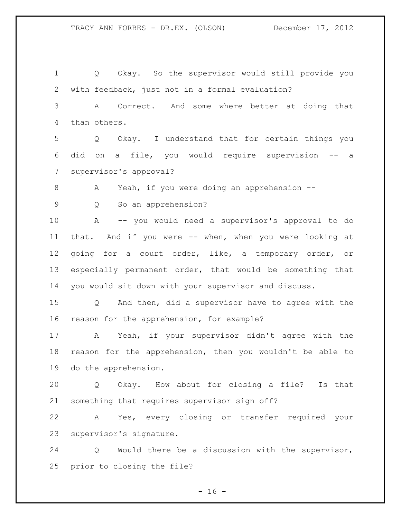Q Okay. So the supervisor would still provide you with feedback, just not in a formal evaluation? A Correct. And some where better at doing that than others. Q Okay. I understand that for certain things you did on a file, you would require supervision -- a supervisor's approval? 8 A Yeah, if you were doing an apprehension -- Q So an apprehension? A -- you would need a supervisor's approval to do that. And if you were -- when, when you were looking at going for a court order, like, a temporary order, or especially permanent order, that would be something that you would sit down with your supervisor and discuss. Q And then, did a supervisor have to agree with the reason for the apprehension, for example? A Yeah, if your supervisor didn't agree with the reason for the apprehension, then you wouldn't be able to do the apprehension. Q Okay. How about for closing a file? Is that something that requires supervisor sign off? A Yes, every closing or transfer required your supervisor's signature. Q Would there be a discussion with the supervisor,

prior to closing the file?

 $- 16 -$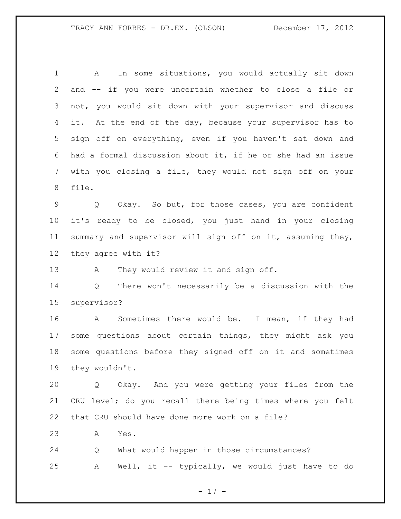A In some situations, you would actually sit down and -- if you were uncertain whether to close a file or not, you would sit down with your supervisor and discuss 4 it. At the end of the day, because your supervisor has to sign off on everything, even if you haven't sat down and had a formal discussion about it, if he or she had an issue with you closing a file, they would not sign off on your file.

 Q Okay. So but, for those cases, you are confident it's ready to be closed, you just hand in your closing summary and supervisor will sign off on it, assuming they, they agree with it?

13 A They would review it and sign off.

 Q There won't necessarily be a discussion with the supervisor?

 A Sometimes there would be. I mean, if they had some questions about certain things, they might ask you some questions before they signed off on it and sometimes they wouldn't.

 Q Okay. And you were getting your files from the CRU level; do you recall there being times where you felt that CRU should have done more work on a file?

A Yes.

 Q What would happen in those circumstances? A Well, it -- typically, we would just have to do

- 17 -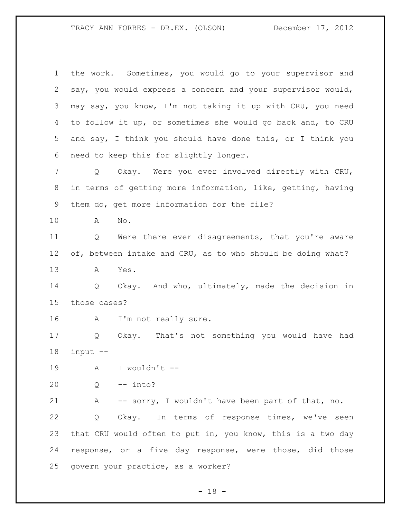the work. Sometimes, you would go to your supervisor and say, you would express a concern and your supervisor would, may say, you know, I'm not taking it up with CRU, you need to follow it up, or sometimes she would go back and, to CRU and say, I think you should have done this, or I think you need to keep this for slightly longer. Q Okay. Were you ever involved directly with CRU, in terms of getting more information, like, getting, having them do, get more information for the file? A No. Q Were there ever disagreements, that you're aware 12 of, between intake and CRU, as to who should be doing what? A Yes. Q Okay. And who, ultimately, made the decision in those cases? A I'm not really sure. Q Okay. That's not something you would have had input -- A I wouldn't -- Q -- into? A -- sorry, I wouldn't have been part of that, no. Q Okay. In terms of response times, we've seen that CRU would often to put in, you know, this is a two day response, or a five day response, were those, did those govern your practice, as a worker?

 $- 18 -$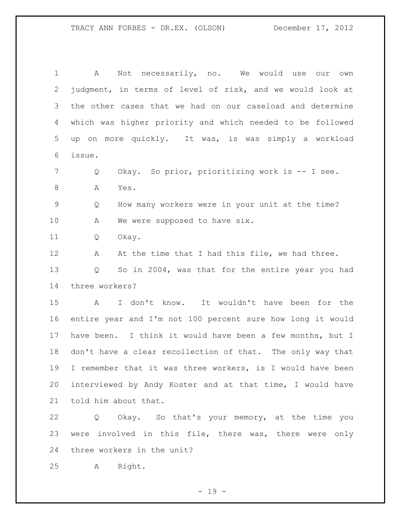A Not necessarily, no. We would use our own judgment, in terms of level of risk, and we would look at the other cases that we had on our caseload and determine which was higher priority and which needed to be followed up on more quickly. It was, is was simply a workload issue. Q Okay. So prior, prioritizing work is -- I see. 8 A Yes. Q How many workers were in your unit at the time? 10 A We were supposed to have six. Q Okay. 12 A At the time that I had this file, we had three. Q So in 2004, was that for the entire year you had three workers? A I don't know. It wouldn't have been for the entire year and I'm not 100 percent sure how long it would have been. I think it would have been a few months, but I don't have a clear recollection of that. The only way that I remember that it was three workers, is I would have been interviewed by Andy Koster and at that time, I would have told him about that. Q Okay. So that's your memory, at the time you

 were involved in this file, there was, there were only three workers in the unit?

A Right.

 $- 19 -$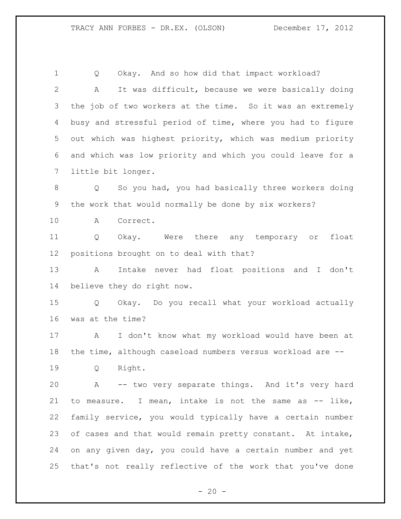Q Okay. And so how did that impact workload? A It was difficult, because we were basically doing the job of two workers at the time. So it was an extremely busy and stressful period of time, where you had to figure out which was highest priority, which was medium priority and which was low priority and which you could leave for a little bit longer. Q So you had, you had basically three workers doing the work that would normally be done by six workers? A Correct. Q Okay. Were there any temporary or float positions brought on to deal with that? A Intake never had float positions and I don't believe they do right now. Q Okay. Do you recall what your workload actually was at the time? A I don't know what my workload would have been at the time, although caseload numbers versus workload are -- Q Right. A -- two very separate things. And it's very hard to measure. I mean, intake is not the same as -- like, family service, you would typically have a certain number of cases and that would remain pretty constant. At intake, on any given day, you could have a certain number and yet that's not really reflective of the work that you've done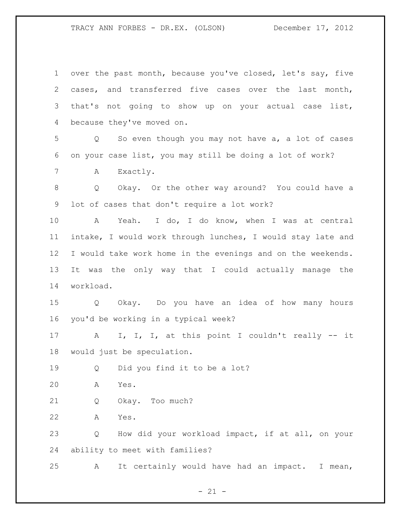over the past month, because you've closed, let's say, five cases, and transferred five cases over the last month, that's not going to show up on your actual case list, because they've moved on. Q So even though you may not have a, a lot of cases on your case list, you may still be doing a lot of work? 7 A Exactly. Q Okay. Or the other way around? You could have a lot of cases that don't require a lot work? A Yeah. I do, I do know, when I was at central intake, I would work through lunches, I would stay late and I would take work home in the evenings and on the weekends. It was the only way that I could actually manage the workload. Q Okay. Do you have an idea of how many hours you'd be working in a typical week? A I, I, I, at this point I couldn't really -- it would just be speculation. Q Did you find it to be a lot? A Yes. Q Okay. Too much? A Yes. Q How did your workload impact, if at all, on your ability to meet with families? A It certainly would have had an impact. I mean,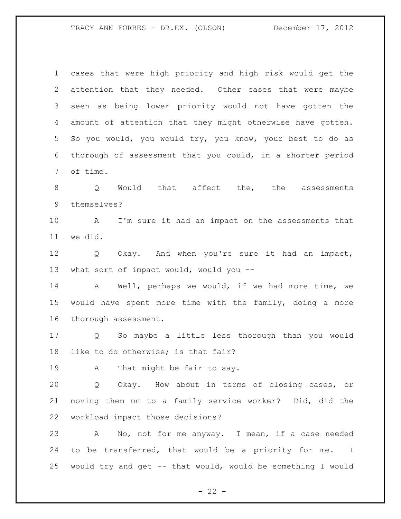cases that were high priority and high risk would get the attention that they needed. Other cases that were maybe seen as being lower priority would not have gotten the amount of attention that they might otherwise have gotten. So you would, you would try, you know, your best to do as thorough of assessment that you could, in a shorter period of time. 8 0 Would that affect the, the assessments themselves? A I'm sure it had an impact on the assessments that we did. Q Okay. And when you're sure it had an impact, 13 what sort of impact would, would you -- A Well, perhaps we would, if we had more time, we would have spent more time with the family, doing a more thorough assessment. Q So maybe a little less thorough than you would like to do otherwise; is that fair? 19 A That might be fair to say. Q Okay. How about in terms of closing cases, or moving them on to a family service worker? Did, did the workload impact those decisions? A No, not for me anyway. I mean, if a case needed to be transferred, that would be a priority for me. I would try and get -- that would, would be something I would

 $- 22 -$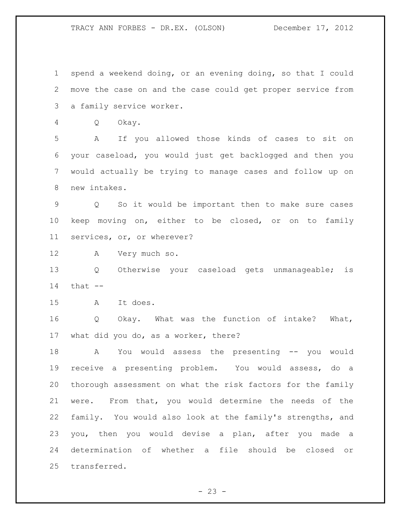spend a weekend doing, or an evening doing, so that I could move the case on and the case could get proper service from a family service worker.

Q Okay.

 A If you allowed those kinds of cases to sit on your caseload, you would just get backlogged and then you would actually be trying to manage cases and follow up on new intakes.

 Q So it would be important then to make sure cases keep moving on, either to be closed, or on to family services, or, or wherever?

A Very much so.

 Q Otherwise your caseload gets unmanageable; is that  $-$ 

A It does.

 Q Okay. What was the function of intake? What, what did you do, as a worker, there?

 A You would assess the presenting -- you would receive a presenting problem. You would assess, do a thorough assessment on what the risk factors for the family were. From that, you would determine the needs of the family. You would also look at the family's strengths, and you, then you would devise a plan, after you made a determination of whether a file should be closed or transferred.

 $- 23 -$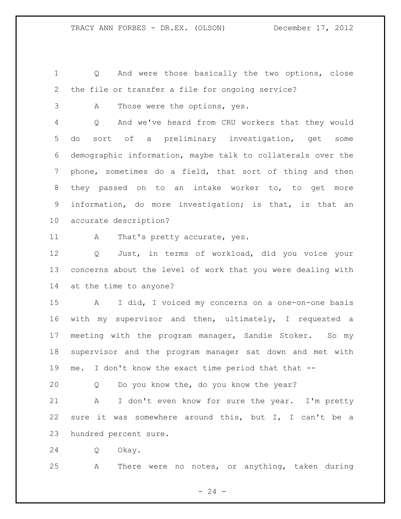Q And were those basically the two options, close the file or transfer a file for ongoing service?

A Those were the options, yes.

 Q And we've heard from CRU workers that they would do sort of a preliminary investigation, get some demographic information, maybe talk to collaterals over the phone, sometimes do a field, that sort of thing and then they passed on to an intake worker to, to get more information, do more investigation; is that, is that an accurate description?

11 A That's pretty accurate, yes.

 Q Just, in terms of workload, did you voice your concerns about the level of work that you were dealing with at the time to anyone?

 A I did, I voiced my concerns on a one-on-one basis with my supervisor and then, ultimately, I requested a meeting with the program manager, Sandie Stoker. So my supervisor and the program manager sat down and met with 19 me. I don't know the exact time period that that --

Q Do you know the, do you know the year?

 A I don't even know for sure the year. I'm pretty sure it was somewhere around this, but I, I can't be a hundred percent sure.

Q Okay.

A There were no notes, or anything, taken during

 $- 24 -$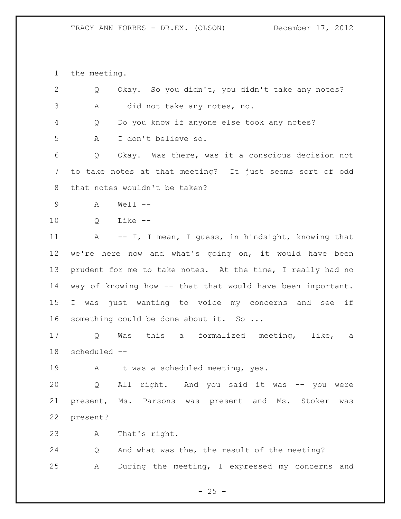the meeting.

| $\mathbf{2}$ | Q                 | Okay. So you didn't, you didn't take any notes?            |
|--------------|-------------------|------------------------------------------------------------|
| 3            | Α                 | I did not take any notes, no.                              |
| 4            | Q                 | Do you know if anyone else took any notes?                 |
| 5            | Α                 | I don't believe so.                                        |
| 6            | Q                 | Okay. Was there, was it a conscious decision not           |
| 7            |                   | to take notes at that meeting? It just seems sort of odd   |
| 8            |                   | that notes wouldn't be taken?                              |
| 9            | A                 | $Well --$                                                  |
| 10           | Q                 | $Like --$                                                  |
| 11           |                   | A -- I, I mean, I guess, in hindsight, knowing that        |
| 12           |                   | we're here now and what's going on, it would have been     |
| 13           |                   | prudent for me to take notes. At the time, I really had no |
| 14           |                   | way of knowing how -- that that would have been important. |
| 15           |                   | I was just wanting to voice my concerns and see if         |
| 16           |                   | something could be done about it. So                       |
| 17           | Q                 | Was this a formalized meeting, like, a                     |
| 18           | scheduled --      |                                                            |
| 19           | A                 | It was a scheduled meeting, yes.                           |
| 20           | $Q \qquad \qquad$ | All right. And you said it was -- you were                 |
| 21           |                   | present, Ms. Parsons was present and Ms. Stoker<br>was     |
| 22           | present?          |                                                            |
| 23           | А                 | That's right.                                              |
| 24           | Q                 | And what was the, the result of the meeting?               |
| 25           | Α                 | During the meeting, I expressed my concerns and            |

- 25 -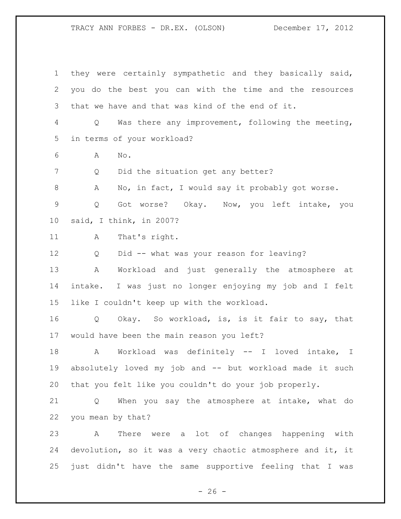they were certainly sympathetic and they basically said, you do the best you can with the time and the resources that we have and that was kind of the end of it. Q Was there any improvement, following the meeting, in terms of your workload? A No. 7 Q Did the situation get any better? 8 A No, in fact, I would say it probably got worse. Q Got worse? Okay. Now, you left intake, you said, I think, in 2007? 11 A That's right. Q Did -- what was your reason for leaving? A Workload and just generally the atmosphere at intake. I was just no longer enjoying my job and I felt like I couldn't keep up with the workload. Q Okay. So workload, is, is it fair to say, that would have been the main reason you left? A Workload was definitely -- I loved intake, I absolutely loved my job and -- but workload made it such that you felt like you couldn't do your job properly. Q When you say the atmosphere at intake, what do you mean by that? A There were a lot of changes happening with devolution, so it was a very chaotic atmosphere and it, it just didn't have the same supportive feeling that I was

 $- 26 -$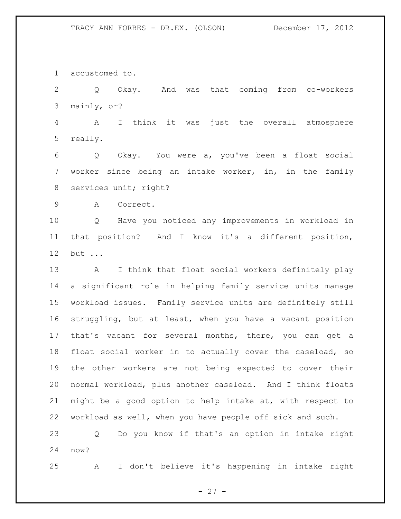accustomed to.

 Q Okay. And was that coming from co-workers mainly, or?

 A I think it was just the overall atmosphere really.

 Q Okay. You were a, you've been a float social worker since being an intake worker, in, in the family 8 services unit; right?

A Correct.

 Q Have you noticed any improvements in workload in that position? And I know it's a different position, but ...

 A I think that float social workers definitely play a significant role in helping family service units manage workload issues. Family service units are definitely still struggling, but at least, when you have a vacant position that's vacant for several months, there, you can get a float social worker in to actually cover the caseload, so the other workers are not being expected to cover their normal workload, plus another caseload. And I think floats might be a good option to help intake at, with respect to workload as well, when you have people off sick and such.

 Q Do you know if that's an option in intake right now?

A I don't believe it's happening in intake right

 $- 27 -$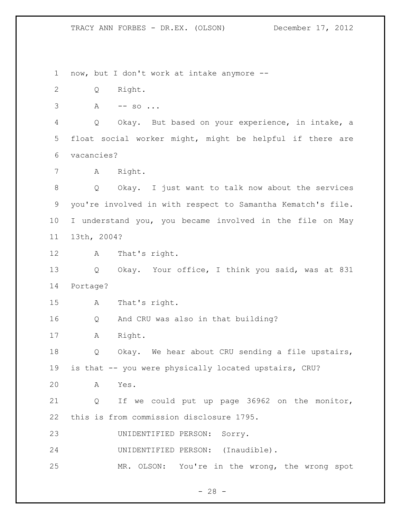now, but I don't work at intake anymore --

Q Right.

 $3 \qquad A \qquad -- \qquad so \ldots$ 

 Q Okay. But based on your experience, in intake, a float social worker might, might be helpful if there are vacancies?

A Right.

 Q Okay. I just want to talk now about the services you're involved in with respect to Samantha Kematch's file. I understand you, you became involved in the file on May 13th, 2004?

A That's right.

 Q Okay. Your office, I think you said, was at 831 Portage?

A That's right.

Q And CRU was also in that building?

A Right.

 Q Okay. We hear about CRU sending a file upstairs, is that -- you were physically located upstairs, CRU?

A Yes.

 Q If we could put up page 36962 on the monitor, this is from commission disclosure 1795.

UNIDENTIFIED PERSON: Sorry.

UNIDENTIFIED PERSON: (Inaudible).

MR. OLSON: You're in the wrong, the wrong spot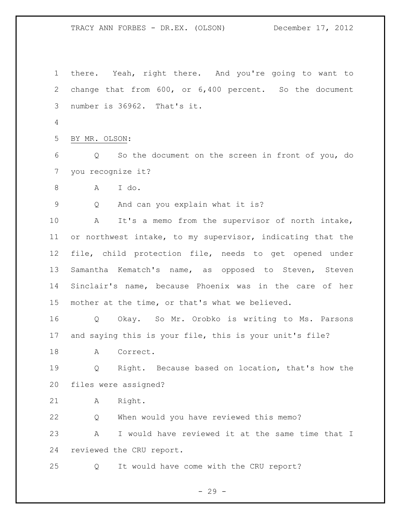TRACY ANN FORBES - DR.EX. (OLSON) December 17, 2012 there. Yeah, right there. And you're going to want to change that from 600, or 6,400 percent. So the document number is 36962. That's it. BY MR. OLSON:

 Q So the document on the screen in front of you, do you recognize it?

A I do.

Q And can you explain what it is?

 A It's a memo from the supervisor of north intake, or northwest intake, to my supervisor, indicating that the file, child protection file, needs to get opened under Samantha Kematch's name, as opposed to Steven, Steven Sinclair's name, because Phoenix was in the care of her mother at the time, or that's what we believed.

 Q Okay. So Mr. Orobko is writing to Ms. Parsons and saying this is your file, this is your unit's file?

18 A Correct.

 Q Right. Because based on location, that's how the files were assigned?

A Right.

 Q When would you have reviewed this memo? A I would have reviewed it at the same time that I reviewed the CRU report.

Q It would have come with the CRU report?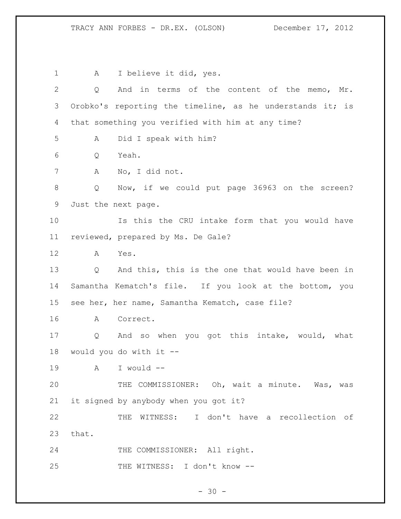1 A I believe it did, yes. Q And in terms of the content of the memo, Mr. Orobko's reporting the timeline, as he understands it; is that something you verified with him at any time? A Did I speak with him? Q Yeah. A No, I did not. Q Now, if we could put page 36963 on the screen? Just the next page. Is this the CRU intake form that you would have reviewed, prepared by Ms. De Gale? A Yes. Q And this, this is the one that would have been in Samantha Kematch's file. If you look at the bottom, you see her, her name, Samantha Kematch, case file? A Correct. Q And so when you got this intake, would, what would you do with it -- A I would -- THE COMMISSIONER: Oh, wait a minute. Was, was it signed by anybody when you got it? THE WITNESS: I don't have a recollection of that. 24 THE COMMISSIONER: All right. 25 THE WITNESS: I don't know --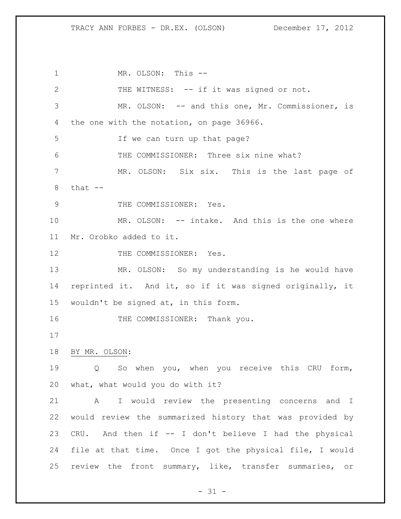MR. OLSON: This -- THE WITNESS: -- if it was signed or not. MR. OLSON: -- and this one, Mr. Commissioner, is the one with the notation, on page 36966. 5 If we can turn up that page? THE COMMISSIONER: Three six nine what? MR. OLSON: Six six. This is the last page of that -- 9 THE COMMISSIONER: Yes. MR. OLSON: -- intake. And this is the one where Mr. Orobko added to it. 12 THE COMMISSIONER: Yes. MR. OLSON: So my understanding is he would have reprinted it. And it, so if it was signed originally, it wouldn't be signed at, in this form. 16 THE COMMISSIONER: Thank you. BY MR. OLSON: Q So when you, when you receive this CRU form, what, what would you do with it? A I would review the presenting concerns and I would review the summarized history that was provided by CRU. And then if -- I don't believe I had the physical file at that time. Once I got the physical file, I would review the front summary, like, transfer summaries, or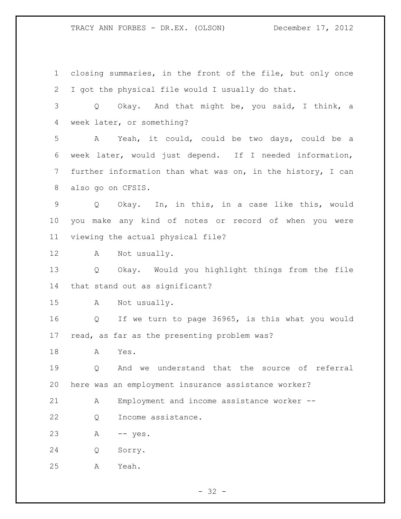closing summaries, in the front of the file, but only once I got the physical file would I usually do that. Q Okay. And that might be, you said, I think, a week later, or something? A Yeah, it could, could be two days, could be a week later, would just depend. If I needed information, further information than what was on, in the history, I can also go on CFSIS. Q Okay. In, in this, in a case like this, would you make any kind of notes or record of when you were viewing the actual physical file? A Not usually. Q Okay. Would you highlight things from the file that stand out as significant? A Not usually. Q If we turn to page 36965, is this what you would read, as far as the presenting problem was? A Yes. Q And we understand that the source of referral here was an employment insurance assistance worker? A Employment and income assistance worker -- Q Income assistance. A -- yes. Q Sorry. A Yeah.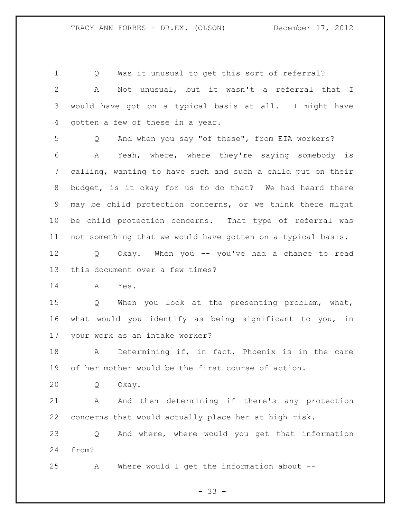Q Was it unusual to get this sort of referral? A Not unusual, but it wasn't a referral that I would have got on a typical basis at all. I might have gotten a few of these in a year. Q And when you say "of these", from EIA workers? A Yeah, where, where they're saying somebody is calling, wanting to have such and such a child put on their budget, is it okay for us to do that? We had heard there may be child protection concerns, or we think there might be child protection concerns. That type of referral was not something that we would have gotten on a typical basis. Q Okay. When you -- you've had a chance to read this document over a few times? A Yes. Q When you look at the presenting problem, what, what would you identify as being significant to you, in your work as an intake worker? A Determining if, in fact, Phoenix is in the care of her mother would be the first course of action. Q Okay. 21 A And then determining if there's any protection concerns that would actually place her at high risk. Q And where, where would you get that information from? A Where would I get the information about --

 $- 33 -$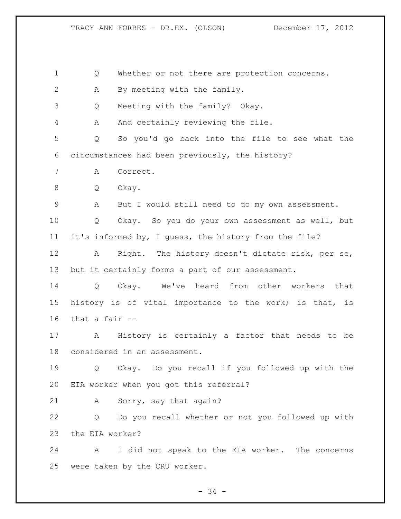Q Whether or not there are protection concerns. A By meeting with the family. Q Meeting with the family? Okay. A And certainly reviewing the file. Q So you'd go back into the file to see what the circumstances had been previously, the history? A Correct. Q Okay. A But I would still need to do my own assessment. Q Okay. So you do your own assessment as well, but it's informed by, I guess, the history from the file? A Right. The history doesn't dictate risk, per se, but it certainly forms a part of our assessment. Q Okay. We've heard from other workers that history is of vital importance to the work; is that, is that a fair -- A History is certainly a factor that needs to be considered in an assessment. Q Okay. Do you recall if you followed up with the EIA worker when you got this referral? A Sorry, say that again? Q Do you recall whether or not you followed up with the EIA worker? A I did not speak to the EIA worker. The concerns were taken by the CRU worker.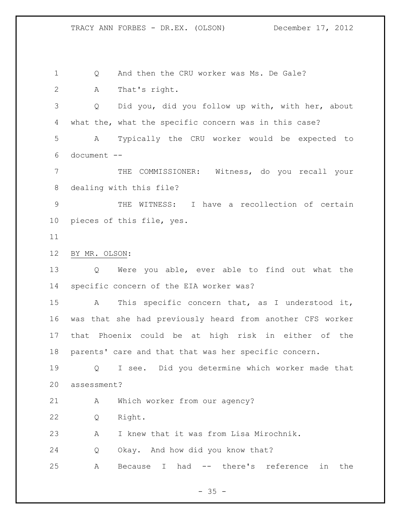Q And then the CRU worker was Ms. De Gale? A That's right.

 Q Did you, did you follow up with, with her, about what the, what the specific concern was in this case? A Typically the CRU worker would be expected to document --

 THE COMMISSIONER: Witness, do you recall your dealing with this file?

 THE WITNESS: I have a recollection of certain pieces of this file, yes.

BY MR. OLSON:

 Q Were you able, ever able to find out what the specific concern of the EIA worker was?

 A This specific concern that, as I understood it, was that she had previously heard from another CFS worker that Phoenix could be at high risk in either of the parents' care and that that was her specific concern.

 Q I see. Did you determine which worker made that assessment?

A Which worker from our agency?

Q Right.

A I knew that it was from Lisa Mirochnik.

Q Okay. And how did you know that?

A Because I had -- there's reference in the

 $- 35 -$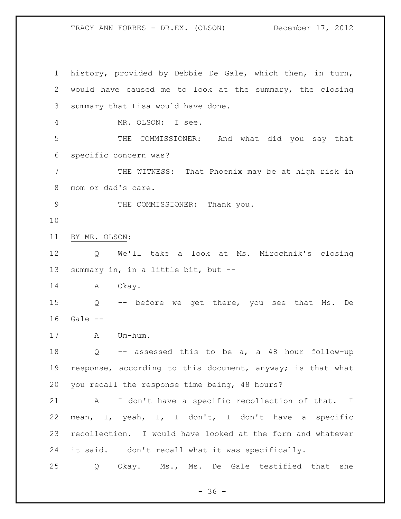history, provided by Debbie De Gale, which then, in turn, would have caused me to look at the summary, the closing summary that Lisa would have done. MR. OLSON: I see. THE COMMISSIONER: And what did you say that specific concern was? THE WITNESS: That Phoenix may be at high risk in mom or dad's care. 9 THE COMMISSIONER: Thank you. BY MR. OLSON: Q We'll take a look at Ms. Mirochnik's closing summary in, in a little bit, but -- 14 A Okay. Q -- before we get there, you see that Ms. De Gale -- A Um-hum. Q -- assessed this to be a, a 48 hour follow-up response, according to this document, anyway; is that what you recall the response time being, 48 hours? A I don't have a specific recollection of that. I mean, I, yeah, I, I don't, I don't have a specific recollection. I would have looked at the form and whatever it said. I don't recall what it was specifically. Q Okay. Ms., Ms. De Gale testified that she

 $- 36 -$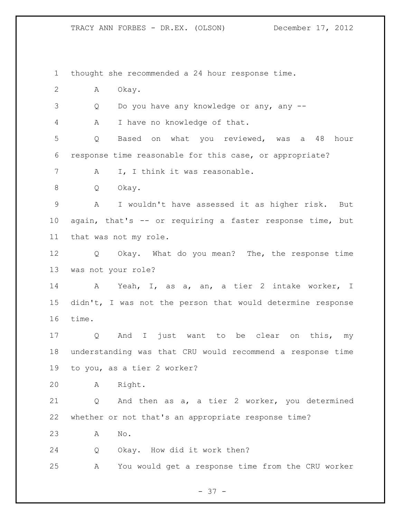thought she recommended a 24 hour response time. A Okay. Q Do you have any knowledge or any, any -- A I have no knowledge of that. Q Based on what you reviewed, was a 48 hour response time reasonable for this case, or appropriate? 7 A I, I think it was reasonable. Q Okay. A I wouldn't have assessed it as higher risk. But again, that's -- or requiring a faster response time, but that was not my role. Q Okay. What do you mean? The, the response time was not your role? A Yeah, I, as a, an, a tier 2 intake worker, I didn't, I was not the person that would determine response time. Q And I just want to be clear on this, my understanding was that CRU would recommend a response time to you, as a tier 2 worker? A Right. Q And then as a, a tier 2 worker, you determined whether or not that's an appropriate response time? A No. Q Okay. How did it work then? A You would get a response time from the CRU worker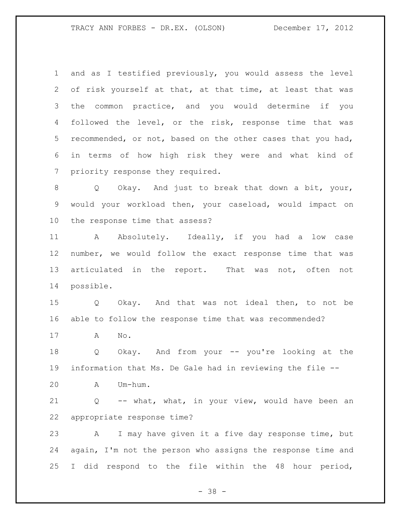and as I testified previously, you would assess the level of risk yourself at that, at that time, at least that was the common practice, and you would determine if you followed the level, or the risk, response time that was recommended, or not, based on the other cases that you had, in terms of how high risk they were and what kind of priority response they required.

 Q Okay. And just to break that down a bit, your, would your workload then, your caseload, would impact on the response time that assess?

11 A Absolutely. Ideally, if you had a low case number, we would follow the exact response time that was articulated in the report. That was not, often not possible.

 Q Okay. And that was not ideal then, to not be able to follow the response time that was recommended?

A No.

 Q Okay. And from your -- you're looking at the information that Ms. De Gale had in reviewing the file --

A Um-hum.

 Q -- what, what, in your view, would have been an appropriate response time?

 A I may have given it a five day response time, but again, I'm not the person who assigns the response time and I did respond to the file within the 48 hour period,

- 38 -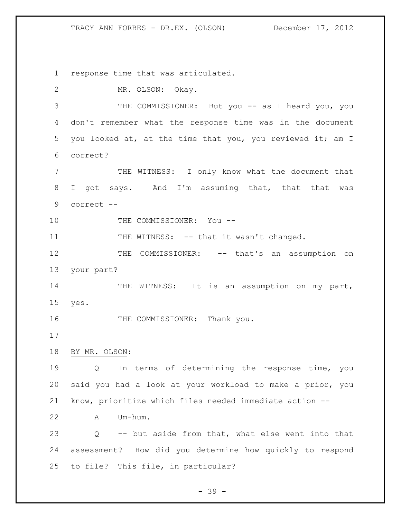response time that was articulated. MR. OLSON: Okay. 3 THE COMMISSIONER: But you -- as I heard you, you don't remember what the response time was in the document you looked at, at the time that you, you reviewed it; am I correct? THE WITNESS: I only know what the document that I got says. And I'm assuming that, that that was correct -- 10 THE COMMISSIONER: You --11 THE WITNESS: -- that it wasn't changed. 12 THE COMMISSIONER: -- that's an assumption on your part? 14 THE WITNESS: It is an assumption on my part, yes. 16 THE COMMISSIONER: Thank you. BY MR. OLSON: Q In terms of determining the response time, you said you had a look at your workload to make a prior, you know, prioritize which files needed immediate action -- A Um-hum. Q -- but aside from that, what else went into that assessment? How did you determine how quickly to respond to file? This file, in particular?

- 39 -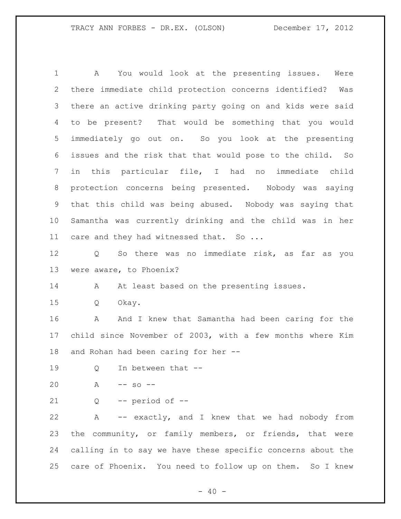A You would look at the presenting issues. Were there immediate child protection concerns identified? Was there an active drinking party going on and kids were said to be present? That would be something that you would immediately go out on. So you look at the presenting issues and the risk that that would pose to the child. So in this particular file, I had no immediate child protection concerns being presented. Nobody was saying that this child was being abused. Nobody was saying that Samantha was currently drinking and the child was in her 11 care and they had witnessed that. So ... Q So there was no immediate risk, as far as you were aware, to Phoenix? 14 A At least based on the presenting issues. Q Okay. 16 A And I knew that Samantha had been caring for the child since November of 2003, with a few months where Kim and Rohan had been caring for her -- 19 Q In between that -- A -- so -- Q -- period of -- A -- exactly, and I knew that we had nobody from the community, or family members, or friends, that were calling in to say we have these specific concerns about the care of Phoenix. You need to follow up on them. So I knew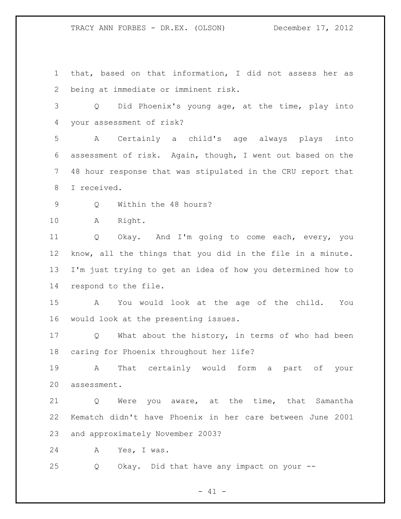that, based on that information, I did not assess her as being at immediate or imminent risk.

 Q Did Phoenix's young age, at the time, play into your assessment of risk?

 A Certainly a child's age always plays into assessment of risk. Again, though, I went out based on the 48 hour response that was stipulated in the CRU report that I received.

9 0 Within the 48 hours?

A Right.

 Q Okay. And I'm going to come each, every, you know, all the things that you did in the file in a minute. I'm just trying to get an idea of how you determined how to respond to the file.

 A You would look at the age of the child. You would look at the presenting issues.

 Q What about the history, in terms of who had been caring for Phoenix throughout her life?

 A That certainly would form a part of your assessment.

 Q Were you aware, at the time, that Samantha Kematch didn't have Phoenix in her care between June 2001 and approximately November 2003?

A Yes, I was.

Q Okay. Did that have any impact on your --

 $- 41 -$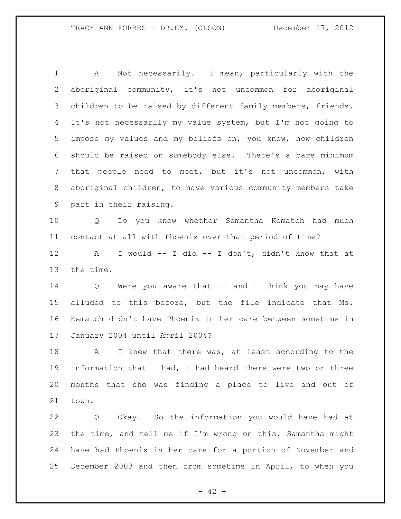A Not necessarily. I mean, particularly with the aboriginal community, it's not uncommon for aboriginal children to be raised by different family members, friends. It's not necessarily my value system, but I'm not going to impose my values and my beliefs on, you know, how children should be raised on somebody else. There's a bare minimum that people need to meet, but it's not uncommon, with aboriginal children, to have various community members take part in their raising. Q Do you know whether Samantha Kematch had much contact at all with Phoenix over that period of time? A I would -- I did -- I don't, didn't know that at the time. Q Were you aware that -- and I think you may have alluded to this before, but the file indicate that Ms. Kematch didn't have Phoenix in her care between sometime in January 2004 until April 2004? A I knew that there was, at least according to the information that I had, I had heard there were two or three months that she was finding a place to live and out of town.

 Q Okay. So the information you would have had at the time, and tell me if I'm wrong on this, Samantha might have had Phoenix in her care for a portion of November and December 2003 and then from sometime in April, to when you

 $- 42 -$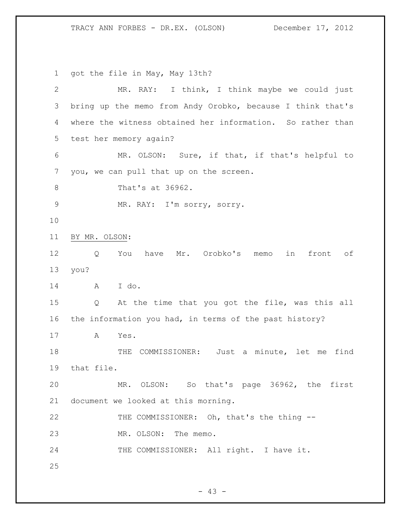got the file in May, May 13th?

| $\mathbf{2}$   | MR. RAY: I think, I think maybe we could just              |
|----------------|------------------------------------------------------------|
| 3              | bring up the memo from Andy Orobko, because I think that's |
| $\overline{4}$ | where the witness obtained her information. So rather than |
| 5              | test her memory again?                                     |
| 6              | MR. OLSON: Sure, if that, if that's helpful to             |
| 7              | you, we can pull that up on the screen.                    |
| $8\,$          | That's at 36962.                                           |
| $\mathsf 9$    | MR. RAY: I'm sorry, sorry.                                 |
| 10             |                                                            |
| 11             | BY MR. OLSON:                                              |
| 12             | have Mr. Orobko's memo<br>front of<br>You<br>in<br>Q       |
| 13             | you?                                                       |
| 14             | I do.<br>A                                                 |
| 15             | At the time that you got the file, was this all<br>Q       |
| 16             | the information you had, in terms of the past history?     |
| 17             | $\mathbb A$<br>Yes.                                        |
| 18             | COMMISSIONER: Just a minute, let me find<br>THE            |
| 19             | that file.                                                 |
| 20             | MR. OLSON: So that's page 36962, the first                 |
| 21             | document we looked at this morning.                        |
| 22             | THE COMMISSIONER: Oh, that's the thing --                  |
| 23             | MR. OLSON: The memo.                                       |
| 24             | THE COMMISSIONER: All right. I have it.                    |
| 25             |                                                            |

- 43 -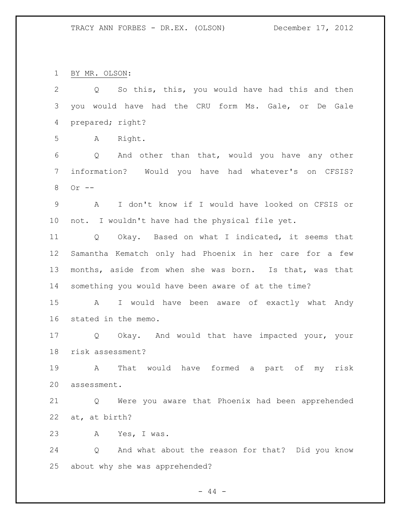BY MR. OLSON:

| $\mathbf{2}$ | So this, this, you would have had this and then<br>$Q \qquad \qquad$  |
|--------------|-----------------------------------------------------------------------|
| 3            | you would have had the CRU form Ms. Gale, or De Gale                  |
| 4            | prepared; right?                                                      |
| 5            | Right.<br>A                                                           |
| 6            | And other than that, would you have any other<br>Q                    |
| 7            | information? Would you have had whatever's on CFSIS?                  |
| 8            | Or $--$                                                               |
| $\mathsf 9$  | I don't know if I would have looked on CFSIS or<br>A                  |
| 10           | not. I wouldn't have had the physical file yet.                       |
| 11           | Q Okay. Based on what I indicated, it seems that                      |
| 12           | Samantha Kematch only had Phoenix in her care for a few               |
| 13           | months, aside from when she was born. Is that, was that               |
| 14           | something you would have been aware of at the time?                   |
| 15           | I would have been aware of exactly what Andy<br>$\mathbf{A}$          |
| 16           | stated in the memo.                                                   |
| 17           | Q Okay. And would that have impacted your, your                       |
| 18           | risk assessment?                                                      |
| 19           | That would have formed a part of<br>A<br>risk<br>my                   |
| 20           | assessment.                                                           |
| 21           | Were you aware that Phoenix had been apprehended<br>Q                 |
| 22           | at, at birth?                                                         |
| 23           | Yes, I was.<br>A                                                      |
| 24           | And what about the reason for that? Did you know<br>$Q \qquad \qquad$ |
| 25           | about why she was apprehended?                                        |

- 44 -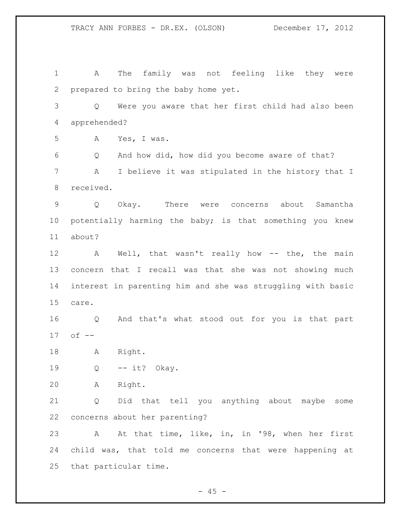A The family was not feeling like they were prepared to bring the baby home yet. Q Were you aware that her first child had also been apprehended? A Yes, I was. Q And how did, how did you become aware of that? A I believe it was stipulated in the history that I received. Q Okay. There were concerns about Samantha potentially harming the baby; is that something you knew about? 12 A Well, that wasn't really how -- the, the main concern that I recall was that she was not showing much interest in parenting him and she was struggling with basic care. Q And that's what stood out for you is that part of -- A Right. Q -- it? Okay. A Right. Q Did that tell you anything about maybe some concerns about her parenting? A At that time, like, in, in '98, when her first child was, that told me concerns that were happening at that particular time.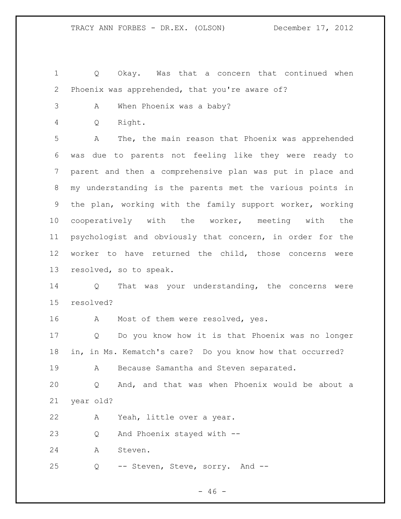1 Q Okay. Was that a concern that continued when Phoenix was apprehended, that you're aware of?

- A When Phoenix was a baby?
- Q Right.

 A The, the main reason that Phoenix was apprehended was due to parents not feeling like they were ready to parent and then a comprehensive plan was put in place and my understanding is the parents met the various points in the plan, working with the family support worker, working cooperatively with the worker, meeting with the psychologist and obviously that concern, in order for the worker to have returned the child, those concerns were resolved, so to speak.

 Q That was your understanding, the concerns were resolved?

16 A Most of them were resolved, yes.

 Q Do you know how it is that Phoenix was no longer in, in Ms. Kematch's care? Do you know how that occurred? 19 A Because Samantha and Steven separated.

 Q And, and that was when Phoenix would be about a year old?

A Yeah, little over a year.

Q And Phoenix stayed with --

A Steven.

Q -- Steven, Steve, sorry. And --

 $- 46 -$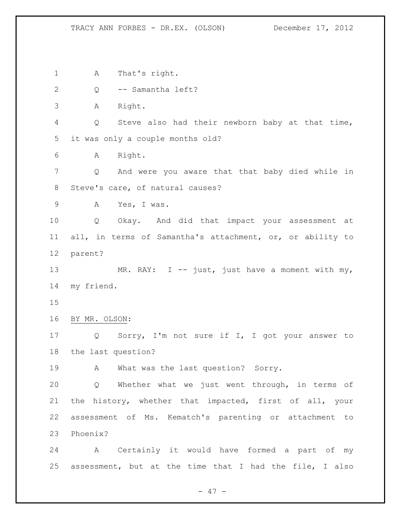A That's right. Q -- Samantha left? A Right. Q Steve also had their newborn baby at that time, it was only a couple months old? A Right. Q And were you aware that that baby died while in Steve's care, of natural causes? A Yes, I was. Q Okay. And did that impact your assessment at all, in terms of Samantha's attachment, or, or ability to parent? 13 MR. RAY: I -- just, just have a moment with my, my friend. BY MR. OLSON: Q Sorry, I'm not sure if I, I got your answer to the last question? 19 A What was the last question? Sorry. Q Whether what we just went through, in terms of the history, whether that impacted, first of all, your assessment of Ms. Kematch's parenting or attachment to Phoenix? A Certainly it would have formed a part of my assessment, but at the time that I had the file, I also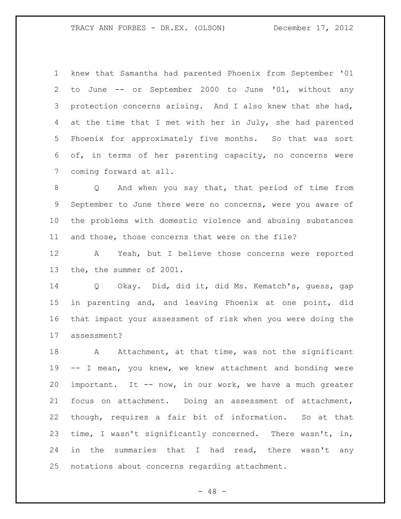knew that Samantha had parented Phoenix from September '01 to June -- or September 2000 to June '01, without any protection concerns arising. And I also knew that she had, 4 at the time that I met with her in July, she had parented Phoenix for approximately five months. So that was sort of, in terms of her parenting capacity, no concerns were coming forward at all.

 Q And when you say that, that period of time from September to June there were no concerns, were you aware of the problems with domestic violence and abusing substances and those, those concerns that were on the file?

 A Yeah, but I believe those concerns were reported the, the summer of 2001.

 Q Okay. Did, did it, did Ms. Kematch's, guess, gap in parenting and, and leaving Phoenix at one point, did that impact your assessment of risk when you were doing the assessment?

18 A Attachment, at that time, was not the significant -- I mean, you knew, we knew attachment and bonding were important. It -- now, in our work, we have a much greater focus on attachment. Doing an assessment of attachment, though, requires a fair bit of information. So at that time, I wasn't significantly concerned. There wasn't, in, 24 in the summaries that I had read, there wasn't any notations about concerns regarding attachment.

 $- 48 -$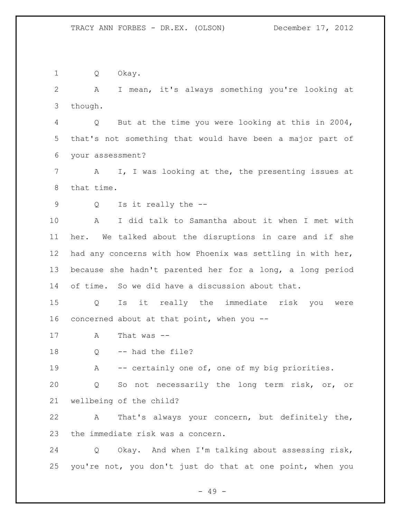- 49 - Q Okay. A I mean, it's always something you're looking at though. Q But at the time you were looking at this in 2004, that's not something that would have been a major part of your assessment? A I, I was looking at the, the presenting issues at that time. Q Is it really the -- A I did talk to Samantha about it when I met with her. We talked about the disruptions in care and if she had any concerns with how Phoenix was settling in with her, because she hadn't parented her for a long, a long period of time. So we did have a discussion about that. Q Is it really the immediate risk you were concerned about at that point, when you -- A That was -- Q -- had the file? 19 A -- certainly one of, one of my big priorities. Q So not necessarily the long term risk, or, or wellbeing of the child? A That's always your concern, but definitely the, the immediate risk was a concern. Q Okay. And when I'm talking about assessing risk, you're not, you don't just do that at one point, when you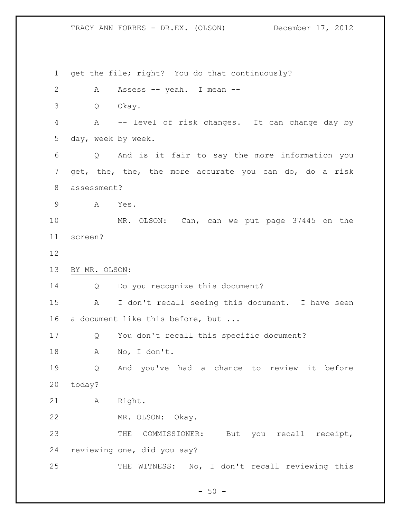get the file; right? You do that continuously? A Assess -- yeah. I mean -- Q Okay. A -- level of risk changes. It can change day by day, week by week. Q And is it fair to say the more information you get, the, the, the more accurate you can do, do a risk assessment? A Yes. MR. OLSON: Can, can we put page 37445 on the screen? BY MR. OLSON: 14 Q Do you recognize this document? A I don't recall seeing this document. I have seen a document like this before, but ... Q You don't recall this specific document? A No, I don't. Q And you've had a chance to review it before today? A Right. MR. OLSON: Okay. THE COMMISSIONER: But you recall receipt, reviewing one, did you say? THE WITNESS: No, I don't recall reviewing this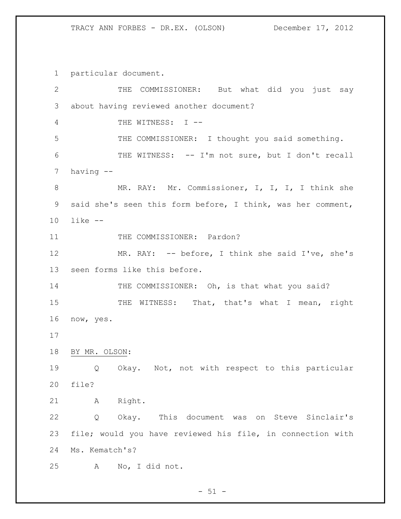particular document.

 THE COMMISSIONER: But what did you just say about having reviewed another document? THE WITNESS: I -- THE COMMISSIONER: I thought you said something. THE WITNESS: -- I'm not sure, but I don't recall having -- MR. RAY: Mr. Commissioner, I, I, I, I think she said she's seen this form before, I think, was her comment, like -- 11 THE COMMISSIONER: Pardon? MR. RAY: -- before, I think she said I've, she's seen forms like this before. 14 THE COMMISSIONER: Oh, is that what you said? 15 THE WITNESS: That, that's what I mean, right now, yes. BY MR. OLSON: Q Okay. Not, not with respect to this particular file? A Right. Q Okay. This document was on Steve Sinclair's file; would you have reviewed his file, in connection with Ms. Kematch's? A No, I did not.

 $-51 -$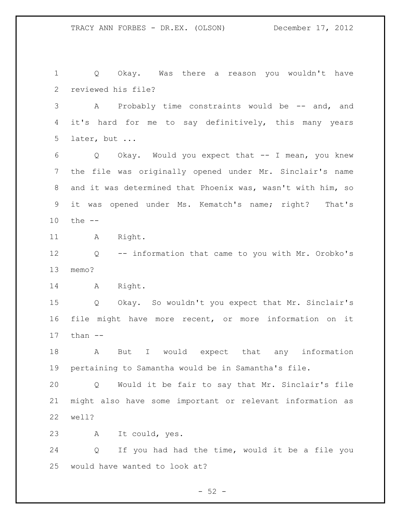Q Okay. Was there a reason you wouldn't have reviewed his file? 3 A Probably time constraints would be -- and, and it's hard for me to say definitively, this many years later, but ... Q Okay. Would you expect that -- I mean, you knew the file was originally opened under Mr. Sinclair's name and it was determined that Phoenix was, wasn't with him, so it was opened under Ms. Kematch's name; right? That's the -- 11 A Right. Q -- information that came to you with Mr. Orobko's memo? A Right. Q Okay. So wouldn't you expect that Mr. Sinclair's file might have more recent, or more information on it than -- A But I would expect that any information pertaining to Samantha would be in Samantha's file. Q Would it be fair to say that Mr. Sinclair's file might also have some important or relevant information as well? A It could, yes. Q If you had had the time, would it be a file you would have wanted to look at?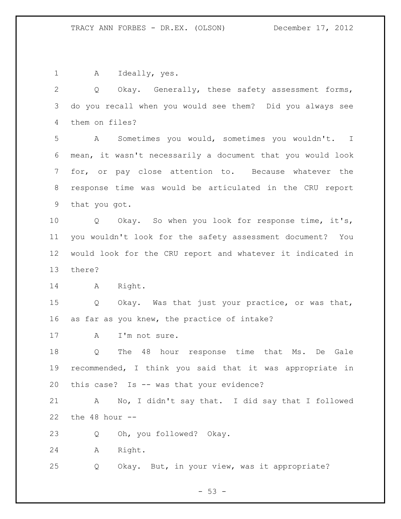A Ideally, yes.

 Q Okay. Generally, these safety assessment forms, do you recall when you would see them? Did you always see them on files?

 A Sometimes you would, sometimes you wouldn't. I mean, it wasn't necessarily a document that you would look for, or pay close attention to. Because whatever the response time was would be articulated in the CRU report that you got.

 Q Okay. So when you look for response time, it's, you wouldn't look for the safety assessment document? You would look for the CRU report and whatever it indicated in there?

A Right.

 Q Okay. Was that just your practice, or was that, as far as you knew, the practice of intake?

17 A I'm not sure.

 Q The 48 hour response time that Ms. De Gale recommended, I think you said that it was appropriate in this case? Is -- was that your evidence?

 A No, I didn't say that. I did say that I followed the 48 hour --

Q Oh, you followed? Okay.

A Right.

Q Okay. But, in your view, was it appropriate?

 $- 53 -$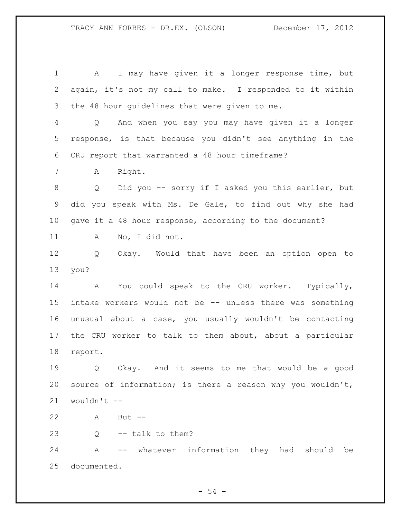A I may have given it a longer response time, but again, it's not my call to make. I responded to it within the 48 hour guidelines that were given to me. Q And when you say you may have given it a longer response, is that because you didn't see anything in the CRU report that warranted a 48 hour timeframe? A Right. Q Did you -- sorry if I asked you this earlier, but did you speak with Ms. De Gale, to find out why she had gave it a 48 hour response, according to the document? A No, I did not. Q Okay. Would that have been an option open to you? A You could speak to the CRU worker. Typically, intake workers would not be -- unless there was something unusual about a case, you usually wouldn't be contacting the CRU worker to talk to them about, about a particular report. Q Okay. And it seems to me that would be a good source of information; is there a reason why you wouldn't, wouldn't -- A But -- Q -- talk to them?

 A -- whatever information they had should be documented.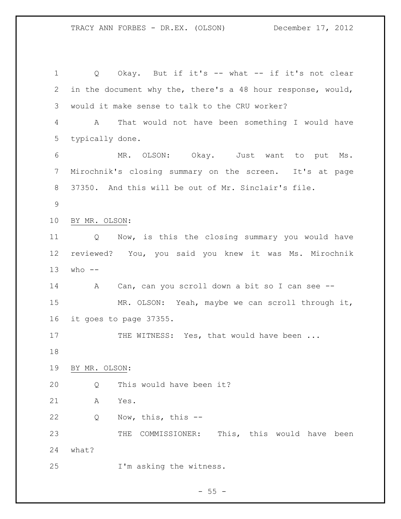Q Okay. But if it's -- what -- if it's not clear in the document why the, there's a 48 hour response, would, would it make sense to talk to the CRU worker? A That would not have been something I would have typically done. MR. OLSON: Okay. Just want to put Ms. Mirochnik's closing summary on the screen. It's at page 37350. And this will be out of Mr. Sinclair's file. BY MR. OLSON: Q Now, is this the closing summary you would have reviewed? You, you said you knew it was Ms. Mirochnik who  $-$  A Can, can you scroll down a bit so I can see -- MR. OLSON: Yeah, maybe we can scroll through it, it goes to page 37355. 17 THE WITNESS: Yes, that would have been ... BY MR. OLSON: Q This would have been it? A Yes. Q Now, this, this -- THE COMMISSIONER: This, this would have been what? I'm asking the witness.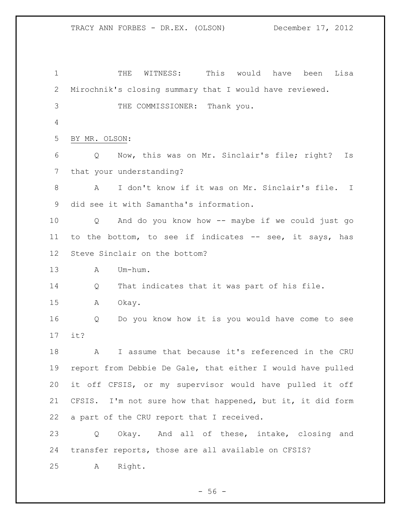TRACY ANN FORBES - DR.EX. (OLSON) December 17, 2012 THE WITNESS: This would have been Lisa Mirochnik's closing summary that I would have reviewed. THE COMMISSIONER: Thank you. BY MR. OLSON: Q Now, this was on Mr. Sinclair's file; right? Is that your understanding? A I don't know if it was on Mr. Sinclair's file. I did see it with Samantha's information. Q And do you know how -- maybe if we could just go to the bottom, to see if indicates -- see, it says, has Steve Sinclair on the bottom? A Um-hum. Q That indicates that it was part of his file. A Okay. Q Do you know how it is you would have come to see

it?

 A I assume that because it's referenced in the CRU report from Debbie De Gale, that either I would have pulled it off CFSIS, or my supervisor would have pulled it off CFSIS. I'm not sure how that happened, but it, it did form a part of the CRU report that I received.

 Q Okay. And all of these, intake, closing and transfer reports, those are all available on CFSIS?

A Right.

 $-56 -$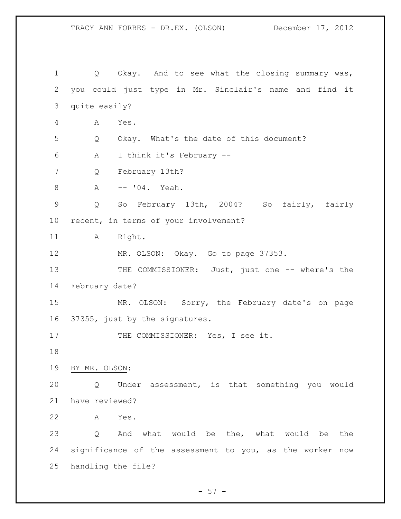1 Q Okay. And to see what the closing summary was, you could just type in Mr. Sinclair's name and find it quite easily? A Yes. Q Okay. What's the date of this document? A I think it's February -- Q February 13th? A -- '04. Yeah. Q So February 13th, 2004? So fairly, fairly recent, in terms of your involvement? 11 A Right. MR. OLSON: Okay. Go to page 37353. 13 THE COMMISSIONER: Just, just one -- where's the February date? MR. OLSON: Sorry, the February date's on page 37355, just by the signatures. 17 THE COMMISSIONER: Yes, I see it. BY MR. OLSON: Q Under assessment, is that something you would have reviewed? A Yes. Q And what would be the, what would be the significance of the assessment to you, as the worker now handling the file?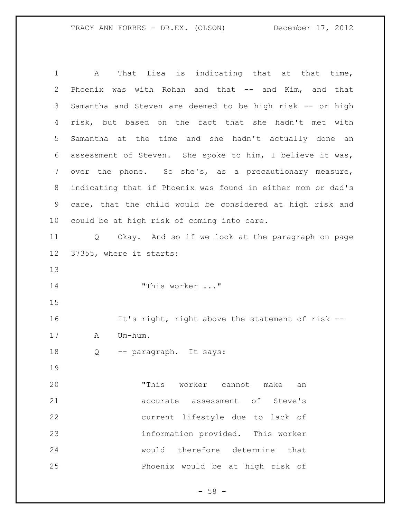A That Lisa is indicating that at that time, Phoenix was with Rohan and that -- and Kim, and that Samantha and Steven are deemed to be high risk -- or high risk, but based on the fact that she hadn't met with Samantha at the time and she hadn't actually done an assessment of Steven. She spoke to him, I believe it was, over the phone. So she's, as a precautionary measure, indicating that if Phoenix was found in either mom or dad's care, that the child would be considered at high risk and could be at high risk of coming into care. Q Okay. And so if we look at the paragraph on page 37355, where it starts: "This worker ..." It's right, right above the statement of risk -- A Um-hum. Q -- paragraph. It says: "This worker cannot make an accurate assessment of Steve's current lifestyle due to lack of information provided. This worker would therefore determine that Phoenix would be at high risk of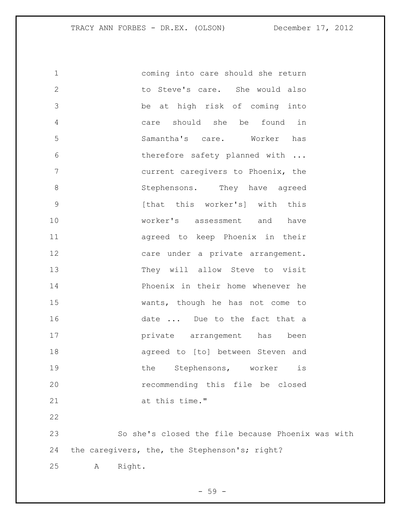| $\mathbf 1$    | coming into care should she return                |
|----------------|---------------------------------------------------|
| $\mathbf{2}$   | to Steve's care. She would also                   |
| 3              | be at high risk of coming into                    |
| 4              | found<br>should<br>she be<br>in<br>care           |
| 5              | Samantha's care. Worker has                       |
| 6              | therefore safety planned with                     |
| $7\phantom{.}$ | current caregivers to Phoenix, the                |
| $\,8\,$        | Stephensons. They have agreed                     |
| $\mathsf 9$    | [that this worker's] with this                    |
| 10             | worker's assessment and have                      |
| 11             | agreed to keep Phoenix in their                   |
| 12             | care under a private arrangement.                 |
| 13             | They will allow Steve to visit                    |
| 14             | Phoenix in their home whenever he                 |
| 15             | wants, though he has not come to                  |
| 16             | date  Due to the fact that a                      |
| 17             | private arrangement has<br>been                   |
| 18             | agreed to [to] between Steven and                 |
| 19             | Stephensons, worker<br>the<br>is                  |
| 20             | recommending this file be closed                  |
| 21             | at this time."                                    |
| 22             |                                                   |
| 23             | So she's closed the file because Phoenix was with |
| 24             | the caregivers, the, the Stephenson's; right?     |
| 25             | Right.<br>Α                                       |

- 59 -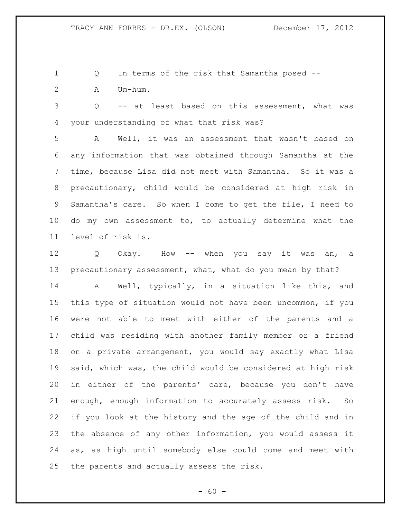Q In terms of the risk that Samantha posed -- A Um-hum.

 Q -- at least based on this assessment, what was your understanding of what that risk was?

 A Well, it was an assessment that wasn't based on any information that was obtained through Samantha at the time, because Lisa did not meet with Samantha. So it was a precautionary, child would be considered at high risk in Samantha's care. So when I come to get the file, I need to do my own assessment to, to actually determine what the level of risk is.

12 Q Okay. How -- when you say it was an, a 13 precautionary assessment, what, what do you mean by that?

 A Well, typically, in a situation like this, and this type of situation would not have been uncommon, if you were not able to meet with either of the parents and a child was residing with another family member or a friend on a private arrangement, you would say exactly what Lisa said, which was, the child would be considered at high risk in either of the parents' care, because you don't have enough, enough information to accurately assess risk. So if you look at the history and the age of the child and in the absence of any other information, you would assess it as, as high until somebody else could come and meet with the parents and actually assess the risk.

 $- 60 -$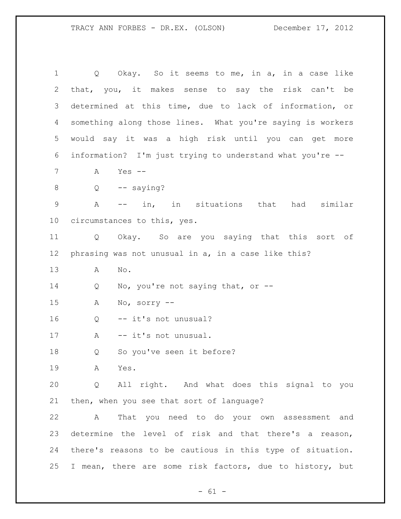1 Q Okay. So it seems to me, in a, in a case like that, you, it makes sense to say the risk can't be determined at this time, due to lack of information, or something along those lines. What you're saying is workers would say it was a high risk until you can get more information? I'm just trying to understand what you're -- A Yes --  $8 \qquad Q \qquad -- \quad saying?$  A -- in, in situations that had similar circumstances to this, yes. Q Okay. So are you saying that this sort of phrasing was not unusual in a, in a case like this? A No. 14 Q No, you're not saying that, or -- A No, sorry -- Q -- it's not unusual? 17 A -- it's not unusual. Q So you've seen it before? A Yes. Q All right. And what does this signal to you then, when you see that sort of language? A That you need to do your own assessment and determine the level of risk and that there's a reason, there's reasons to be cautious in this type of situation. I mean, there are some risk factors, due to history, but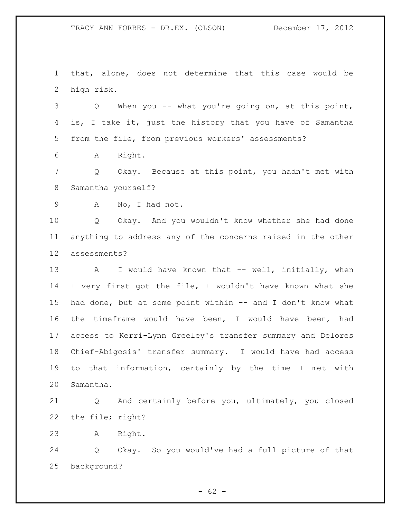that, alone, does not determine that this case would be high risk.

 Q When you -- what you're going on, at this point, is, I take it, just the history that you have of Samantha from the file, from previous workers' assessments?

A Right.

 Q Okay. Because at this point, you hadn't met with Samantha yourself?

A No, I had not.

 Q Okay. And you wouldn't know whether she had done anything to address any of the concerns raised in the other assessments?

13 A I would have known that -- well, initially, when I very first got the file, I wouldn't have known what she 15 had done, but at some point within -- and I don't know what the timeframe would have been, I would have been, had access to Kerri-Lynn Greeley's transfer summary and Delores Chief-Abigosis' transfer summary. I would have had access to that information, certainly by the time I met with Samantha.

 Q And certainly before you, ultimately, you closed the file; right?

A Right.

 Q Okay. So you would've had a full picture of that background?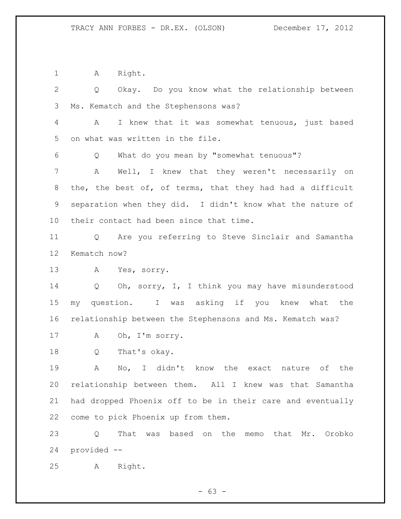1 A Right.

 Q Okay. Do you know what the relationship between Ms. Kematch and the Stephensons was? A I knew that it was somewhat tenuous, just based on what was written in the file. Q What do you mean by "somewhat tenuous"? A Well, I knew that they weren't necessarily on the, the best of, of terms, that they had had a difficult separation when they did. I didn't know what the nature of their contact had been since that time. Q Are you referring to Steve Sinclair and Samantha Kematch now? A Yes, sorry. Q Oh, sorry, I, I think you may have misunderstood my question. I was asking if you knew what the relationship between the Stephensons and Ms. Kematch was? A Oh, I'm sorry. Q That's okay. A No, I didn't know the exact nature of the relationship between them. All I knew was that Samantha had dropped Phoenix off to be in their care and eventually come to pick Phoenix up from them. Q That was based on the memo that Mr. Orobko provided -- A Right.

 $- 63 -$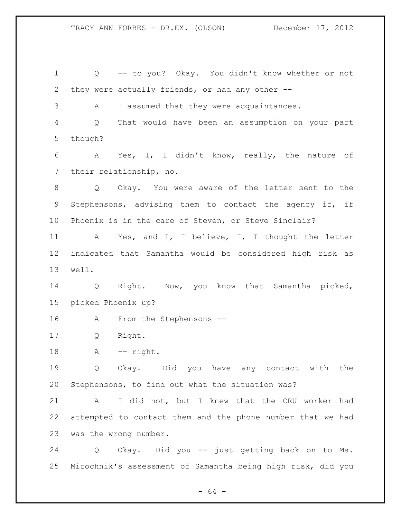Q -- to you? Okay. You didn't know whether or not they were actually friends, or had any other -- A I assumed that they were acquaintances. Q That would have been an assumption on your part though? A Yes, I, I didn't know, really, the nature of their relationship, no. Q Okay. You were aware of the letter sent to the Stephensons, advising them to contact the agency if, if Phoenix is in the care of Steven, or Steve Sinclair? A Yes, and I, I believe, I, I thought the letter indicated that Samantha would be considered high risk as well. Q Right. Now, you know that Samantha picked, picked Phoenix up? A From the Stephensons -- Q Right. 18 A -- right. Q Okay. Did you have any contact with the Stephensons, to find out what the situation was? A I did not, but I knew that the CRU worker had attempted to contact them and the phone number that we had was the wrong number. Q Okay. Did you -- just getting back on to Ms. Mirochnik's assessment of Samantha being high risk, did you

- 64 -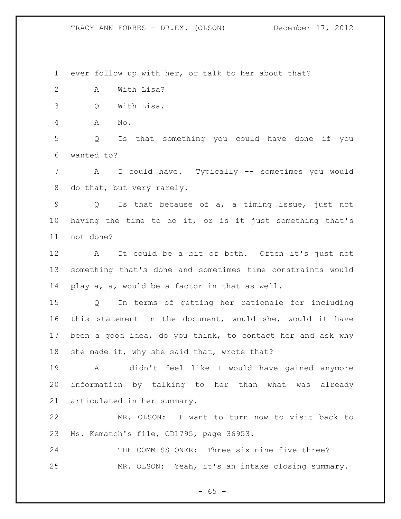ever follow up with her, or talk to her about that?

A With Lisa?

Q With Lisa.

A No.

 Q Is that something you could have done if you wanted to?

 A I could have. Typically -- sometimes you would do that, but very rarely.

 Q Is that because of a, a timing issue, just not having the time to do it, or is it just something that's not done?

 A It could be a bit of both. Often it's just not something that's done and sometimes time constraints would play a, a, would be a factor in that as well.

 Q In terms of getting her rationale for including this statement in the document, would she, would it have been a good idea, do you think, to contact her and ask why she made it, why she said that, wrote that?

 A I didn't feel like I would have gained anymore information by talking to her than what was already articulated in her summary.

 MR. OLSON: I want to turn now to visit back to Ms. Kematch's file, CD1795, page 36953.

 THE COMMISSIONER: Three six nine five three? MR. OLSON: Yeah, it's an intake closing summary.

 $- 65 -$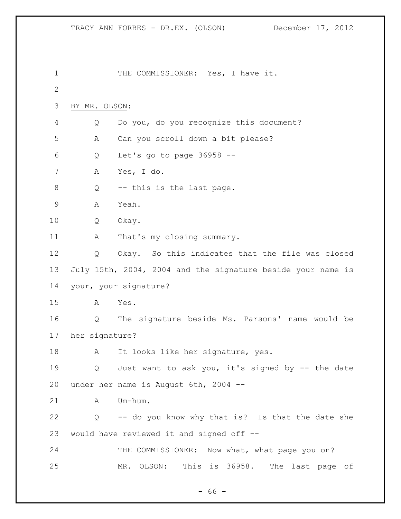1 THE COMMISSIONER: Yes, I have it. BY MR. OLSON: Q Do you, do you recognize this document? A Can you scroll down a bit please? Q Let's go to page 36958 -- A Yes, I do. 8 Q -- this is the last page. A Yeah. Q Okay. 11 A That's my closing summary. Q Okay. So this indicates that the file was closed July 15th, 2004, 2004 and the signature beside your name is your, your signature? A Yes. Q The signature beside Ms. Parsons' name would be her signature? 18 A It looks like her signature, yes. Q Just want to ask you, it's signed by -- the date under her name is August 6th, 2004 -- A Um-hum. Q -- do you know why that is? Is that the date she would have reviewed it and signed off -- 24 THE COMMISSIONER: Now what, what page you on? MR. OLSON: This is 36958. The last page of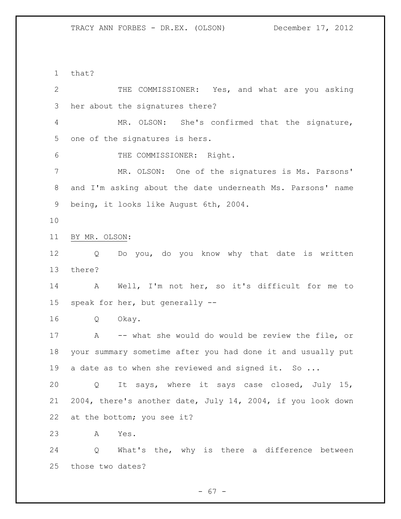that? THE COMMISSIONER: Yes, and what are you asking her about the signatures there? MR. OLSON: She's confirmed that the signature, one of the signatures is hers. THE COMMISSIONER: Right. MR. OLSON: One of the signatures is Ms. Parsons' and I'm asking about the date underneath Ms. Parsons' name being, it looks like August 6th, 2004. BY MR. OLSON: Q Do you, do you know why that date is written there? A Well, I'm not her, so it's difficult for me to speak for her, but generally -- Q Okay. A -- what she would do would be review the file, or your summary sometime after you had done it and usually put 19 a date as to when she reviewed and signed it. So ... Q It says, where it says case closed, July 15, 2004, there's another date, July 14, 2004, if you look down at the bottom; you see it? A Yes. Q What's the, why is there a difference between those two dates?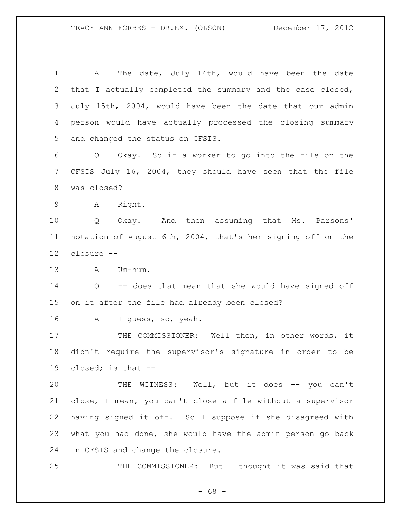A The date, July 14th, would have been the date that I actually completed the summary and the case closed, July 15th, 2004, would have been the date that our admin person would have actually processed the closing summary and changed the status on CFSIS. Q Okay. So if a worker to go into the file on the CFSIS July 16, 2004, they should have seen that the file was closed? A Right. Q Okay. And then assuming that Ms. Parsons' notation of August 6th, 2004, that's her signing off on the closure -- A Um-hum. Q -- does that mean that she would have signed off on it after the file had already been closed? A I guess, so, yeah. 17 THE COMMISSIONER: Well then, in other words, it didn't require the supervisor's signature in order to be closed; is that -- 20 THE WITNESS: Well, but it does -- you can't close, I mean, you can't close a file without a supervisor having signed it off. So I suppose if she disagreed with what you had done, she would have the admin person go back in CFSIS and change the closure. 25 THE COMMISSIONER: But I thought it was said that

 $- 68 -$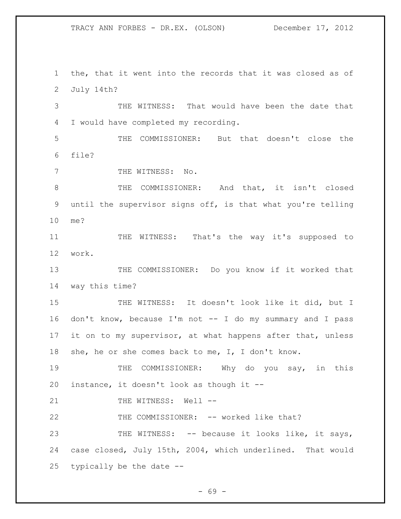the, that it went into the records that it was closed as of July 14th?

 THE WITNESS: That would have been the date that I would have completed my recording.

 THE COMMISSIONER: But that doesn't close the file?

7 THE WITNESS: No.

 THE COMMISSIONER: And that, it isn't closed until the supervisor signs off, is that what you're telling me?

 THE WITNESS: That's the way it's supposed to work.

13 THE COMMISSIONER: Do you know if it worked that way this time?

15 THE WITNESS: It doesn't look like it did, but I don't know, because I'm not -- I do my summary and I pass 17 it on to my supervisor, at what happens after that, unless she, he or she comes back to me, I, I don't know.

19 THE COMMISSIONER: Why do you say, in this instance, it doesn't look as though it --

21 THE WITNESS: Well --

THE COMMISSIONER: -- worked like that?

23 THE WITNESS: -- because it looks like, it says, case closed, July 15th, 2004, which underlined. That would typically be the date --

- 69 -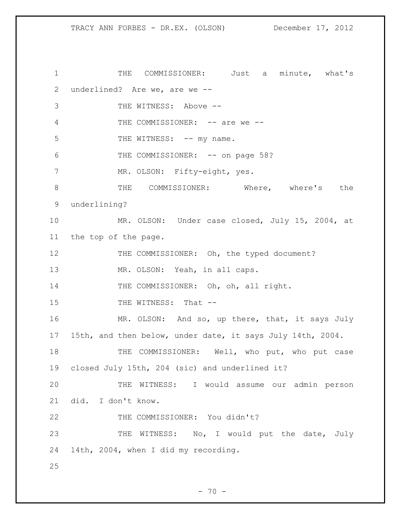1 THE COMMISSIONER: Just a minute, what's 2 underlined? Are we, are we -- 3 THE WITNESS: Above -- 4 THE COMMISSIONER: -- are we --5 THE WITNESS: -- my name. 6 THE COMMISSIONER: -- on page 58? 7 MR. OLSON: Fifty-eight, yes. 8 THE COMMISSIONER: Where, where's the 9 underlining? 10 MR. OLSON: Under case closed, July 15, 2004, at 11 the top of the page. 12 THE COMMISSIONER: Oh, the typed document? 13 MR. OLSON: Yeah, in all caps. 14 THE COMMISSIONER: Oh, oh, all right. 15 THE WITNESS: That --16 MR. OLSON: And so, up there, that, it says July 17 15th, and then below, under date, it says July 14th, 2004. 18 THE COMMISSIONER: Well, who put, who put case 19 closed July 15th, 204 (sic) and underlined it? 20 THE WITNESS: I would assume our admin person 21 did. I don't know. 22 THE COMMISSIONER: You didn't? 23 THE WITNESS: No, I would put the date, July 24 14th, 2004, when I did my recording. 25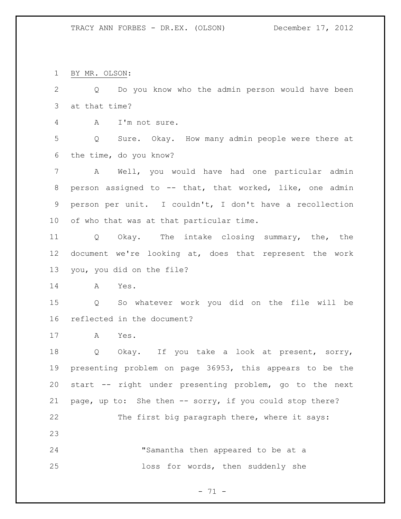BY MR. OLSON:

 Q Do you know who the admin person would have been at that time?

A I'm not sure.

 Q Sure. Okay. How many admin people were there at the time, do you know?

 A Well, you would have had one particular admin person assigned to -- that, that worked, like, one admin person per unit. I couldn't, I don't have a recollection of who that was at that particular time.

 Q Okay. The intake closing summary, the, the document we're looking at, does that represent the work you, you did on the file?

A Yes.

 Q So whatever work you did on the file will be reflected in the document?

A Yes.

 Q Okay. If you take a look at present, sorry, presenting problem on page 36953, this appears to be the start -- right under presenting problem, go to the next page, up to: She then -- sorry, if you could stop there? 22 The first big paragraph there, where it says: "Samantha then appeared to be at a

loss for words, then suddenly she

- 71 -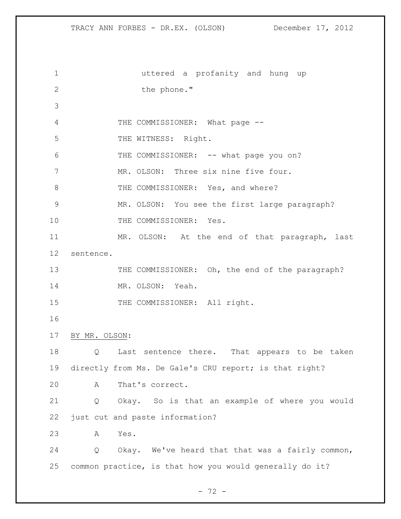uttered a profanity and hung up 2 the phone." 4 THE COMMISSIONER: What page --5 THE WITNESS: Right. 6 THE COMMISSIONER: -- what page you on? MR. OLSON: Three six nine five four. 8 THE COMMISSIONER: Yes, and where? MR. OLSON: You see the first large paragraph? 10 THE COMMISSIONER: Yes. MR. OLSON: At the end of that paragraph, last sentence. 13 THE COMMISSIONER: Oh, the end of the paragraph? MR. OLSON: Yeah. 15 THE COMMISSIONER: All right. BY MR. OLSON: Q Last sentence there. That appears to be taken directly from Ms. De Gale's CRU report; is that right? A That's correct. Q Okay. So is that an example of where you would just cut and paste information? A Yes. Q Okay. We've heard that that was a fairly common, common practice, is that how you would generally do it?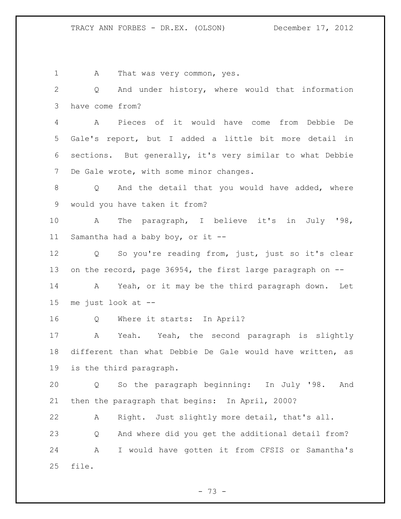1 A That was very common, yes. Q And under history, where would that information have come from? A Pieces of it would have come from Debbie De Gale's report, but I added a little bit more detail in sections. But generally, it's very similar to what Debbie De Gale wrote, with some minor changes. 8 Q And the detail that you would have added, where would you have taken it from? A The paragraph, I believe it's in July '98, Samantha had a baby boy, or it -- Q So you're reading from, just, just so it's clear 13 on the record, page 36954, the first large paragraph on -- A Yeah, or it may be the third paragraph down. Let me just look at -- Q Where it starts: In April? A Yeah. Yeah, the second paragraph is slightly different than what Debbie De Gale would have written, as is the third paragraph. Q So the paragraph beginning: In July '98. And then the paragraph that begins: In April, 2000? A Right. Just slightly more detail, that's all. Q And where did you get the additional detail from? A I would have gotten it from CFSIS or Samantha's file.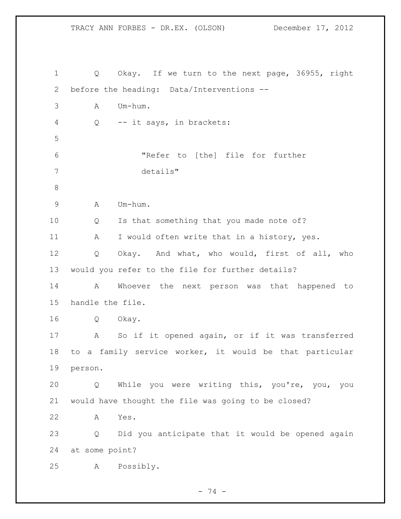Q Okay. If we turn to the next page, 36955, right before the heading: Data/Interventions -- A Um-hum. Q -- it says, in brackets: "Refer to [the] file for further details" A Um-hum. Q Is that something that you made note of? 11 A I would often write that in a history, yes. Q Okay. And what, who would, first of all, who would you refer to the file for further details? A Whoever the next person was that happened to handle the file. Q Okay. A So if it opened again, or if it was transferred to a family service worker, it would be that particular person. Q While you were writing this, you're, you, you would have thought the file was going to be closed? A Yes. Q Did you anticipate that it would be opened again at some point? A Possibly.

- 74 -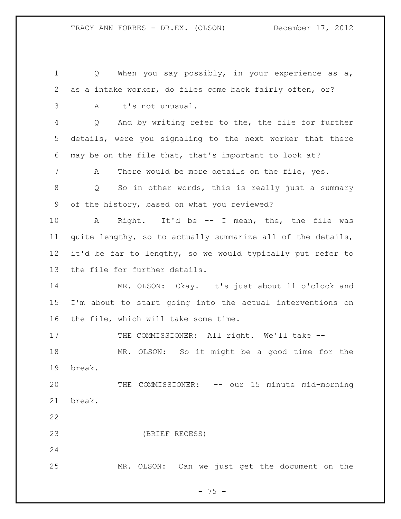1 Q When you say possibly, in your experience as a, as a intake worker, do files come back fairly often, or? A It's not unusual. Q And by writing refer to the, the file for further details, were you signaling to the next worker that there may be on the file that, that's important to look at? A There would be more details on the file, yes. Q So in other words, this is really just a summary of the history, based on what you reviewed? A Right. It'd be -- I mean, the, the file was quite lengthy, so to actually summarize all of the details, it'd be far to lengthy, so we would typically put refer to the file for further details. MR. OLSON: Okay. It's just about 11 o'clock and I'm about to start going into the actual interventions on the file, which will take some time. 17 THE COMMISSIONER: All right. We'll take -- MR. OLSON: So it might be a good time for the break. THE COMMISSIONER: -- our 15 minute mid-morning break. (BRIEF RECESS) MR. OLSON: Can we just get the document on the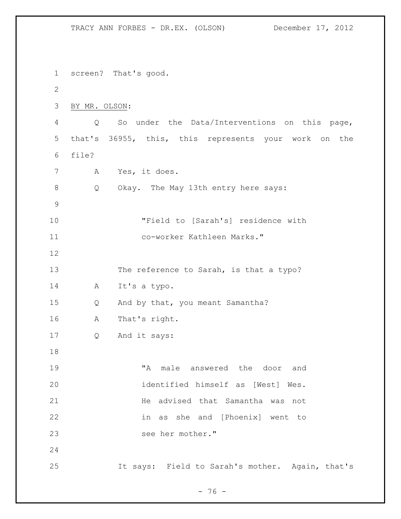TRACY ANN FORBES - DR.EX. (OLSON) December 17, 2012 screen? That's good. BY MR. OLSON: Q So under the Data/Interventions on this page, that's 36955, this, this represents your work on the file? A Yes, it does. Q Okay. The May 13th entry here says: "Field to [Sarah's] residence with co-worker Kathleen Marks." 13 The reference to Sarah, is that a typo? A It's a typo. Q And by that, you meant Samantha? A That's right. Q And it says: "A male answered the door and identified himself as [West] Wes. **He advised that Samantha was not**  in as she and [Phoenix] went to see her mother." It says: Field to Sarah's mother. Again, that's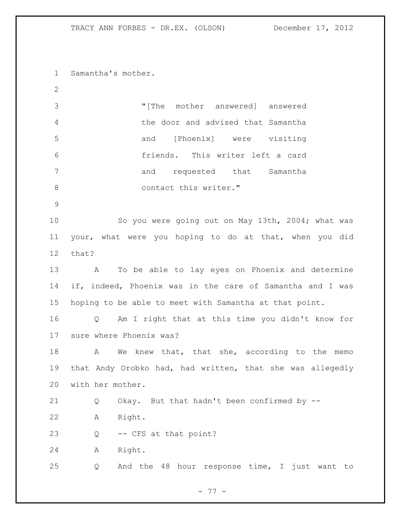Samantha's mother.

 "[The mother answered] answered the door and advised that Samantha and [Phoenix] were visiting friends. This writer left a card 7 and requested that Samantha 8 contact this writer."

 So you were going out on May 13th, 2004; what was your, what were you hoping to do at that, when you did that?

 A To be able to lay eyes on Phoenix and determine if, indeed, Phoenix was in the care of Samantha and I was hoping to be able to meet with Samantha at that point.

 Q Am I right that at this time you didn't know for sure where Phoenix was?

18 A We knew that, that she, according to the memo that Andy Orobko had, had written, that she was allegedly with her mother.

Q Okay. But that hadn't been confirmed by --

A Right.

Q -- CFS at that point?

A Right.

Q And the 48 hour response time, I just want to

- 77 -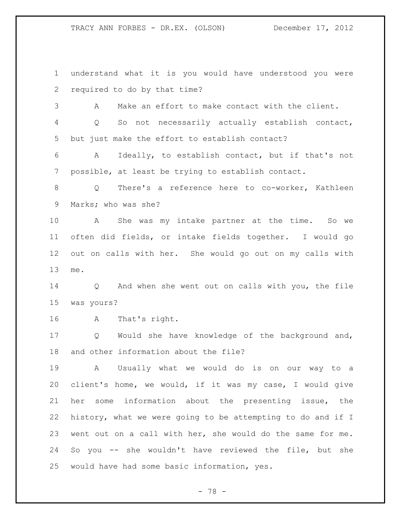understand what it is you would have understood you were required to do by that time? A Make an effort to make contact with the client. Q So not necessarily actually establish contact, but just make the effort to establish contact? A Ideally, to establish contact, but if that's not possible, at least be trying to establish contact. Q There's a reference here to co-worker, Kathleen Marks; who was she? A She was my intake partner at the time. So we often did fields, or intake fields together. I would go out on calls with her. She would go out on my calls with me. Q And when she went out on calls with you, the file was yours? A That's right. Q Would she have knowledge of the background and, and other information about the file? A Usually what we would do is on our way to a client's home, we would, if it was my case, I would give her some information about the presenting issue, the history, what we were going to be attempting to do and if I went out on a call with her, she would do the same for me. So you -- she wouldn't have reviewed the file, but she would have had some basic information, yes.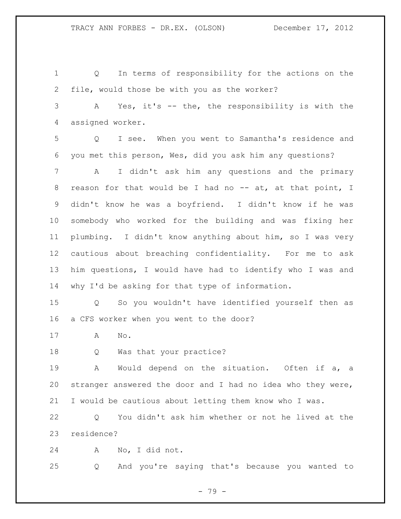Q In terms of responsibility for the actions on the file, would those be with you as the worker? A Yes, it's -- the, the responsibility is with the assigned worker. Q I see. When you went to Samantha's residence and you met this person, Wes, did you ask him any questions? A I didn't ask him any questions and the primary 8 reason for that would be I had no -- at, at that point, I didn't know he was a boyfriend. I didn't know if he was somebody who worked for the building and was fixing her plumbing. I didn't know anything about him, so I was very cautious about breaching confidentiality. For me to ask him questions, I would have had to identify who I was and why I'd be asking for that type of information. Q So you wouldn't have identified yourself then as a CFS worker when you went to the door? A No. Q Was that your practice? A Would depend on the situation. Often if a, a

 stranger answered the door and I had no idea who they were, I would be cautious about letting them know who I was.

 Q You didn't ask him whether or not he lived at the residence?

A No, I did not.

Q And you're saying that's because you wanted to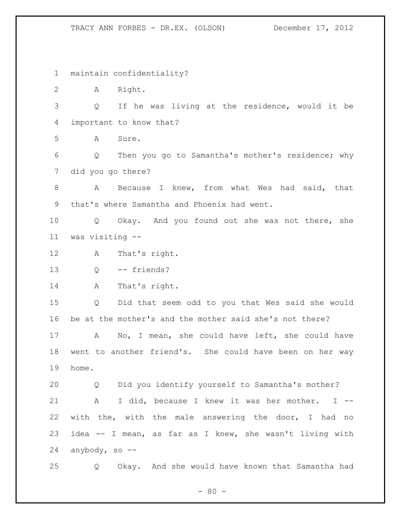maintain confidentiality?

A Right.

 Q If he was living at the residence, would it be important to know that?

A Sure.

 Q Then you go to Samantha's mother's residence; why did you go there?

 A Because I knew, from what Wes had said, that that's where Samantha and Phoenix had went.

 Q Okay. And you found out she was not there, she was visiting --

A That's right.

Q -- friends?

14 A That's right.

 Q Did that seem odd to you that Wes said she would be at the mother's and the mother said she's not there?

 A No, I mean, she could have left, she could have went to another friend's. She could have been on her way home.

 Q Did you identify yourself to Samantha's mother? A I did, because I knew it was her mother. I -- with the, with the male answering the door, I had no idea -- I mean, as far as I knew, she wasn't living with anybody, so --

Q Okay. And she would have known that Samantha had

 $- 80 -$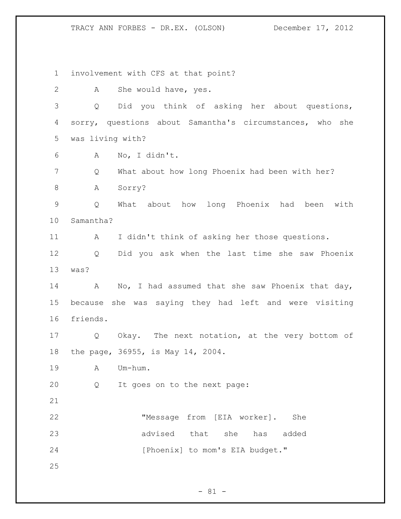involvement with CFS at that point?

2 A She would have, yes.

 Q Did you think of asking her about questions, sorry, questions about Samantha's circumstances, who she was living with?

A No, I didn't.

Q What about how long Phoenix had been with her?

A Sorry?

 Q What about how long Phoenix had been with Samantha?

A I didn't think of asking her those questions.

 Q Did you ask when the last time she saw Phoenix was?

14 A No, I had assumed that she saw Phoenix that day, because she was saying they had left and were visiting friends.

 Q Okay. The next notation, at the very bottom of the page, 36955, is May 14, 2004.

A Um-hum.

Q It goes on to the next page:

 "Message from [EIA worker]. She advised that she has added 24 [Phoenix] to mom's EIA budget."

 $- 81 -$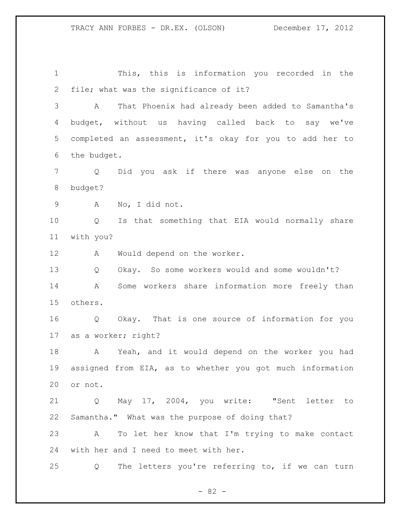This, this is information you recorded in the file; what was the significance of it? A That Phoenix had already been added to Samantha's budget, without us having called back to say we've completed an assessment, it's okay for you to add her to the budget. Q Did you ask if there was anyone else on the budget? A No, I did not. Q Is that something that EIA would normally share with you? A Would depend on the worker. Q Okay. So some workers would and some wouldn't? A Some workers share information more freely than others. Q Okay. That is one source of information for you as a worker; right? A Yeah, and it would depend on the worker you had assigned from EIA, as to whether you got much information or not. Q May 17, 2004, you write: "Sent letter to Samantha." What was the purpose of doing that? A To let her know that I'm trying to make contact with her and I need to meet with her. Q The letters you're referring to, if we can turn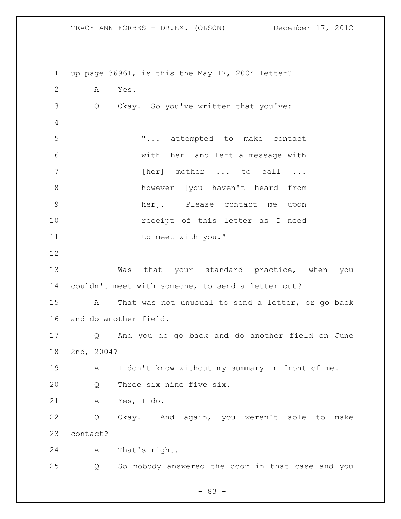up page 36961, is this the May 17, 2004 letter? A Yes. Q Okay. So you've written that you've: "... attempted to make contact with [her] and left a message with 7 [her] mother ... to call ... however [you haven't heard from her]. Please contact me upon receipt of this letter as I need 11 to meet with you." 13 Was that your standard practice, when you couldn't meet with someone, to send a letter out? A That was not unusual to send a letter, or go back and do another field. Q And you do go back and do another field on June 2nd, 2004? A I don't know without my summary in front of me. Q Three six nine five six. A Yes, I do. Q Okay. And again, you weren't able to make contact? A That's right. Q So nobody answered the door in that case and you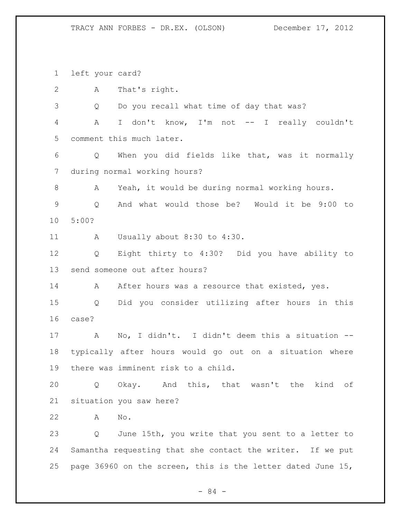left your card? A That's right. Q Do you recall what time of day that was? A I don't know, I'm not -- I really couldn't comment this much later. Q When you did fields like that, was it normally during normal working hours? A Yeah, it would be during normal working hours. Q And what would those be? Would it be 9:00 to 5:00? A Usually about 8:30 to 4:30. Q Eight thirty to 4:30? Did you have ability to send someone out after hours? 14 A After hours was a resource that existed, yes. Q Did you consider utilizing after hours in this case? A No, I didn't. I didn't deem this a situation -- typically after hours would go out on a situation where there was imminent risk to a child. Q Okay. And this, that wasn't the kind of situation you saw here? A No. Q June 15th, you write that you sent to a letter to Samantha requesting that she contact the writer. If we put page 36960 on the screen, this is the letter dated June 15,

- 84 -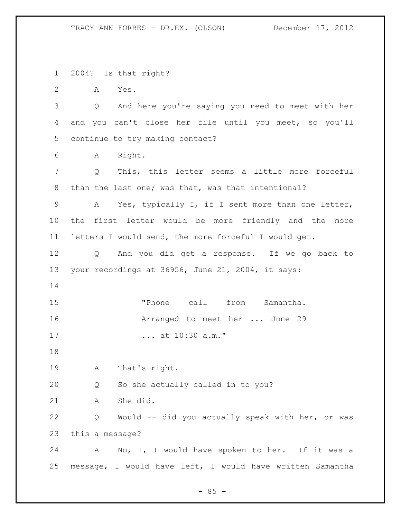2004? Is that right?

A Yes.

 Q And here you're saying you need to meet with her and you can't close her file until you meet, so you'll continue to try making contact?

A Right.

 Q This, this letter seems a little more forceful than the last one; was that, was that intentional?

 A Yes, typically I, if I sent more than one letter, the first letter would be more friendly and the more letters I would send, the more forceful I would get.

 Q And you did get a response. If we go back to your recordings at 36956, June 21, 2004, it says:

 "Phone call from Samantha. **Arranged to meet her ...** June 29 ... at 10:30 a.m."

A That's right.

Q So she actually called in to you?

A She did.

 Q Would -- did you actually speak with her, or was this a message?

 A No, I, I would have spoken to her. If it was a message, I would have left, I would have written Samantha

 $- 85 -$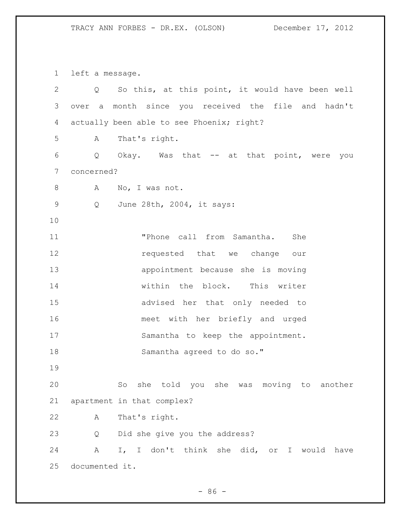left a message.

| 2           | Q              | So this, at this point, it would have been well     |
|-------------|----------------|-----------------------------------------------------|
| 3           |                | over a month since you received the file and hadn't |
| 4           |                | actually been able to see Phoenix; right?           |
| 5           | А              | That's right.                                       |
| 6           | Q              | Okay. Was that -- at that point, were you           |
| 7           | concerned?     |                                                     |
| 8           | А              | No, I was not.                                      |
| $\mathsf 9$ | Q              | June 28th, 2004, it says:                           |
| 10          |                |                                                     |
| 11          |                | "Phone call from Samantha.<br>She                   |
| 12          |                | requested that we change our                        |
| 13          |                | appointment because she is moving                   |
| 14          |                | within the block. This writer                       |
| 15          |                | advised her that only needed to                     |
| 16          |                | meet with her briefly and urged                     |
| 17          |                | Samantha to keep the appointment.                   |
| 18          |                | Samantha agreed to do so."                          |
| 19          |                |                                                     |
| 20          |                | she told you she was moving to<br>So<br>another     |
| 21          |                | apartment in that complex?                          |
| 22          | Α              | That's right.                                       |
| 23          | Q              | Did she give you the address?                       |
| 24          | Α              | I, I don't think she did, or<br>I would<br>have     |
| 25          | documented it. |                                                     |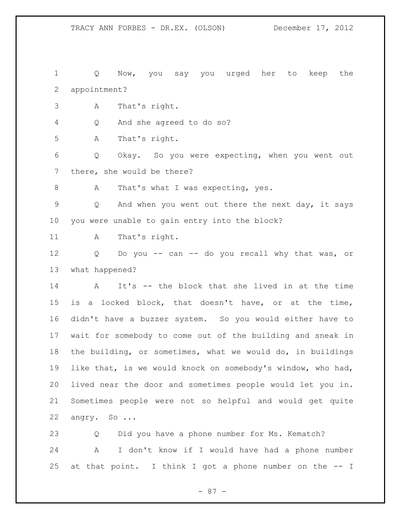Q Now, you say you urged her to keep the appointment?

A That's right.

Q And she agreed to do so?

A That's right.

 Q Okay. So you were expecting, when you went out there, she would be there?

8 A That's what I was expecting, yes.

 Q And when you went out there the next day, it says you were unable to gain entry into the block?

11 A That's right.

 Q Do you -- can -- do you recall why that was, or what happened?

 A It's -- the block that she lived in at the time is a locked block, that doesn't have, or at the time, didn't have a buzzer system. So you would either have to wait for somebody to come out of the building and sneak in the building, or sometimes, what we would do, in buildings like that, is we would knock on somebody's window, who had, lived near the door and sometimes people would let you in. Sometimes people were not so helpful and would get quite angry. So ...

 Q Did you have a phone number for Ms. Kematch? A I don't know if I would have had a phone number at that point. I think I got a phone number on the -- I

- 87 -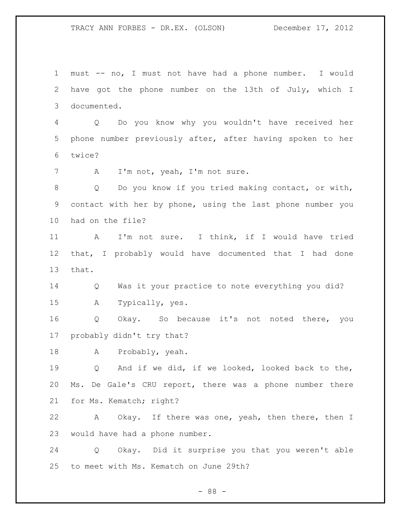must -- no, I must not have had a phone number. I would have got the phone number on the 13th of July, which I documented. Q Do you know why you wouldn't have received her phone number previously after, after having spoken to her twice? A I'm not, yeah, I'm not sure. Q Do you know if you tried making contact, or with, contact with her by phone, using the last phone number you had on the file? A I'm not sure. I think, if I would have tried that, I probably would have documented that I had done that. Q Was it your practice to note everything you did? A Typically, yes. Q Okay. So because it's not noted there, you probably didn't try that? A Probably, yeah. 19 0 And if we did, if we looked, looked back to the, Ms. De Gale's CRU report, there was a phone number there for Ms. Kematch; right? A Okay. If there was one, yeah, then there, then I would have had a phone number. Q Okay. Did it surprise you that you weren't able to meet with Ms. Kematch on June 29th?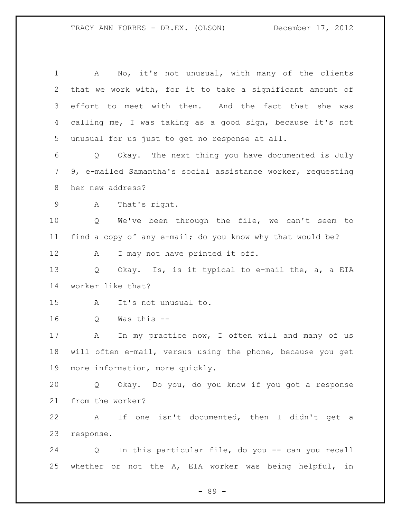A No, it's not unusual, with many of the clients that we work with, for it to take a significant amount of effort to meet with them. And the fact that she was calling me, I was taking as a good sign, because it's not unusual for us just to get no response at all. Q Okay. The next thing you have documented is July 9, e-mailed Samantha's social assistance worker, requesting her new address? A That's right. Q We've been through the file, we can't seem to find a copy of any e-mail; do you know why that would be? 12 A I may not have printed it off. Q Okay. Is, is it typical to e-mail the, a, a EIA worker like that? A It's not unusual to. Q Was this -- 17 A In my practice now, I often will and many of us will often e-mail, versus using the phone, because you get more information, more quickly. Q Okay. Do you, do you know if you got a response from the worker? A If one isn't documented, then I didn't get a response. Q In this particular file, do you -- can you recall whether or not the A, EIA worker was being helpful, in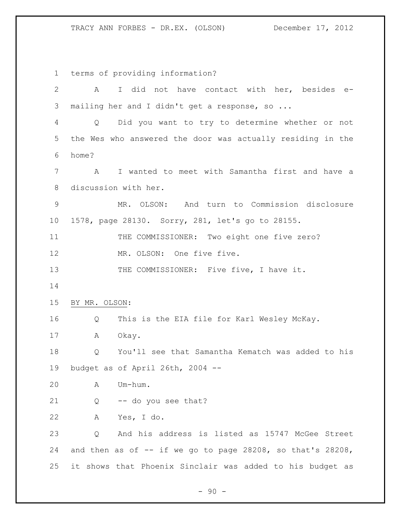terms of providing information? A I did not have contact with her, besides e- mailing her and I didn't get a response, so ... Q Did you want to try to determine whether or not the Wes who answered the door was actually residing in the home? A I wanted to meet with Samantha first and have a discussion with her. MR. OLSON: And turn to Commission disclosure 1578, page 28130. Sorry, 281, let's go to 28155. 11 THE COMMISSIONER: Two eight one five zero? 12 MR. OLSON: One five five. 13 THE COMMISSIONER: Five five, I have it. BY MR. OLSON: Q This is the EIA file for Karl Wesley McKay. A Okay. Q You'll see that Samantha Kematch was added to his budget as of April 26th, 2004 -- A Um-hum. Q -- do you see that? A Yes, I do. Q And his address is listed as 15747 McGee Street 24 and then as of  $-$  if we go to page 28208, so that's 28208, it shows that Phoenix Sinclair was added to his budget as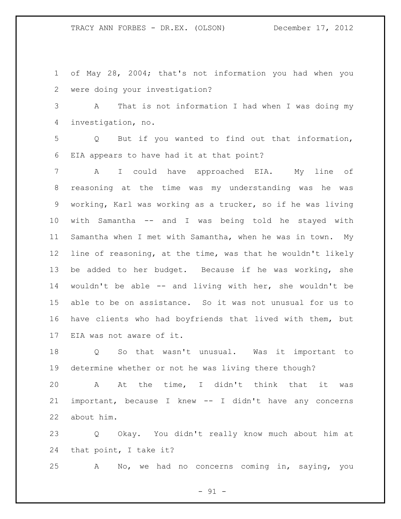of May 28, 2004; that's not information you had when you were doing your investigation?

 A That is not information I had when I was doing my investigation, no.

 Q But if you wanted to find out that information, EIA appears to have had it at that point?

 A I could have approached EIA. My line of reasoning at the time was my understanding was he was working, Karl was working as a trucker, so if he was living with Samantha -- and I was being told he stayed with Samantha when I met with Samantha, when he was in town. My line of reasoning, at the time, was that he wouldn't likely be added to her budget. Because if he was working, she wouldn't be able -- and living with her, she wouldn't be able to be on assistance. So it was not unusual for us to have clients who had boyfriends that lived with them, but EIA was not aware of it.

 Q So that wasn't unusual. Was it important to determine whether or not he was living there though?

 A At the time, I didn't think that it was important, because I knew -- I didn't have any concerns about him.

 Q Okay. You didn't really know much about him at that point, I take it?

A No, we had no concerns coming in, saying, you

 $-91 -$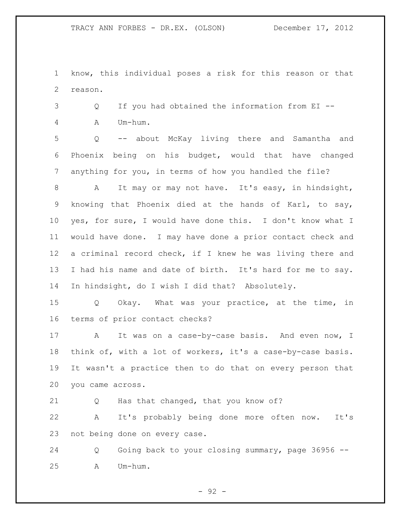know, this individual poses a risk for this reason or that reason.

 Q If you had obtained the information from EI -- A Um-hum.

 Q -- about McKay living there and Samantha and Phoenix being on his budget, would that have changed anything for you, in terms of how you handled the file?

 A It may or may not have. It's easy, in hindsight, knowing that Phoenix died at the hands of Karl, to say, yes, for sure, I would have done this. I don't know what I would have done. I may have done a prior contact check and a criminal record check, if I knew he was living there and I had his name and date of birth. It's hard for me to say. In hindsight, do I wish I did that? Absolutely.

 Q Okay. What was your practice, at the time, in terms of prior contact checks?

17 A It was on a case-by-case basis. And even now, I think of, with a lot of workers, it's a case-by-case basis. It wasn't a practice then to do that on every person that you came across.

Q Has that changed, that you know of?

 A It's probably being done more often now. It's not being done on every case.

 Q Going back to your closing summary, page 36956 -- A Um-hum.

 $-92 -$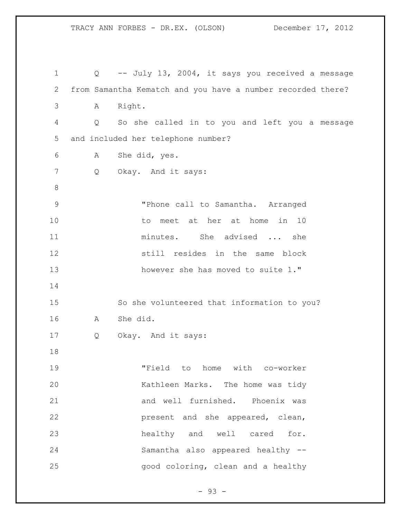Q -- July 13, 2004, it says you received a message from Samantha Kematch and you have a number recorded there? A Right. Q So she called in to you and left you a message and included her telephone number? A She did, yes. Q Okay. And it says: "Phone call to Samantha. Arranged to meet at her at home in 10 11 minutes. She advised ... she still resides in the same block 13 however she has moved to suite 1." So she volunteered that information to you? A She did. Q Okay. And it says: "Field to home with co-worker Kathleen Marks. The home was tidy and well furnished. Phoenix was present and she appeared, clean, healthy and well cared for. Samantha also appeared healthy -- good coloring, clean and a healthy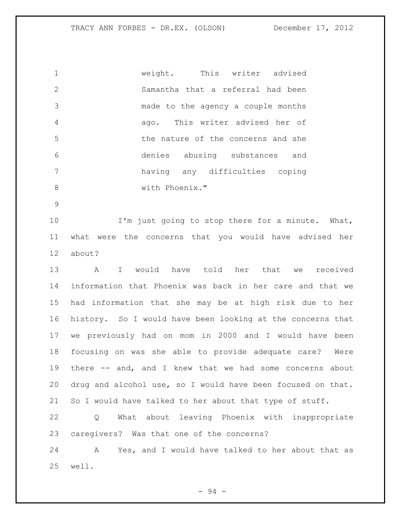weight. This writer advised Samantha that a referral had been made to the agency a couple months ago. This writer advised her of the nature of the concerns and she denies abusing substances and having any difficulties coping with Phoenix."

 I'm just going to stop there for a minute. What, what were the concerns that you would have advised her about?

 A I would have told her that we received information that Phoenix was back in her care and that we had information that she may be at high risk due to her history. So I would have been looking at the concerns that we previously had on mom in 2000 and I would have been focusing on was she able to provide adequate care? Were there -- and, and I knew that we had some concerns about drug and alcohol use, so I would have been focused on that. So I would have talked to her about that type of stuff.

 Q What about leaving Phoenix with inappropriate caregivers? Was that one of the concerns?

 A Yes, and I would have talked to her about that as well.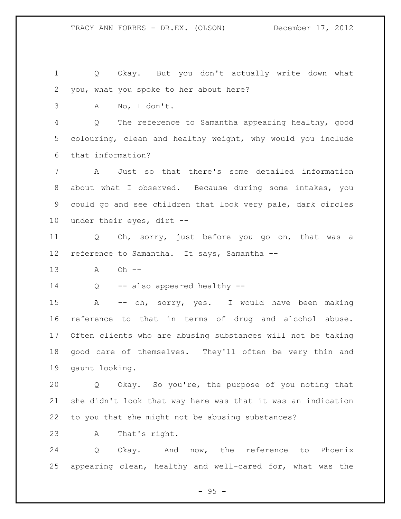Q Okay. But you don't actually write down what you, what you spoke to her about here?

A No, I don't.

 Q The reference to Samantha appearing healthy, good colouring, clean and healthy weight, why would you include that information?

 A Just so that there's some detailed information about what I observed. Because during some intakes, you could go and see children that look very pale, dark circles under their eyes, dirt --

 Q Oh, sorry, just before you go on, that was a reference to Samantha. It says, Samantha --

A Oh --

14 Q -- also appeared healthy --

 A -- oh, sorry, yes. I would have been making reference to that in terms of drug and alcohol abuse. Often clients who are abusing substances will not be taking good care of themselves. They'll often be very thin and gaunt looking.

 Q Okay. So you're, the purpose of you noting that she didn't look that way here was that it was an indication to you that she might not be abusing substances?

A That's right.

 Q Okay. And now, the reference to Phoenix appearing clean, healthy and well-cared for, what was the

 $-95 -$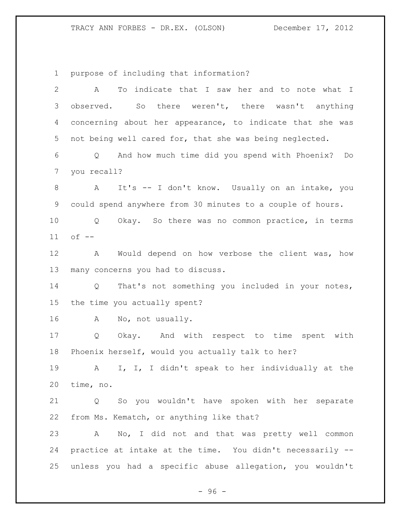purpose of including that information?

| $\overline{2}$ | To indicate that I saw her and to note what I<br>A         |  |
|----------------|------------------------------------------------------------|--|
| 3              | observed. So there weren't, there wasn't anything          |  |
| 4              | concerning about her appearance, to indicate that she was  |  |
| 5              | not being well cared for, that she was being neglected.    |  |
| 6              | And how much time did you spend with Phoenix? Do<br>Q      |  |
| $\overline{7}$ | you recall?                                                |  |
| $\,8\,$        | It's -- I don't know. Usually on an intake, you<br>A       |  |
| 9              | could spend anywhere from 30 minutes to a couple of hours. |  |
| 10             | Okay. So there was no common practice, in terms<br>Q       |  |
| 11             | $of --$                                                    |  |
| 12             | Would depend on how verbose the client was, how<br>A       |  |
| 13             | many concerns you had to discuss.                          |  |
| 14             | That's not something you included in your notes,<br>Q      |  |
| 15             | the time you actually spent?                               |  |
| 16             | No, not usually.<br>A                                      |  |
| 17             | Okay. And with respect to time spent with<br>Q             |  |
| 18             | Phoenix herself, would you actually talk to her?           |  |
| 19             | I, I, I didn't speak to her individually at the<br>A       |  |
| 20             | time, no.                                                  |  |
| 21             | So you wouldn't have spoken with her separate<br>Q         |  |
| 22             | from Ms. Kematch, or anything like that?                   |  |
| 23             | A No, I did not and that was pretty well common            |  |
| 24             | practice at intake at the time. You didn't necessarily --  |  |
| 25             | unless you had a specific abuse allegation, you wouldn't   |  |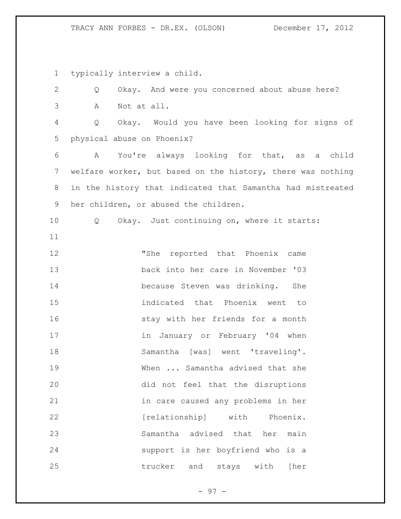typically interview a child.

 Q Okay. And were you concerned about abuse here? A Not at all. Q Okay. Would you have been looking for signs of physical abuse on Phoenix? A You're always looking for that, as a child welfare worker, but based on the history, there was nothing in the history that indicated that Samantha had mistreated her children, or abused the children. 10 0 Okay. Just continuing on, where it starts: "She reported that Phoenix came back into her care in November '03 because Steven was drinking. She indicated that Phoenix went to stay with her friends for a month 17 in January or February '04 when Samantha [was] went 'traveling'. When ... Samantha advised that she did not feel that the disruptions in care caused any problems in her **[relationship]** with Phoenix. Samantha advised that her main support is her boyfriend who is a trucker and stays with [her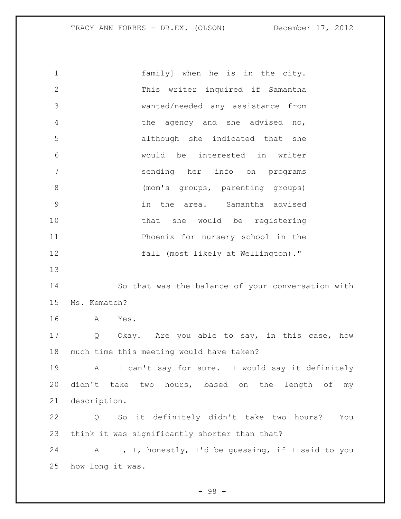family] when he is in the city. This writer inquired if Samantha wanted/needed any assistance from the agency and she advised no, although she indicated that she would be interested in writer sending her info on programs (mom's groups, parenting groups) in the area. Samantha advised 10 that she would be registering Phoenix for nursery school in the fall (most likely at Wellington)." So that was the balance of your conversation with Ms. Kematch? A Yes. 17 Q Okay. Are you able to say, in this case, how much time this meeting would have taken? A I can't say for sure. I would say it definitely didn't take two hours, based on the length of my description. Q So it definitely didn't take two hours? You think it was significantly shorter than that? A I, I, honestly, I'd be guessing, if I said to you how long it was.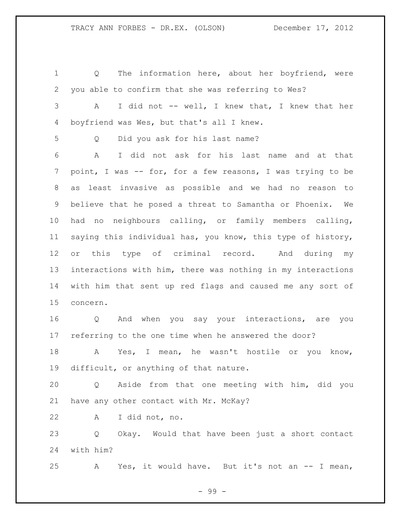Q The information here, about her boyfriend, were you able to confirm that she was referring to Wes? A I did not -- well, I knew that, I knew that her boyfriend was Wes, but that's all I knew. Q Did you ask for his last name? A I did not ask for his last name and at that point, I was -- for, for a few reasons, I was trying to be as least invasive as possible and we had no reason to believe that he posed a threat to Samantha or Phoenix. We had no neighbours calling, or family members calling, saying this individual has, you know, this type of history, or this type of criminal record. And during my interactions with him, there was nothing in my interactions with him that sent up red flags and caused me any sort of concern. Q And when you say your interactions, are you referring to the one time when he answered the door? A Yes, I mean, he wasn't hostile or you know, difficult, or anything of that nature.

 Q Aside from that one meeting with him, did you have any other contact with Mr. McKay?

A I did not, no.

 Q Okay. Would that have been just a short contact with him?

A Yes, it would have. But it's not an -- I mean,

- 99 -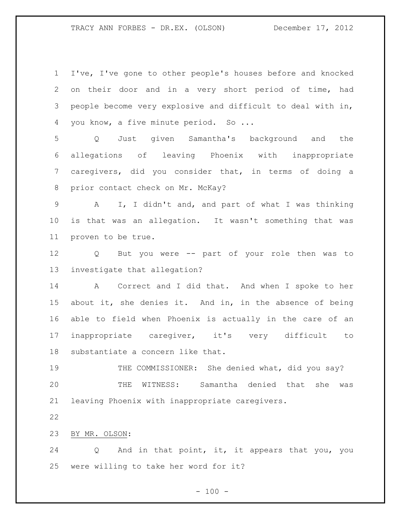I've, I've gone to other people's houses before and knocked on their door and in a very short period of time, had people become very explosive and difficult to deal with in, 4 you know, a five minute period. So ...

 Q Just given Samantha's background and the allegations of leaving Phoenix with inappropriate caregivers, did you consider that, in terms of doing a prior contact check on Mr. McKay?

 A I, I didn't and, and part of what I was thinking is that was an allegation. It wasn't something that was proven to be true.

 Q But you were -- part of your role then was to investigate that allegation?

14 A Correct and I did that. And when I spoke to her about it, she denies it. And in, in the absence of being able to field when Phoenix is actually in the care of an inappropriate caregiver, it's very difficult to substantiate a concern like that.

 THE COMMISSIONER: She denied what, did you say? THE WITNESS: Samantha denied that she was leaving Phoenix with inappropriate caregivers.

BY MR. OLSON:

 Q And in that point, it, it appears that you, you were willing to take her word for it?

 $- 100 -$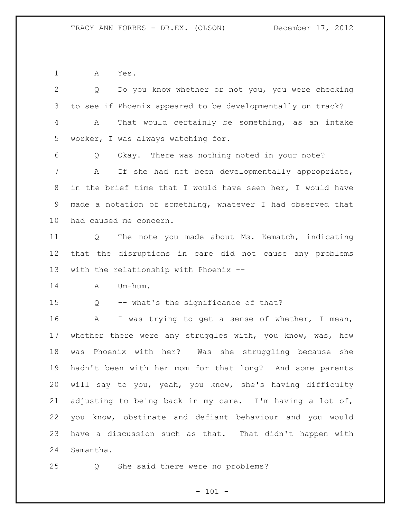A Yes.

 Q Do you know whether or not you, you were checking to see if Phoenix appeared to be developmentally on track? A That would certainly be something, as an intake worker, I was always watching for. Q Okay. There was nothing noted in your note? A If she had not been developmentally appropriate, in the brief time that I would have seen her, I would have made a notation of something, whatever I had observed that had caused me concern. Q The note you made about Ms. Kematch, indicating that the disruptions in care did not cause any problems with the relationship with Phoenix -- A Um-hum. Q -- what's the significance of that? A I was trying to get a sense of whether, I mean, whether there were any struggles with, you know, was, how was Phoenix with her? Was she struggling because she hadn't been with her mom for that long? And some parents will say to you, yeah, you know, she's having difficulty adjusting to being back in my care. I'm having a lot of, you know, obstinate and defiant behaviour and you would have a discussion such as that. That didn't happen with Samantha.

Q She said there were no problems?

 $- 101 -$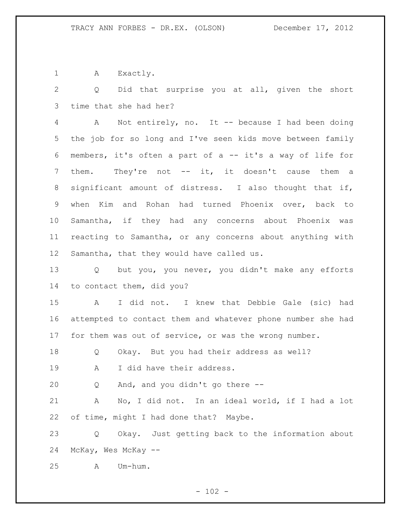1 A Exactly.

 Q Did that surprise you at all, given the short time that she had her?

 A Not entirely, no. It -- because I had been doing the job for so long and I've seen kids move between family members, it's often a part of a -- it's a way of life for 7 them. They're not -- it, it doesn't cause them a significant amount of distress. I also thought that if, when Kim and Rohan had turned Phoenix over, back to Samantha, if they had any concerns about Phoenix was reacting to Samantha, or any concerns about anything with Samantha, that they would have called us.

 Q but you, you never, you didn't make any efforts to contact them, did you?

 A I did not. I knew that Debbie Gale (sic) had attempted to contact them and whatever phone number she had for them was out of service, or was the wrong number.

Q Okay. But you had their address as well?

19 A I did have their address.

Q And, and you didn't go there --

 A No, I did not. In an ideal world, if I had a lot of time, might I had done that? Maybe.

 Q Okay. Just getting back to the information about McKay, Wes McKay --

A Um-hum.

 $- 102 -$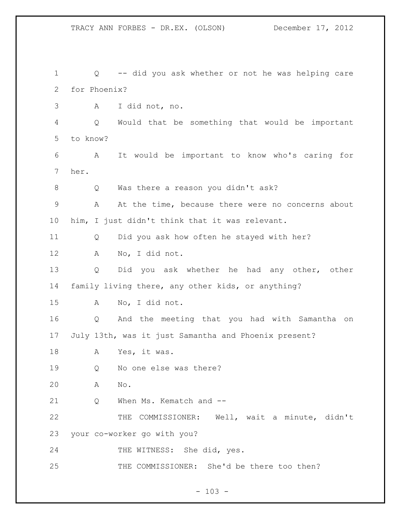Q -- did you ask whether or not he was helping care for Phoenix? A I did not, no. Q Would that be something that would be important to know? A It would be important to know who's caring for her. Q Was there a reason you didn't ask? A At the time, because there were no concerns about him, I just didn't think that it was relevant. Q Did you ask how often he stayed with her? A No, I did not. Q Did you ask whether he had any other, other family living there, any other kids, or anything? A No, I did not. Q And the meeting that you had with Samantha on July 13th, was it just Samantha and Phoenix present? A Yes, it was. Q No one else was there? A No. 21 Q When Ms. Kematch and -- THE COMMISSIONER: Well, wait a minute, didn't your co-worker go with you? 24 THE WITNESS: She did, yes. THE COMMISSIONER: She'd be there too then?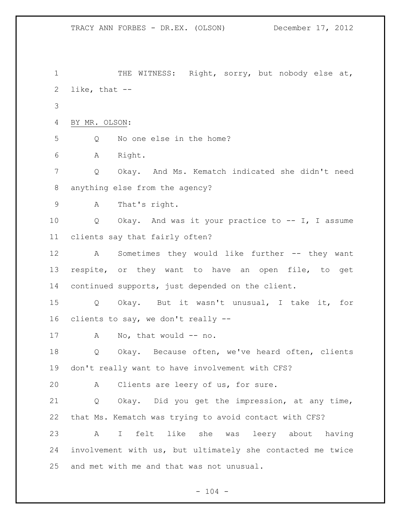1 THE WITNESS: Right, sorry, but nobody else at, like, that -- BY MR. OLSON: Q No one else in the home? A Right. Q Okay. And Ms. Kematch indicated she didn't need anything else from the agency? A That's right. Q Okay. And was it your practice to -- I, I assume clients say that fairly often? A Sometimes they would like further -- they want respite, or they want to have an open file, to get continued supports, just depended on the client. Q Okay. But it wasn't unusual, I take it, for clients to say, we don't really -- 17 A No, that would -- no. Q Okay. Because often, we've heard often, clients don't really want to have involvement with CFS? A Clients are leery of us, for sure. Q Okay. Did you get the impression, at any time, that Ms. Kematch was trying to avoid contact with CFS? A I felt like she was leery about having involvement with us, but ultimately she contacted me twice and met with me and that was not unusual.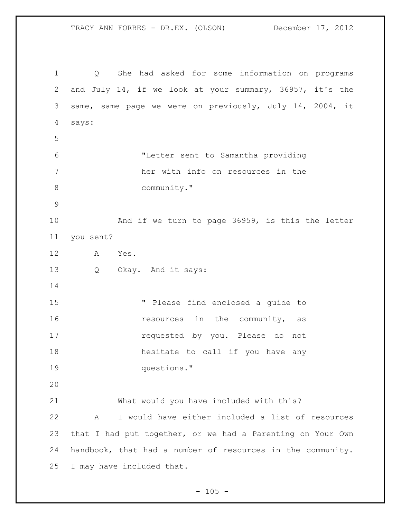TRACY ANN FORBES - DR.EX. (OLSON) December 17, 2012

 Q She had asked for some information on programs and July 14, if we look at your summary, 36957, it's the same, same page we were on previously, July 14, 2004, it says: "Letter sent to Samantha providing her with info on resources in the 8 community." And if we turn to page 36959, is this the letter you sent? A Yes. Q Okay. And it says: " Please find enclosed a guide to **16** resources in the community, as requested by you. Please do not hesitate to call if you have any questions." What would you have included with this? A I would have either included a list of resources that I had put together, or we had a Parenting on Your Own handbook, that had a number of resources in the community. I may have included that.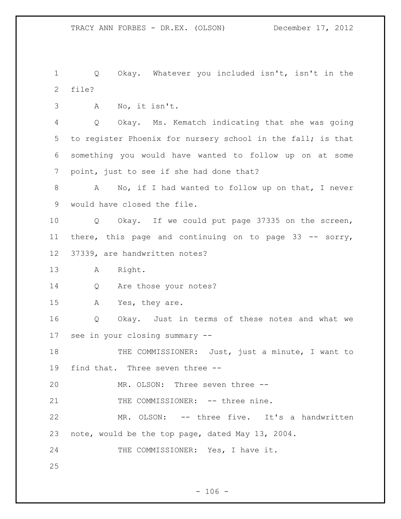Q Okay. Whatever you included isn't, isn't in the file?

A No, it isn't.

 Q Okay. Ms. Kematch indicating that she was going to register Phoenix for nursery school in the fall; is that something you would have wanted to follow up on at some point, just to see if she had done that?

 A No, if I had wanted to follow up on that, I never would have closed the file.

 Q Okay. If we could put page 37335 on the screen, there, this page and continuing on to page 33 -- sorry, 37339, are handwritten notes?

A Right.

14 Q Are those your notes?

A Yes, they are.

 Q Okay. Just in terms of these notes and what we see in your closing summary --

18 THE COMMISSIONER: Just, just a minute, I want to find that. Three seven three --

MR. OLSON: Three seven three --

21 THE COMMISSIONER: -- three nine.

 MR. OLSON: -- three five. It's a handwritten note, would be the top page, dated May 13, 2004.

24 THE COMMISSIONER: Yes, I have it.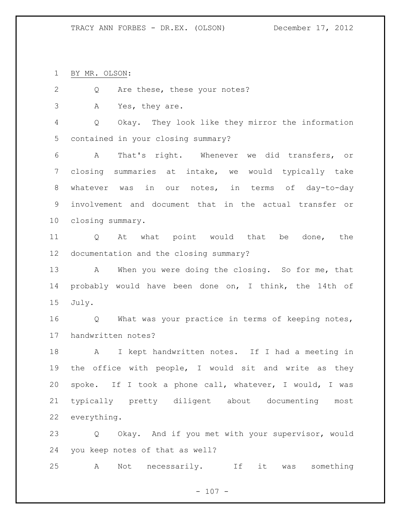BY MR. OLSON:

2 Q Are these, these your notes?

A Yes, they are.

 Q Okay. They look like they mirror the information contained in your closing summary?

 A That's right. Whenever we did transfers, or closing summaries at intake, we would typically take whatever was in our notes, in terms of day-to-day involvement and document that in the actual transfer or closing summary.

 Q At what point would that be done, the documentation and the closing summary?

13 A When you were doing the closing. So for me, that probably would have been done on, I think, the 14th of July.

 Q What was your practice in terms of keeping notes, handwritten notes?

 A I kept handwritten notes. If I had a meeting in the office with people, I would sit and write as they spoke. If I took a phone call, whatever, I would, I was typically pretty diligent about documenting most everything.

 Q Okay. And if you met with your supervisor, would you keep notes of that as well?

A Not necessarily. If it was something

 $- 107 -$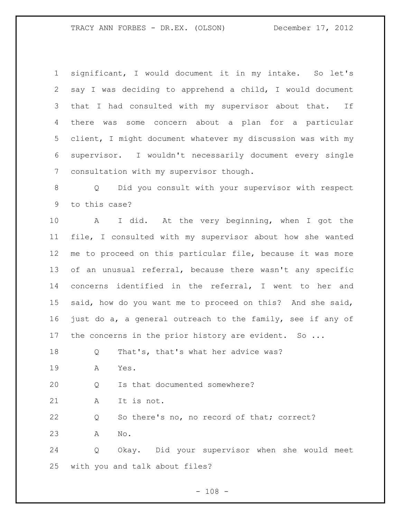significant, I would document it in my intake. So let's say I was deciding to apprehend a child, I would document that I had consulted with my supervisor about that. If there was some concern about a plan for a particular client, I might document whatever my discussion was with my supervisor. I wouldn't necessarily document every single consultation with my supervisor though.

 Q Did you consult with your supervisor with respect to this case?

 A I did. At the very beginning, when I got the file, I consulted with my supervisor about how she wanted me to proceed on this particular file, because it was more of an unusual referral, because there wasn't any specific concerns identified in the referral, I went to her and said, how do you want me to proceed on this? And she said, just do a, a general outreach to the family, see if any of 17 the concerns in the prior history are evident. So ...

Q That's, that's what her advice was?

A Yes.

Q Is that documented somewhere?

A It is not.

Q So there's no, no record of that; correct?

A No.

 Q Okay. Did your supervisor when she would meet with you and talk about files?

 $- 108 -$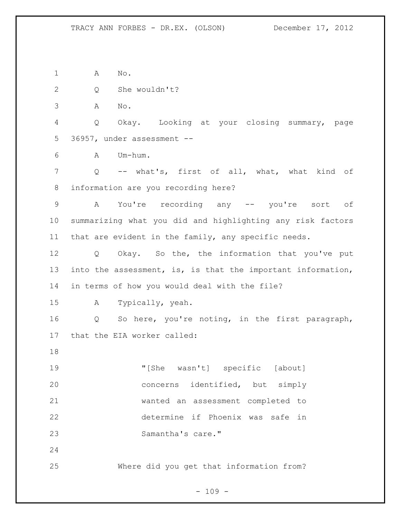A No.

Q She wouldn't?

A No.

 Q Okay. Looking at your closing summary, page 36957, under assessment --

A Um-hum.

 Q -- what's, first of all, what, what kind of information are you recording here?

 A You're recording any -- you're sort of summarizing what you did and highlighting any risk factors that are evident in the family, any specific needs.

 Q Okay. So the, the information that you've put into the assessment, is, is that the important information, in terms of how you would deal with the file?

A Typically, yeah.

 Q So here, you're noting, in the first paragraph, that the EIA worker called:

 "[She wasn't] specific [about] concerns identified, but simply wanted an assessment completed to determine if Phoenix was safe in Samantha's care."

Where did you get that information from?

 $- 109 -$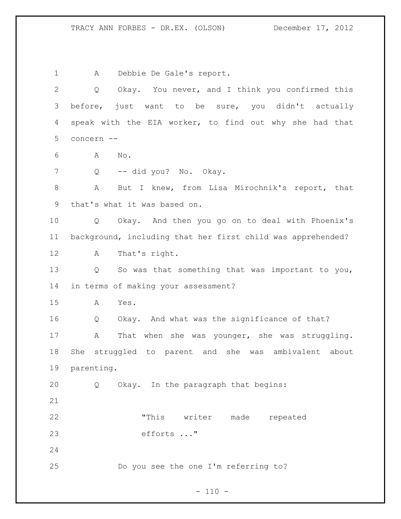A Debbie De Gale's report. Q Okay. You never, and I think you confirmed this before, just want to be sure, you didn't actually speak with the EIA worker, to find out why she had that concern -- A No. 7 Q -- did you? No. Okay. A But I knew, from Lisa Mirochnik's report, that that's what it was based on. Q Okay. And then you go on to deal with Phoenix's background, including that her first child was apprehended? A That's right. Q So was that something that was important to you, in terms of making your assessment? A Yes. Q Okay. And what was the significance of that? A That when she was younger, she was struggling. She struggled to parent and she was ambivalent about parenting. Q Okay. In the paragraph that begins: "This writer made repeated efforts ..." Do you see the one I'm referring to?

 $- 110 -$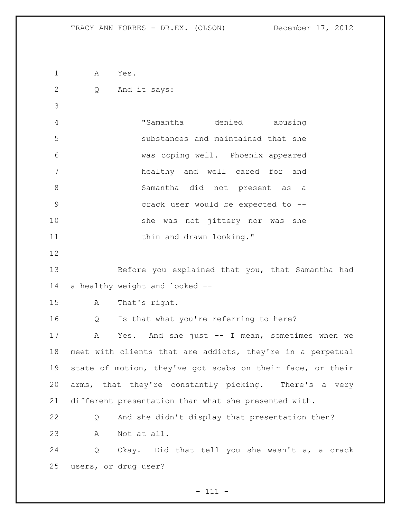A Yes. Q And it says: "Samantha denied abusing substances and maintained that she was coping well. Phoenix appeared healthy and well cared for and Samantha did not present as a crack user would be expected to -- she was not jittery nor was she 11 thin and drawn looking." Before you explained that you, that Samantha had a healthy weight and looked -- A That's right. Q Is that what you're referring to here? A Yes. And she just -- I mean, sometimes when we meet with clients that are addicts, they're in a perpetual state of motion, they've got scabs on their face, or their arms, that they're constantly picking. There's a very different presentation than what she presented with. Q And she didn't display that presentation then? A Not at all. Q Okay. Did that tell you she wasn't a, a crack users, or drug user?

- 111 -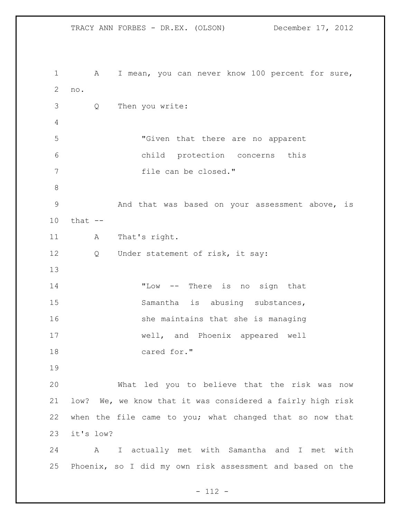TRACY ANN FORBES - DR.EX. (OLSON) December 17, 2012 A I mean, you can never know 100 percent for sure, no. Q Then you write: "Given that there are no apparent child protection concerns this 7 file can be closed." And that was based on your assessment above, is that -- 11 A That's right. 12 Q Under statement of risk, it say: "Low -- There is no sign that 15 Samantha is abusing substances, 16 5 16 she maintains that she is managing well, and Phoenix appeared well cared for." What led you to believe that the risk was now low? We, we know that it was considered a fairly high risk when the file came to you; what changed that so now that it's low? A I actually met with Samantha and I met with Phoenix, so I did my own risk assessment and based on the

- 112 -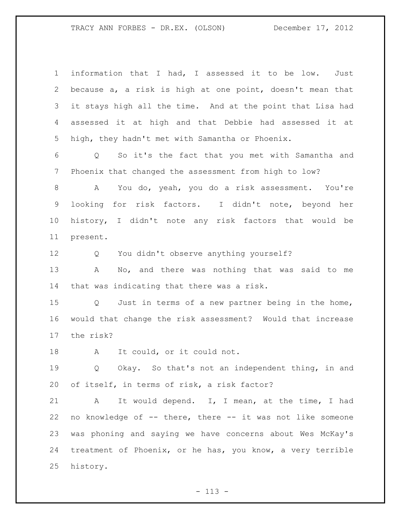| $\mathbf 1$     | information that I had, I assessed it to be low.<br>Just   |
|-----------------|------------------------------------------------------------|
| 2               | because a, a risk is high at one point, doesn't mean that  |
| 3               | it stays high all the time. And at the point that Lisa had |
|                 |                                                            |
| 4               | assessed it at high and that Debbie had assessed it at     |
| 5               | high, they hadn't met with Samantha or Phoenix.            |
| 6               | So it's the fact that you met with Samantha and<br>Q       |
| 7               | Phoenix that changed the assessment from high to low?      |
| 8               | You do, yeah, you do a risk assessment. You're<br>A        |
| 9               | looking for risk factors. I didn't note, beyond her        |
| 10 <sub>o</sub> | history, I didn't note any risk factors that would be      |
| 11              | present.                                                   |
| 12              | Q You didn't observe anything yourself?                    |
| 13              | Α<br>No, and there was nothing that was said to me         |
| 14              | that was indicating that there was a risk.                 |
| 15              | Q Just in terms of a new partner being in the home,        |
| 16              | would that change the risk assessment? Would that increase |
| 17              | the risk?                                                  |
| 18              | It could, or it could not.<br>A                            |
| 19              | Q Okay. So that's not an independent thing, in and         |
| 20              | of itself, in terms of risk, a risk factor?                |
| 21              | It would depend. I, I mean, at the time, I had<br>Α        |
| 22              | no knowledge of -- there, there -- it was not like someone |
| 23              | was phoning and saying we have concerns about Wes McKay's  |
| 24              | treatment of Phoenix, or he has, you know, a very terrible |
| 25              | history.                                                   |
|                 |                                                            |

- 113 -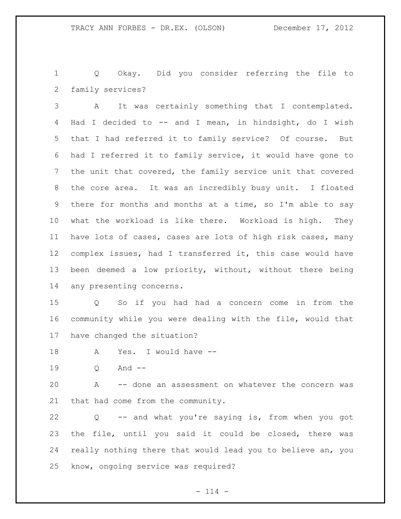Q Okay. Did you consider referring the file to family services?

 A It was certainly something that I contemplated. Had I decided to -- and I mean, in hindsight, do I wish that I had referred it to family service? Of course. But had I referred it to family service, it would have gone to the unit that covered, the family service unit that covered the core area. It was an incredibly busy unit. I floated there for months and months at a time, so I'm able to say what the workload is like there. Workload is high. They have lots of cases, cases are lots of high risk cases, many complex issues, had I transferred it, this case would have been deemed a low priority, without, without there being any presenting concerns.

 Q So if you had had a concern come in from the community while you were dealing with the file, would that have changed the situation?

A Yes. I would have --

Q And --

 A -- done an assessment on whatever the concern was that had come from the community.

 Q -- and what you're saying is, from when you got the file, until you said it could be closed, there was really nothing there that would lead you to believe an, you know, ongoing service was required?

 $- 114 -$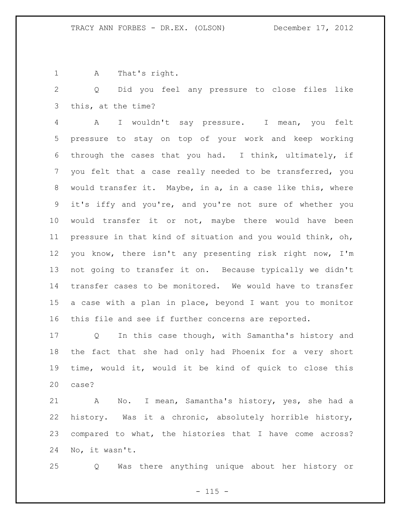A That's right.

 Q Did you feel any pressure to close files like this, at the time?

 A I wouldn't say pressure. I mean, you felt pressure to stay on top of your work and keep working through the cases that you had. I think, ultimately, if you felt that a case really needed to be transferred, you would transfer it. Maybe, in a, in a case like this, where it's iffy and you're, and you're not sure of whether you would transfer it or not, maybe there would have been pressure in that kind of situation and you would think, oh, you know, there isn't any presenting risk right now, I'm not going to transfer it on. Because typically we didn't transfer cases to be monitored. We would have to transfer a case with a plan in place, beyond I want you to monitor this file and see if further concerns are reported.

 Q In this case though, with Samantha's history and the fact that she had only had Phoenix for a very short time, would it, would it be kind of quick to close this case?

 A No. I mean, Samantha's history, yes, she had a history. Was it a chronic, absolutely horrible history, compared to what, the histories that I have come across? No, it wasn't.

Q Was there anything unique about her history or

 $- 115 -$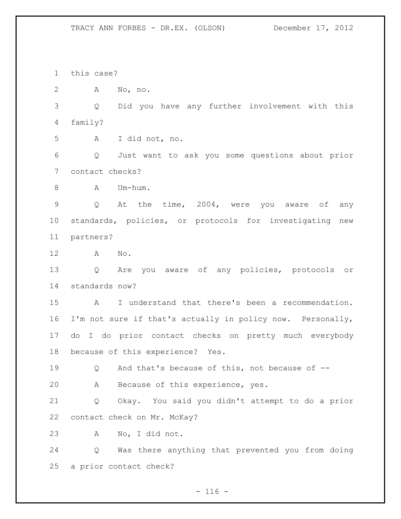this case?

A No, no.

 Q Did you have any further involvement with this family?

A I did not, no.

 Q Just want to ask you some questions about prior contact checks?

8 A Um-hum.

 Q At the time, 2004, were you aware of any standards, policies, or protocols for investigating new partners?

A No.

 Q Are you aware of any policies, protocols or standards now?

 A I understand that there's been a recommendation. I'm not sure if that's actually in policy now. Personally, do I do prior contact checks on pretty much everybody because of this experience? Yes.

Q And that's because of this, not because of --

A Because of this experience, yes.

 Q Okay. You said you didn't attempt to do a prior contact check on Mr. McKay?

A No, I did not.

 Q Was there anything that prevented you from doing a prior contact check?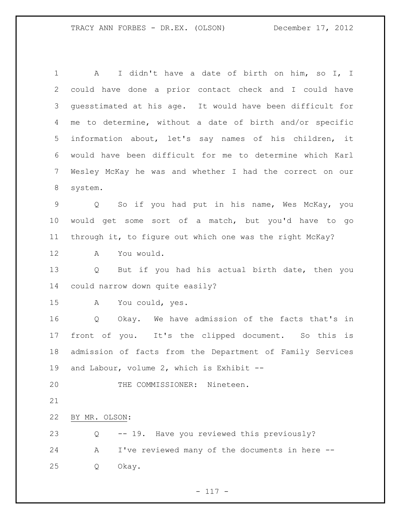A I didn't have a date of birth on him, so I, I could have done a prior contact check and I could have guesstimated at his age. It would have been difficult for me to determine, without a date of birth and/or specific information about, let's say names of his children, it would have been difficult for me to determine which Karl Wesley McKay he was and whether I had the correct on our system. Q So if you had put in his name, Wes McKay, you would get some sort of a match, but you'd have to go through it, to figure out which one was the right McKay? A You would. Q But if you had his actual birth date, then you could narrow down quite easily? A You could, yes. 16 0 Okay. We have admission of the facts that's in front of you. It's the clipped document. So this is admission of facts from the Department of Family Services and Labour, volume 2, which is Exhibit -- THE COMMISSIONER: Nineteen. BY MR. OLSON: Q -- 19. Have you reviewed this previously? A I've reviewed many of the documents in here -- Q Okay.

 $- 117 -$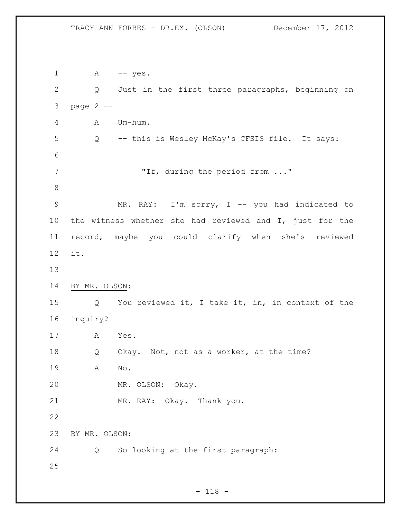1 A -- yes. Q Just in the first three paragraphs, beginning on page 2 -- A Um-hum. Q -- this is Wesley McKay's CFSIS file. It says: "If, during the period from ..." 9 MR. RAY: I'm sorry, I -- you had indicated to the witness whether she had reviewed and I, just for the record, maybe you could clarify when she's reviewed it. BY MR. OLSON: Q You reviewed it, I take it, in, in context of the inquiry? A Yes. Q Okay. Not, not as a worker, at the time? A No. MR. OLSON: Okay. MR. RAY: Okay. Thank you. BY MR. OLSON: Q So looking at the first paragraph: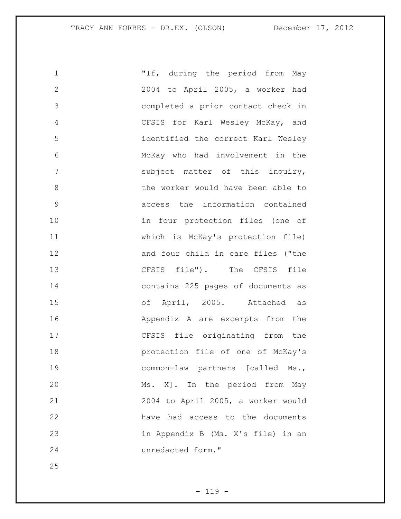| 1             | "If, during the period from May    |
|---------------|------------------------------------|
| $\mathbf{2}$  | 2004 to April 2005, a worker had   |
| 3             | completed a prior contact check in |
| 4             | CFSIS for Karl Wesley McKay, and   |
| 5             | identified the correct Karl Wesley |
| 6             | McKay who had involvement in the   |
| 7             | subject matter of this inquiry,    |
| 8             | the worker would have been able to |
| $\mathcal{G}$ | access the information contained   |
| 10            | in four protection files (one of   |
| 11            | which is McKay's protection file)  |
| 12            | and four child in care files ("the |
| 13            | CFSIS file"). The CFSIS file       |
| 14            | contains 225 pages of documents as |
| 15            | of April, 2005. Attached as        |
| 16            | Appendix A are excerpts from the   |
| 17            | CFSIS file originating from the    |
| 18            | protection file of one of McKay's  |
| 19            | common-law partners [called Ms.,   |
| 20            | Ms. X]. In the period from May     |
| 21            | 2004 to April 2005, a worker would |
| 22            | have had access to the documents   |
| 23            | in Appendix B (Ms. X's file) in an |
| 24            | unredacted form."                  |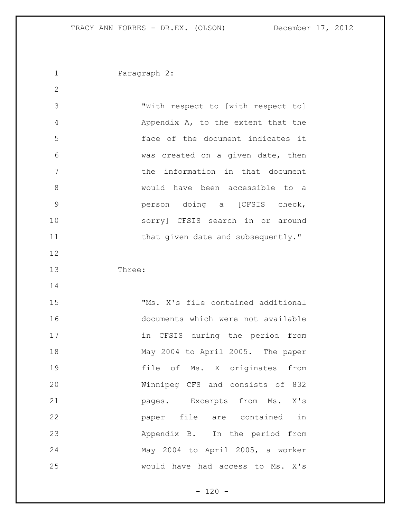Paragraph 2: "With respect to [with respect to] Appendix A, to the extent that the face of the document indicates it was created on a given date, then the information in that document would have been accessible to a person doing a [CFSIS check, sorry] CFSIS search in or around 11 that given date and subsequently." Three: "Ms. X's file contained additional documents which were not available in CFSIS during the period from May 2004 to April 2005. The paper file of Ms. X originates from Winnipeg CFS and consists of 832 pages. Excerpts from Ms. X's paper file are contained in Appendix B. In the period from May 2004 to April 2005, a worker would have had access to Ms. X's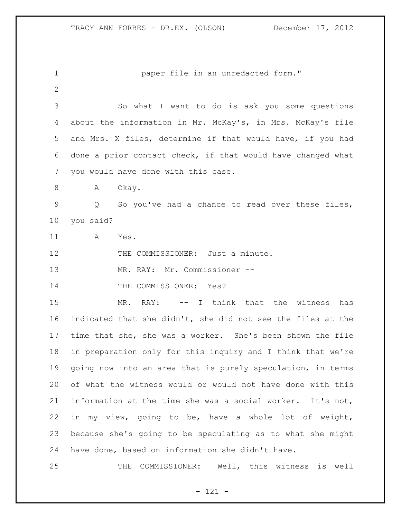paper file in an unredacted form." So what I want to do is ask you some questions about the information in Mr. McKay's, in Mrs. McKay's file and Mrs. X files, determine if that would have, if you had done a prior contact check, if that would have changed what you would have done with this case. 8 A Okay. Q So you've had a chance to read over these files, you said? A Yes. 12 THE COMMISSIONER: Just a minute. MR. RAY: Mr. Commissioner -- 14 THE COMMISSIONER: Yes? 15 MR. RAY: -- I think that the witness has indicated that she didn't, she did not see the files at the time that she, she was a worker. She's been shown the file in preparation only for this inquiry and I think that we're going now into an area that is purely speculation, in terms of what the witness would or would not have done with this information at the time she was a social worker. It's not, in my view, going to be, have a whole lot of weight, because she's going to be speculating as to what she might have done, based on information she didn't have. THE COMMISSIONER: Well, this witness is well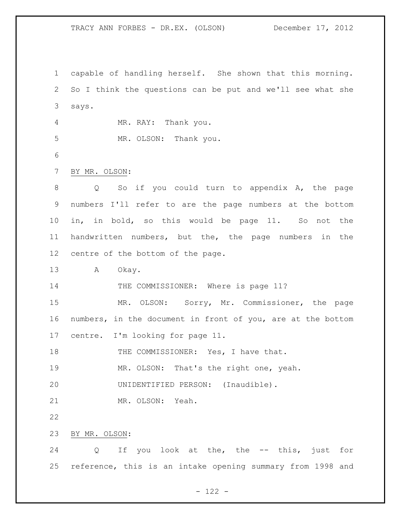TRACY ANN FORBES - DR.EX. (OLSON) December 17, 2012

 capable of handling herself. She shown that this morning. So I think the questions can be put and we'll see what she says. MR. RAY: Thank you. MR. OLSON: Thank you. BY MR. OLSON: Q So if you could turn to appendix A, the page numbers I'll refer to are the page numbers at the bottom in, in bold, so this would be page 11. So not the handwritten numbers, but the, the page numbers in the centre of the bottom of the page. A Okay. 14 THE COMMISSIONER: Where is page 11? MR. OLSON: Sorry, Mr. Commissioner, the page numbers, in the document in front of you, are at the bottom centre. I'm looking for page 11. 18 THE COMMISSIONER: Yes, I have that. 19 MR. OLSON: That's the right one, yeah. UNIDENTIFIED PERSON: (Inaudible). MR. OLSON: Yeah. BY MR. OLSON: Q If you look at the, the -- this, just for reference, this is an intake opening summary from 1998 and

- 122 -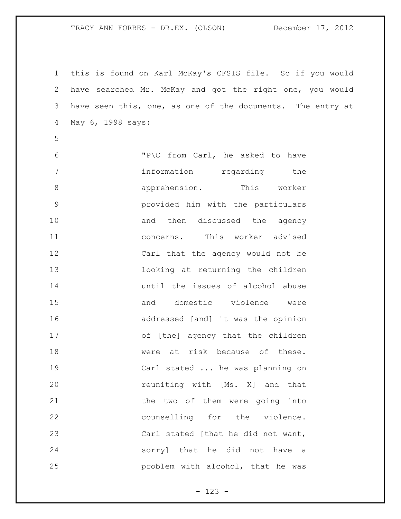TRACY ANN FORBES - DR.EX. (OLSON) December 17, 2012

 this is found on Karl McKay's CFSIS file. So if you would have searched Mr. McKay and got the right one, you would have seen this, one, as one of the documents. The entry at May 6, 1998 says:

 "P\C from Carl, he asked to have 7 information regarding the apprehension. This worker provided him with the particulars 10 and then discussed the agency concerns. This worker advised Carl that the agency would not be looking at returning the children until the issues of alcohol abuse and domestic violence were addressed [and] it was the opinion of [the] agency that the children 18 mere at risk because of these. Carl stated ... he was planning on **120** reuniting with [Ms. X] and that 21 the two of them were going into counselling for the violence. 23 Carl stated [that he did not want, sorry] that he did not have a problem with alcohol, that he was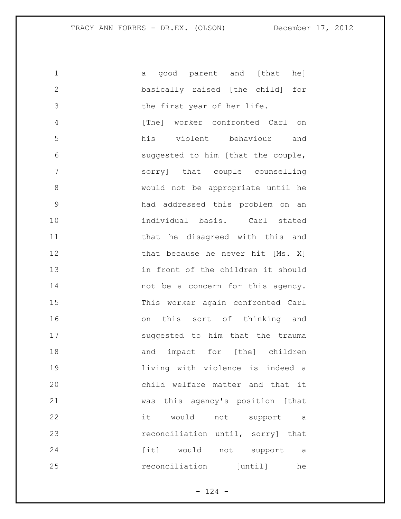| $\mathbf 1$   | good parent and [that<br>he l<br>a  |
|---------------|-------------------------------------|
| $\mathbf{2}$  | basically raised [the child]<br>for |
| 3             | the first year of her life.         |
| 4             | [The] worker confronted Carl on     |
| 5             | his violent behaviour<br>and        |
| 6             | suggested to him [that the couple,  |
| 7             | sorry] that couple counselling      |
| 8             | would not be appropriate until he   |
| $\mathcal{G}$ | had addressed this problem on an    |
| 10            | individual basis. Carl stated       |
| 11            | that he disagreed with this and     |
| 12            | that because he never hit [Ms. X]   |
| 13            | in front of the children it should  |
| 14            | not be a concern for this agency.   |
| 15            | This worker again confronted Carl   |
| 16            | on this sort of thinking and        |
| 17            | suggested to him that the trauma    |
| 18            | impact for [the] children<br>and    |
| 19            | living with violence is indeed a    |
| 20            | child welfare matter and that it    |
| 21            | was this agency's position [that    |
| 22            | it would not support a              |
| 23            | reconciliation until, sorry] that   |
| 24            | [it] would not support a            |
| 25            | reconciliation [until]<br>he        |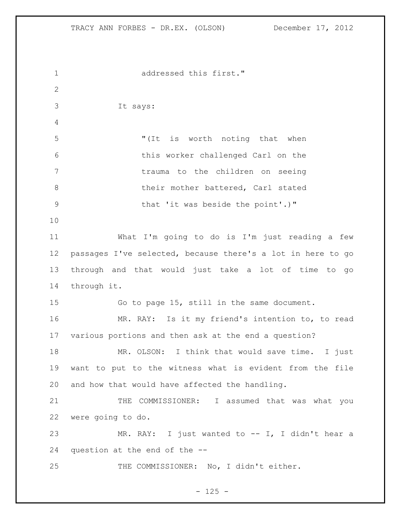addressed this first." It says: "(It is worth noting that when this worker challenged Carl on the trauma to the children on seeing 8 being their mother battered, Carl stated 9 that 'it was beside the point'.)" What I'm going to do is I'm just reading a few passages I've selected, because there's a lot in here to go through and that would just take a lot of time to go through it. Go to page 15, still in the same document. MR. RAY: Is it my friend's intention to, to read various portions and then ask at the end a question? MR. OLSON: I think that would save time. I just want to put to the witness what is evident from the file and how that would have affected the handling. 21 THE COMMISSIONER: I assumed that was what you were going to do. MR. RAY: I just wanted to -- I, I didn't hear a question at the end of the -- THE COMMISSIONER: No, I didn't either.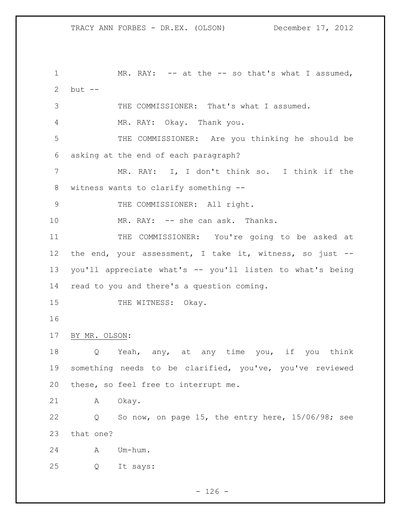1 MR. RAY: -- at the -- so that's what I assumed, but -- THE COMMISSIONER: That's what I assumed. MR. RAY: Okay. Thank you. THE COMMISSIONER: Are you thinking he should be asking at the end of each paragraph? MR. RAY: I, I don't think so. I think if the witness wants to clarify something -- 9 THE COMMISSIONER: All right. 10 MR. RAY: -- she can ask. Thanks. 11 THE COMMISSIONER: You're going to be asked at 12 the end, your assessment, I take it, witness, so just -- you'll appreciate what's -- you'll listen to what's being read to you and there's a question coming. 15 THE WITNESS: Okay. BY MR. OLSON: Q Yeah, any, at any time you, if you think something needs to be clarified, you've, you've reviewed these, so feel free to interrupt me. A Okay. Q So now, on page 15, the entry here, 15/06/98; see that one? A Um-hum. Q It says:

 $- 126 -$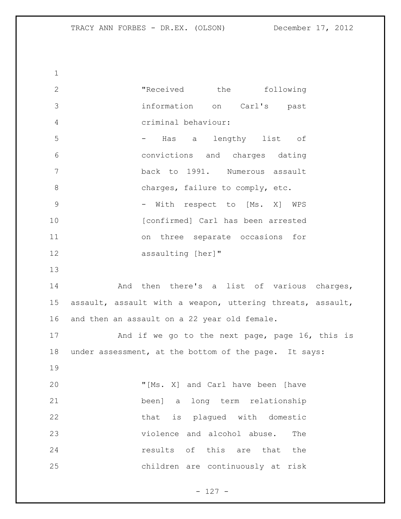2 The Teceived the following information on Carl's past criminal behaviour: - Has a lengthy list of convictions and charges dating back to 1991. Numerous assault 8 charges, failure to comply, etc. 9 - With respect to [Ms. X] WPS **[confirmed]** Carl has been arrested on three separate occasions for 12 assaulting [her]" And then there's a list of various charges, assault, assault with a weapon, uttering threats, assault, and then an assault on a 22 year old female. 17 And if we go to the next page, page 16, this is under assessment, at the bottom of the page. It says: "[Ms. X] and Carl have been [have been] a long term relationship that is plagued with domestic violence and alcohol abuse. The **results** of this are that the children are continuously at risk

 $- 127 -$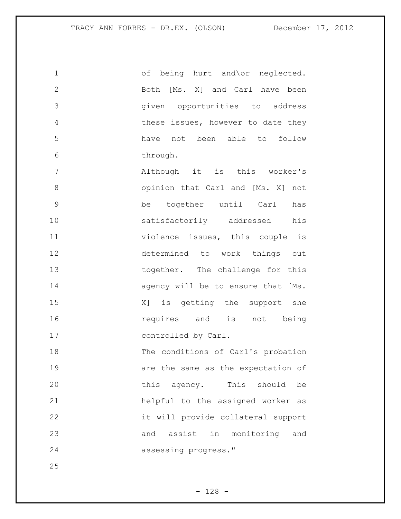| 1              | of being hurt and\or neglected.      |
|----------------|--------------------------------------|
| $\mathbf{2}$   | Both [Ms. X] and Carl have been      |
| 3              | given opportunities to address       |
| $\overline{4}$ | these issues, however to date they   |
| 5              | have not been able to follow         |
| $6\,$          | through.                             |
| 7              | Although it is this worker's         |
| 8              | opinion that Carl and [Ms. X] not    |
| $\mathcal{G}$  | together until Carl<br>be<br>has     |
| 10             | satisfactorily addressed his         |
| 11             | violence issues, this couple is      |
| 12             | determined to work things out        |
| 13             | together. The challenge for this     |
| 14             | agency will be to ensure that [Ms.   |
| 15             | X] is getting the support she        |
| 16             | requires and is not being            |
| 17             | controlled by Carl.                  |
| 18             | The conditions of Carl's probation   |
| 19             | are the same as the expectation of   |
| 20             | this agency. This should<br>be       |
| 21             | helpful to the assigned worker<br>as |
| 22             | it will provide collateral support   |
| 23             | and assist in monitoring and         |
| 24             | assessing progress."                 |
| 25             |                                      |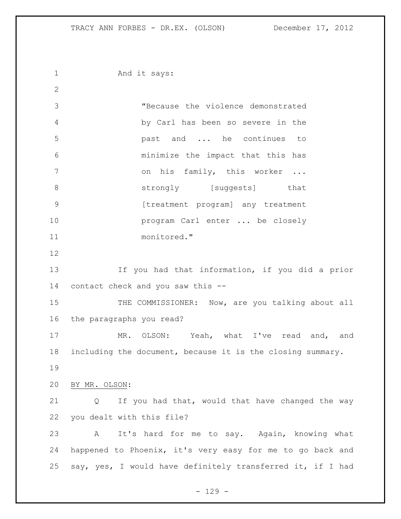1 And it says: "Because the violence demonstrated by Carl has been so severe in the past and ... he continues to minimize the impact that this has 7 on his family, this worker ... 8 strongly [suggests] that 9 [treatment program] any treatment **program Carl enter ...** be closely monitored." If you had that information, if you did a prior contact check and you saw this -- 15 THE COMMISSIONER: Now, are you talking about all the paragraphs you read? MR. OLSON: Yeah, what I've read and, and including the document, because it is the closing summary. BY MR. OLSON: Q If you had that, would that have changed the way you dealt with this file? A It's hard for me to say. Again, knowing what happened to Phoenix, it's very easy for me to go back and say, yes, I would have definitely transferred it, if I had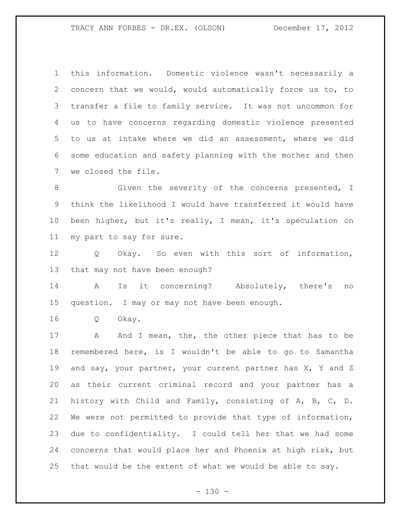this information. Domestic violence wasn't necessarily a concern that we would, would automatically force us to, to transfer a file to family service. It was not uncommon for us to have concerns regarding domestic violence presented to us at intake where we did an assessment, where we did some education and safety planning with the mother and then we closed the file.

8 6 6 Given the severity of the concerns presented, I think the likelihood I would have transferred it would have been higher, but it's really, I mean, it's speculation on my part to say for sure.

 Q Okay. So even with this sort of information, that may not have been enough?

 A Is it concerning? Absolutely, there's no question. I may or may not have been enough.

Q Okay.

17 A And I mean, the, the other piece that has to be remembered here, is I wouldn't be able to go to Samantha and say, your partner, your current partner has X, Y and Z as their current criminal record and your partner has a history with Child and Family, consisting of A, B, C, D. We were not permitted to provide that type of information, due to confidentiality. I could tell her that we had some concerns that would place her and Phoenix at high risk, but that would be the extent of what we would be able to say.

 $- 130 -$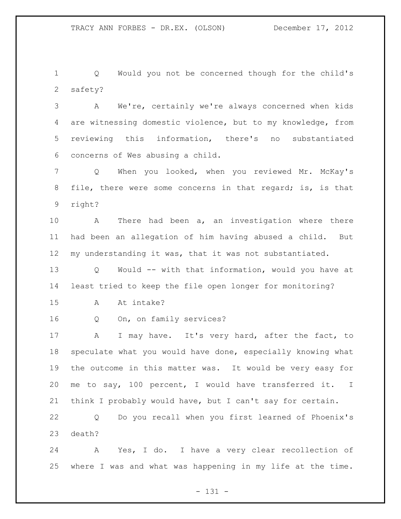Q Would you not be concerned though for the child's safety?

 A We're, certainly we're always concerned when kids are witnessing domestic violence, but to my knowledge, from reviewing this information, there's no substantiated concerns of Wes abusing a child.

 Q When you looked, when you reviewed Mr. McKay's file, there were some concerns in that regard; is, is that right?

 A There had been a, an investigation where there had been an allegation of him having abused a child. But my understanding it was, that it was not substantiated.

 Q Would -- with that information, would you have at least tried to keep the file open longer for monitoring?

A At intake?

Q On, on family services?

17 A I may have. It's very hard, after the fact, to speculate what you would have done, especially knowing what the outcome in this matter was. It would be very easy for me to say, 100 percent, I would have transferred it. I think I probably would have, but I can't say for certain.

 Q Do you recall when you first learned of Phoenix's death?

 A Yes, I do. I have a very clear recollection of where I was and what was happening in my life at the time.

- 131 -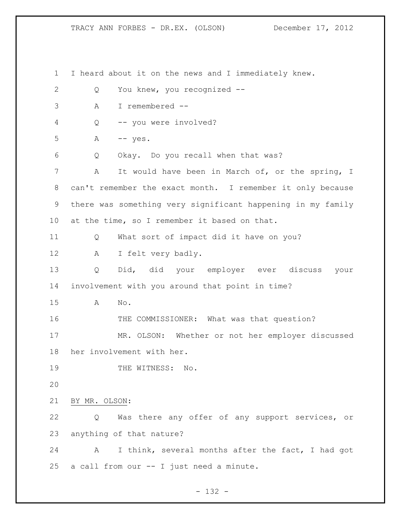I heard about it on the news and I immediately knew. Q You knew, you recognized -- A I remembered -- Q -- you were involved? A  $-$  yes. Q Okay. Do you recall when that was? A It would have been in March of, or the spring, I can't remember the exact month. I remember it only because there was something very significant happening in my family at the time, so I remember it based on that. Q What sort of impact did it have on you? A I felt very badly. Q Did, did your employer ever discuss your involvement with you around that point in time? A No. 16 THE COMMISSIONER: What was that question? MR. OLSON: Whether or not her employer discussed her involvement with her. 19 THE WITNESS: No. BY MR. OLSON: Q Was there any offer of any support services, or anything of that nature? A I think, several months after the fact, I had got a call from our -- I just need a minute.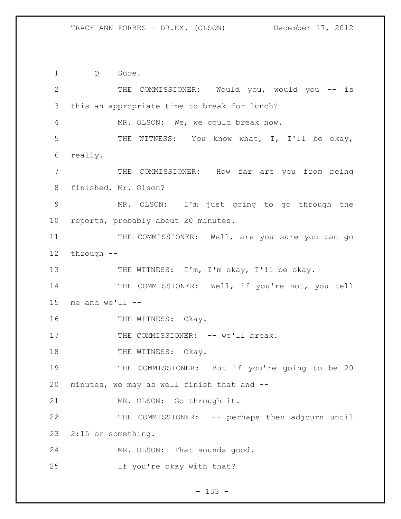Q Sure. THE COMMISSIONER: Would you, would you -- is this an appropriate time to break for lunch? MR. OLSON: We, we could break now. THE WITNESS: You know what, I, I'll be okay, really. THE COMMISSIONER: How far are you from being finished, Mr. Olson? MR. OLSON: I'm just going to go through the reports, probably about 20 minutes. 11 THE COMMISSIONER: Well, are you sure you can go through -- 13 THE WITNESS: I'm, I'm okay, I'll be okay. 14 THE COMMISSIONER: Well, if you're not, you tell 15 me and  $we'll$  --16 THE WITNESS: Okay. 17 THE COMMISSIONER: -- we'll break. 18 THE WITNESS: Okay. THE COMMISSIONER: But if you're going to be 20 minutes, we may as well finish that and -- MR. OLSON: Go through it. THE COMMISSIONER: -- perhaps then adjourn until 2:15 or something. MR. OLSON: That sounds good. If you're okay with that?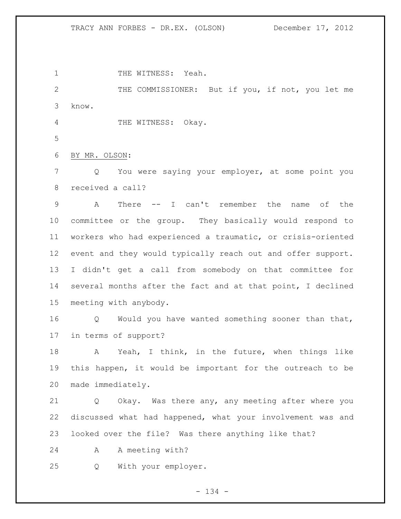1 THE WITNESS: Yeah.

 THE COMMISSIONER: But if you, if not, you let me know.

4 THE WITNESS: Okay.

BY MR. OLSON:

 Q You were saying your employer, at some point you received a call?

 A There -- I can't remember the name of the committee or the group. They basically would respond to workers who had experienced a traumatic, or crisis-oriented event and they would typically reach out and offer support. I didn't get a call from somebody on that committee for several months after the fact and at that point, I declined meeting with anybody.

 Q Would you have wanted something sooner than that, in terms of support?

 A Yeah, I think, in the future, when things like this happen, it would be important for the outreach to be made immediately.

 Q Okay. Was there any, any meeting after where you discussed what had happened, what your involvement was and looked over the file? Was there anything like that?

A A meeting with?

Q With your employer.

- 134 -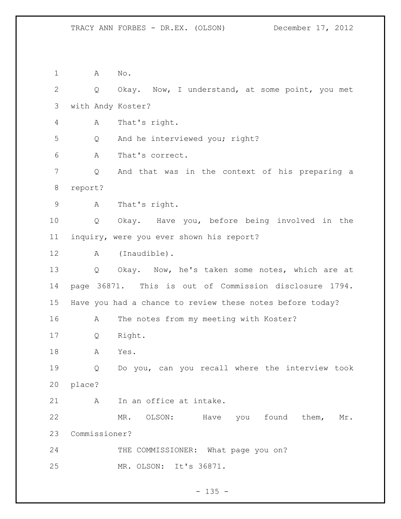A No. Q Okay. Now, I understand, at some point, you met with Andy Koster? A That's right. Q And he interviewed you; right? A That's correct. Q And that was in the context of his preparing a report? A That's right. Q Okay. Have you, before being involved in the inquiry, were you ever shown his report? 12 A (Inaudible). Q Okay. Now, he's taken some notes, which are at page 36871. This is out of Commission disclosure 1794. Have you had a chance to review these notes before today? 16 A The notes from my meeting with Koster? Q Right. A Yes. Q Do you, can you recall where the interview took place? 21 A In an office at intake. 22 MR. OLSON: Have you found them, Mr. Commissioner? 24 THE COMMISSIONER: What page you on? MR. OLSON: It's 36871.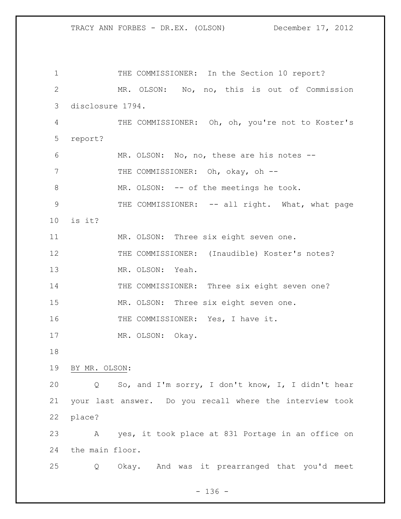1 THE COMMISSIONER: In the Section 10 report? MR. OLSON: No, no, this is out of Commission disclosure 1794. THE COMMISSIONER: Oh, oh, you're not to Koster's report? MR. OLSON: No, no, these are his notes -- 7 THE COMMISSIONER: Oh, okay, oh --8 MR. OLSON: -- of the meetings he took. 9 THE COMMISSIONER: -- all right. What, what page is it? MR. OLSON: Three six eight seven one. 12 THE COMMISSIONER: (Inaudible) Koster's notes? MR. OLSON: Yeah. 14 THE COMMISSIONER: Three six eight seven one? MR. OLSON: Three six eight seven one. 16 THE COMMISSIONER: Yes, I have it. 17 MR. OLSON: Okay. BY MR. OLSON: Q So, and I'm sorry, I don't know, I, I didn't hear your last answer. Do you recall where the interview took place? A yes, it took place at 831 Portage in an office on the main floor. Q Okay. And was it prearranged that you'd meet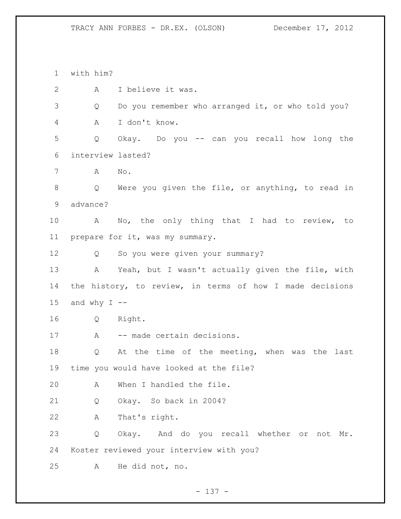with him? A I believe it was. Q Do you remember who arranged it, or who told you? A I don't know. Q Okay. Do you -- can you recall how long the interview lasted? A No. Q Were you given the file, or anything, to read in advance? A No, the only thing that I had to review, to prepare for it, was my summary. Q So you were given your summary? A Yeah, but I wasn't actually given the file, with the history, to review, in terms of how I made decisions 15 and why  $I$  -- Q Right. 17 A -- made certain decisions. Q At the time of the meeting, when was the last time you would have looked at the file? A When I handled the file. Q Okay. So back in 2004? A That's right. Q Okay. And do you recall whether or not Mr. Koster reviewed your interview with you? A He did not, no.

- 137 -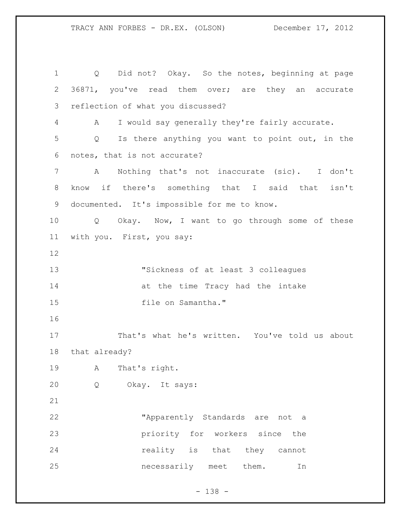Q Did not? Okay. So the notes, beginning at page 36871, you've read them over; are they an accurate reflection of what you discussed? A I would say generally they're fairly accurate. Q Is there anything you want to point out, in the notes, that is not accurate? A Nothing that's not inaccurate (sic). I don't know if there's something that I said that isn't documented. It's impossible for me to know. Q Okay. Now, I want to go through some of these with you. First, you say: "Sickness of at least 3 colleagues 14 at the time Tracy had the intake 15 file on Samantha." That's what he's written. You've told us about that already? A That's right. Q Okay. It says: "Apparently Standards are not a priority for workers since the **reality** is that they cannot necessarily meet them. In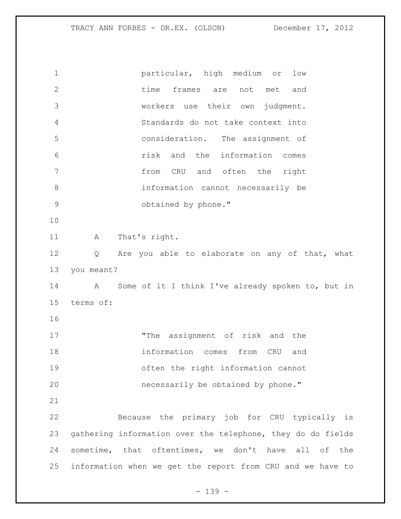## TRACY ANN FORBES - DR.EX. (OLSON) December 17, 2012

| $\mathbf 1$   | particular, high medium or<br>low                           |
|---------------|-------------------------------------------------------------|
| $\mathbf{2}$  | time<br>frames are<br>not met<br>and                        |
| 3             | workers use their own<br>judgment.                          |
| 4             | Standards do not take context into                          |
| 5             | consideration. The assignment of                            |
| 6             | risk and the information comes                              |
| 7             | from CRU and often the right                                |
| 8             | information cannot necessarily be                           |
| $\mathcal{G}$ | obtained by phone."                                         |
| 10            |                                                             |
| 11            | That's right.<br>A                                          |
| 12            | Are you able to elaborate on any of that, what<br>Q         |
| 13            | you meant?                                                  |
| 14            | Some of it I think I've already spoken to, but in<br>Α      |
| 15            | terms of:                                                   |
| 16            |                                                             |
| 17            | "The assignment of risk and the                             |
| 18            | information comes<br>from CRU<br>and                        |
| 19            | often the right information cannot                          |
| 20            | necessarily be obtained by phone."                          |
| 21            |                                                             |
| 22            | Because the primary job for CRU typically is                |
| 23            | gathering information over the telephone, they do do fields |
| 24            | sometime, that oftentimes, we don't have all of the         |
| 25            |                                                             |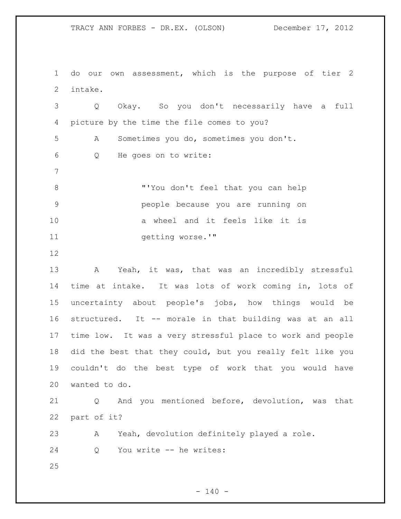TRACY ANN FORBES - DR.EX. (OLSON) December 17, 2012

 do our own assessment, which is the purpose of tier 2 intake.

 Q Okay. So you don't necessarily have a full picture by the time the file comes to you? A Sometimes you do, sometimes you don't. Q He goes on to write: "'You don't feel that you can help people because you are running on a wheel and it feels like it is 11 getting worse.'"

 A Yeah, it was, that was an incredibly stressful time at intake. It was lots of work coming in, lots of uncertainty about people's jobs, how things would be structured. It -- morale in that building was at an all time low. It was a very stressful place to work and people did the best that they could, but you really felt like you couldn't do the best type of work that you would have wanted to do.

 Q And you mentioned before, devolution, was that part of it?

A Yeah, devolution definitely played a role.

Q You write -- he writes: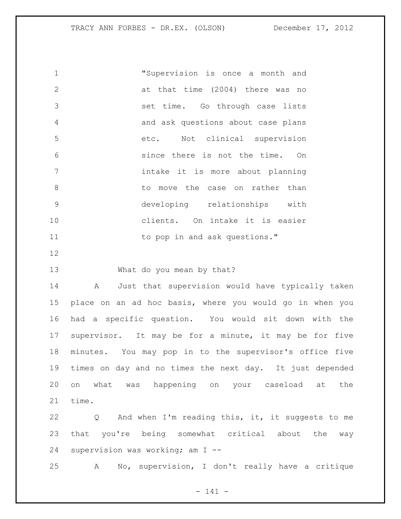"Supervision is once a month and at that time (2004) there was no set time. Go through case lists and ask questions about case plans etc. Not clinical supervision since there is not the time. On intake it is more about planning 8 bo move the case on rather than developing relationships with clients. On intake it is easier 11 to pop in and ask questions." What do you mean by that? A Just that supervision would have typically taken place on an ad hoc basis, where you would go in when you

 had a specific question. You would sit down with the supervisor. It may be for a minute, it may be for five minutes. You may pop in to the supervisor's office five times on day and no times the next day. It just depended on what was happening on your caseload at the time.

 Q And when I'm reading this, it, it suggests to me that you're being somewhat critical about the way supervision was working; am I --

A No, supervision, I don't really have a critique

- 141 -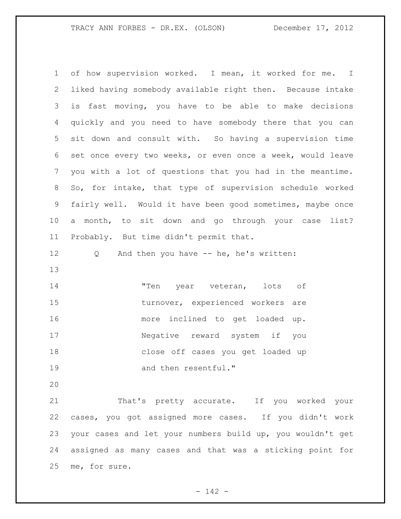of how supervision worked. I mean, it worked for me. I liked having somebody available right then. Because intake is fast moving, you have to be able to make decisions quickly and you need to have somebody there that you can sit down and consult with. So having a supervision time set once every two weeks, or even once a week, would leave you with a lot of questions that you had in the meantime. So, for intake, that type of supervision schedule worked fairly well. Would it have been good sometimes, maybe once a month, to sit down and go through your case list? Probably. But time didn't permit that. Q And then you have -- he, he's written: "Ten year veteran, lots of 15 turnover, experienced workers are more inclined to get loaded up. Negative reward system if you close off cases you get loaded up 19 and then resentful." That's pretty accurate. If you worked your cases, you got assigned more cases. If you didn't work your cases and let your numbers build up, you wouldn't get

 assigned as many cases and that was a sticking point for me, for sure.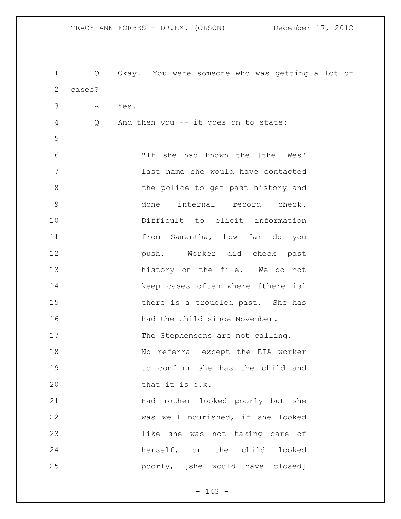Q Okay. You were someone who was getting a lot of cases? A Yes. Q And then you -- it goes on to state: "If she had known the [the] Wes' last name she would have contacted 8 the police to get past history and done internal record check. Difficult to elicit information from Samantha, how far do you push. Worker did check past 13 history on the file. We do not 14 keep cases often where [there is] 15 there is a troubled past. She has 16 had the child since November. 17 The Stephensons are not calling. No referral except the EIA worker to confirm she has the child and 20 that it is o.k. Had mother looked poorly but she was well nourished, if she looked like she was not taking care of herself, or the child looked poorly, [she would have closed]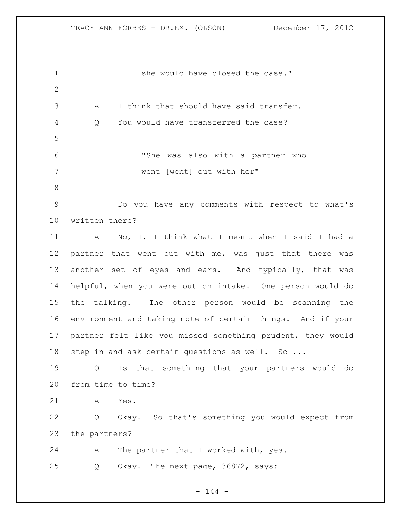1 she would have closed the case." A I think that should have said transfer. Q You would have transferred the case? "She was also with a partner who went [went] out with her" Do you have any comments with respect to what's written there? A No, I, I think what I meant when I said I had a partner that went out with me, was just that there was 13 another set of eyes and ears. And typically, that was helpful, when you were out on intake. One person would do the talking. The other person would be scanning the environment and taking note of certain things. And if your partner felt like you missed something prudent, they would 18 step in and ask certain questions as well. So ... Q Is that something that your partners would do from time to time? A Yes. Q Okay. So that's something you would expect from the partners? A The partner that I worked with, yes. Q Okay. The next page, 36872, says: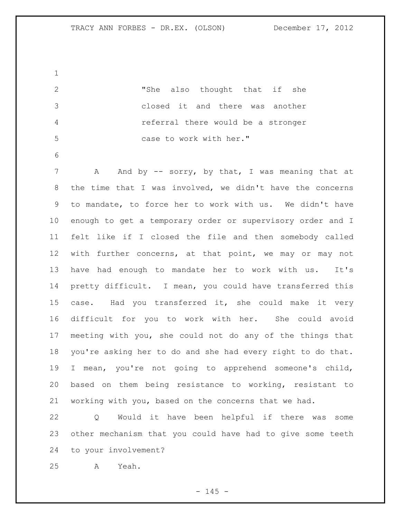"She also thought that if she closed it and there was another referral there would be a stronger case to work with her." 7 A And by -- sorry, by that, I was meaning that at the time that I was involved, we didn't have the concerns to mandate, to force her to work with us. We didn't have enough to get a temporary order or supervisory order and I felt like if I closed the file and then somebody called with further concerns, at that point, we may or may not have had enough to mandate her to work with us. It's pretty difficult. I mean, you could have transferred this 15 case. Had you transferred it, she could make it very difficult for you to work with her. She could avoid meeting with you, she could not do any of the things that you're asking her to do and she had every right to do that. I mean, you're not going to apprehend someone's child, based on them being resistance to working, resistant to working with you, based on the concerns that we had. Q Would it have been helpful if there was some other mechanism that you could have had to give some teeth

to your involvement?

A Yeah.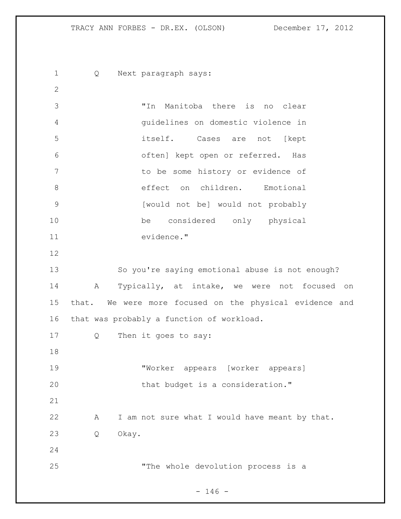Q Next paragraph says: "In Manitoba there is no clear guidelines on domestic violence in itself. Cases are not [kept often] kept open or referred. Has to be some history or evidence of 8 effect on children. Emotional [would not be] would not probably be considered only physical evidence." So you're saying emotional abuse is not enough? A Typically, at intake, we were not focused on that. We were more focused on the physical evidence and that was probably a function of workload. Q Then it goes to say: "Worker appears [worker appears] 20 that budget is a consideration." A I am not sure what I would have meant by that. Q Okay. "The whole devolution process is a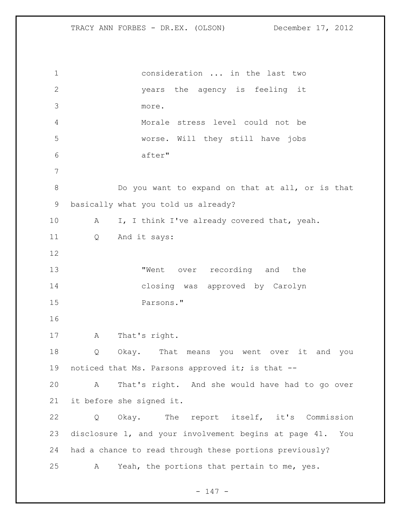consideration ... in the last two years the agency is feeling it more. Morale stress level could not be worse. Will they still have jobs after" Do you want to expand on that at all, or is that basically what you told us already? 10 A I, I think I've already covered that, yeah. Q And it says: **Went** over recording and the closing was approved by Carolyn Parsons." A That's right. Q Okay. That means you went over it and you 19 noticed that Ms. Parsons approved it; is that -- A That's right. And she would have had to go over it before she signed it. Q Okay. The report itself, it's Commission disclosure 1, and your involvement begins at page 41. You had a chance to read through these portions previously? A Yeah, the portions that pertain to me, yes.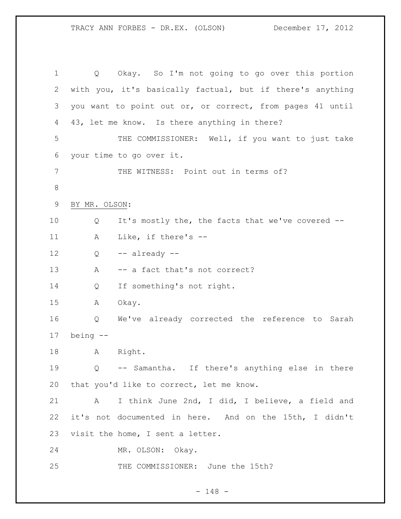Q Okay. So I'm not going to go over this portion with you, it's basically factual, but if there's anything you want to point out or, or correct, from pages 41 until 43, let me know. Is there anything in there? THE COMMISSIONER: Well, if you want to just take your time to go over it. THE WITNESS: Point out in terms of? BY MR. OLSON: Q It's mostly the, the facts that we've covered -- A Like, if there's -- Q -- already -- 13 A -- a fact that's not correct? Q If something's not right. A Okay. Q We've already corrected the reference to Sarah being -- A Right. Q -- Samantha. If there's anything else in there that you'd like to correct, let me know. A I think June 2nd, I did, I believe, a field and it's not documented in here. And on the 15th, I didn't visit the home, I sent a letter. MR. OLSON: Okay. THE COMMISSIONER: June the 15th?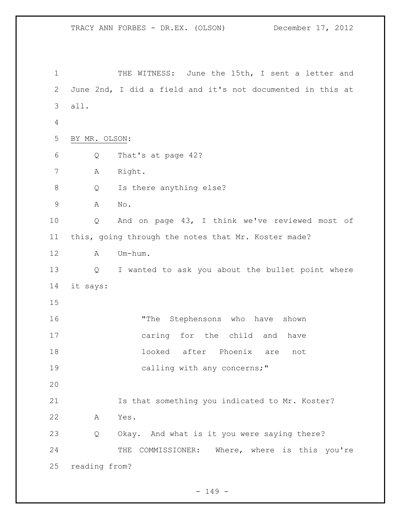TRACY ANN FORBES - DR.EX. (OLSON) December 17, 2012 1 THE WITNESS: June the 15th, I sent a letter and June 2nd, I did a field and it's not documented in this at all. BY MR. OLSON: Q That's at page 42? A Right. Q Is there anything else? A No. Q And on page 43, I think we've reviewed most of this, going through the notes that Mr. Koster made? A Um-hum. Q I wanted to ask you about the bullet point where it says: **"The Stephensons who have shown**  caring for the child and have looked after Phoenix are not 19 calling with any concerns;" Is that something you indicated to Mr. Koster? A Yes. Q Okay. And what is it you were saying there? 24 THE COMMISSIONER: Where, where is this you're reading from?

 $- 149 -$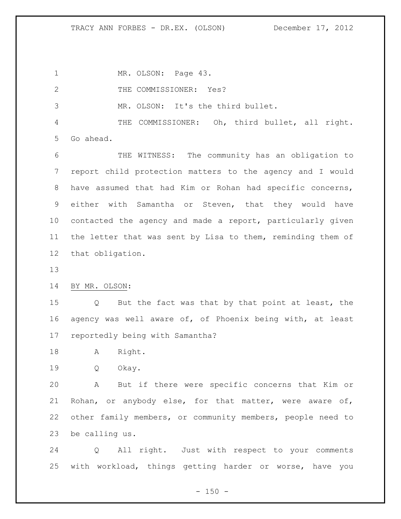1 MR. OLSON: Page 43.

2 THE COMMISSIONER: Yes?

MR. OLSON: It's the third bullet.

 THE COMMISSIONER: Oh, third bullet, all right. Go ahead.

 THE WITNESS: The community has an obligation to report child protection matters to the agency and I would have assumed that had Kim or Rohan had specific concerns, either with Samantha or Steven, that they would have contacted the agency and made a report, particularly given the letter that was sent by Lisa to them, reminding them of that obligation.

BY MR. OLSON:

 Q But the fact was that by that point at least, the agency was well aware of, of Phoenix being with, at least reportedly being with Samantha?

A Right.

Q Okay.

 A But if there were specific concerns that Kim or Rohan, or anybody else, for that matter, were aware of, other family members, or community members, people need to be calling us.

 Q All right. Just with respect to your comments with workload, things getting harder or worse, have you

 $- 150 -$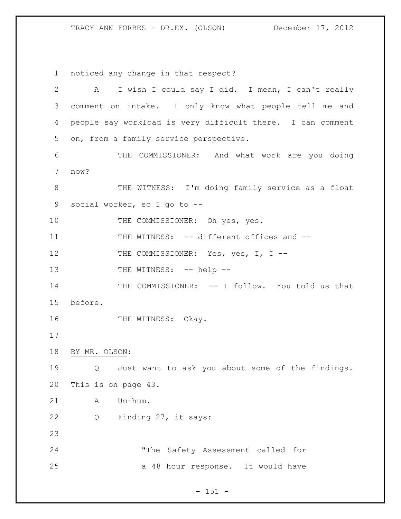noticed any change in that respect?

| $\overline{2}$ | I wish I could say I did. I mean, I can't really<br>$\mathbf{A}$      |  |  |
|----------------|-----------------------------------------------------------------------|--|--|
| 3              | comment on intake. I only know what people tell me and                |  |  |
| 4              | people say workload is very difficult there. I can comment            |  |  |
| 5              | on, from a family service perspective.                                |  |  |
| 6              | THE COMMISSIONER: And what work are you doing                         |  |  |
| 7              | now?                                                                  |  |  |
| $8\,$          | THE WITNESS: I'm doing family service as a float                      |  |  |
| 9              | social worker, so I go to --                                          |  |  |
| 10             | THE COMMISSIONER: Oh yes, yes.                                        |  |  |
| 11             | THE WITNESS: -- different offices and --                              |  |  |
| 12             | THE COMMISSIONER: Yes, yes, I, I --                                   |  |  |
| 13             | THE WITNESS: -- help --                                               |  |  |
| 14             | THE COMMISSIONER: -- I follow. You told us that                       |  |  |
| 15             | before.                                                               |  |  |
| 16             | THE WITNESS: Okay.                                                    |  |  |
| 17             |                                                                       |  |  |
| 18             | BY MR. OLSON:                                                         |  |  |
| 19             | Just want to ask you about some of the findings.<br>$Q \qquad \qquad$ |  |  |
| 20             | This is on page 43.                                                   |  |  |
| 21             | Um-hum.<br>Α                                                          |  |  |
| 22             | Finding 27, it says:<br>Q                                             |  |  |
| 23             |                                                                       |  |  |
| 24             | "The Safety Assessment called for                                     |  |  |
| 25             | a 48 hour response. It would have                                     |  |  |
|                |                                                                       |  |  |

- 151 -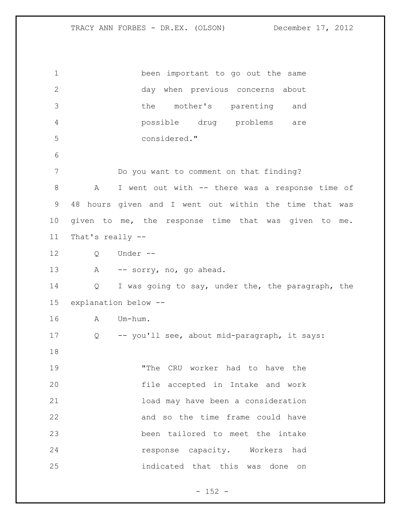been important to go out the same day when previous concerns about the mother's parenting and possible drug problems are considered." Do you want to comment on that finding? 8 A I went out with -- there was a response time of 48 hours given and I went out within the time that was given to me, the response time that was given to me. That's really -- Q Under -- A -- sorry, no, go ahead. Q I was going to say, under the, the paragraph, the explanation below -- A Um-hum. Q -- you'll see, about mid-paragraph, it says: "The CRU worker had to have the file accepted in Intake and work load may have been a consideration and so the time frame could have been tailored to meet the intake response capacity. Workers had indicated that this was done on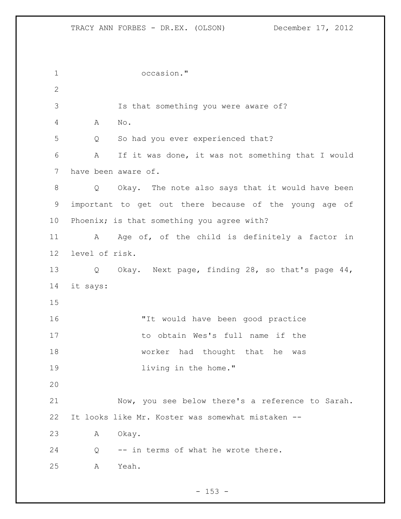occasion." Is that something you were aware of? A No. Q So had you ever experienced that? A If it was done, it was not something that I would have been aware of. Q Okay. The note also says that it would have been important to get out there because of the young age of Phoenix; is that something you agree with? 11 A Age of, of the child is definitely a factor in level of risk. Q Okay. Next page, finding 28, so that's page 44, it says: "It would have been good practice to obtain Wes's full name if the 18 worker had thought that he was **living in the home.**" Now, you see below there's a reference to Sarah. It looks like Mr. Koster was somewhat mistaken -- A Okay. Q -- in terms of what he wrote there. A Yeah.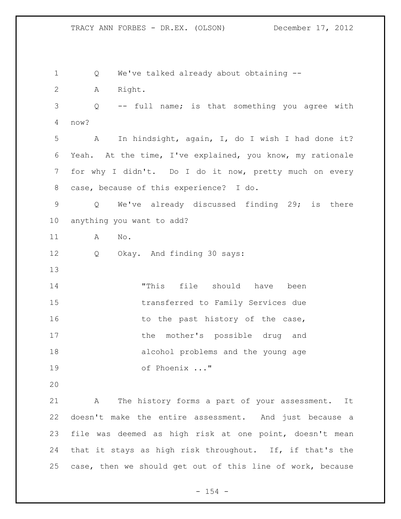Q We've talked already about obtaining -- A Right. Q -- full name; is that something you agree with now? A In hindsight, again, I, do I wish I had done it? Yeah. At the time, I've explained, you know, my rationale for why I didn't. Do I do it now, pretty much on every case, because of this experience? I do. Q We've already discussed finding 29; is there anything you want to add? A No. Q Okay. And finding 30 says: "This file should have been transferred to Family Services due 16 to the past history of the case, the mother's possible drug and alcohol problems and the young age of Phoenix ..." A The history forms a part of your assessment. It doesn't make the entire assessment. And just because a file was deemed as high risk at one point, doesn't mean that it stays as high risk throughout. If, if that's the case, then we should get out of this line of work, because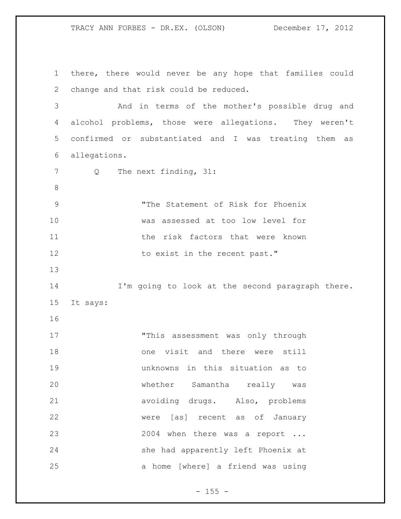there, there would never be any hope that families could change and that risk could be reduced. And in terms of the mother's possible drug and alcohol problems, those were allegations. They weren't confirmed or substantiated and I was treating them as allegations. 7 Q The next finding, 31: "The Statement of Risk for Phoenix was assessed at too low level for 11 the risk factors that were known 12 to exist in the recent past." I'm going to look at the second paragraph there. It says: "This assessment was only through one visit and there were still unknowns in this situation as to whether Samantha really was avoiding drugs. Also, problems were [as] recent as of January 23 2004 when there was a report ... she had apparently left Phoenix at a home [where] a friend was using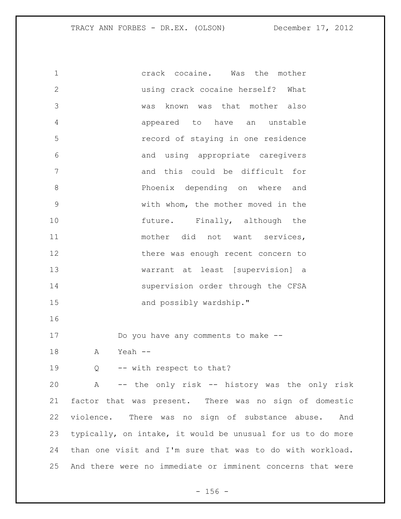crack cocaine. Was the mother using crack cocaine herself? What was known was that mother also appeared to have an unstable record of staying in one residence and using appropriate caregivers and this could be difficult for **B**hoenix depending on where and with whom, the mother moved in the 10 future. Finally, although the 11 mother did not want services, 12 there was enough recent concern to warrant at least [supervision] a 14 supervision order through the CFSA 15 and possibly wardship." Do you have any comments to make -- A Yeah -- 19 Q -- with respect to that? A -- the only risk -- history was the only risk factor that was present. There was no sign of domestic violence. There was no sign of substance abuse. And typically, on intake, it would be unusual for us to do more than one visit and I'm sure that was to do with workload. And there were no immediate or imminent concerns that were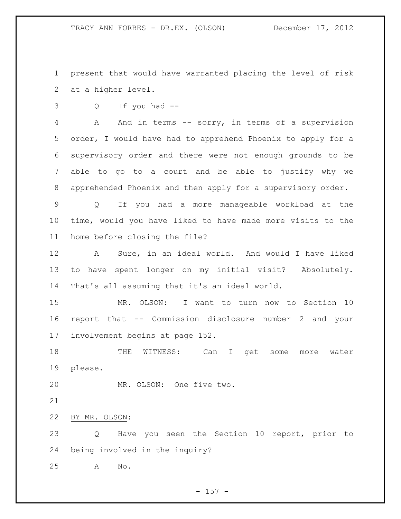present that would have warranted placing the level of risk at a higher level.

Q If you had --

 A And in terms -- sorry, in terms of a supervision order, I would have had to apprehend Phoenix to apply for a supervisory order and there were not enough grounds to be able to go to a court and be able to justify why we apprehended Phoenix and then apply for a supervisory order.

 Q If you had a more manageable workload at the time, would you have liked to have made more visits to the home before closing the file?

 A Sure, in an ideal world. And would I have liked to have spent longer on my initial visit? Absolutely. That's all assuming that it's an ideal world.

 MR. OLSON: I want to turn now to Section 10 report that -- Commission disclosure number 2 and your involvement begins at page 152.

 THE WITNESS: Can I get some more water please.

MR. OLSON: One five two.

BY MR. OLSON:

 Q Have you seen the Section 10 report, prior to being involved in the inquiry?

A No.

 $- 157 -$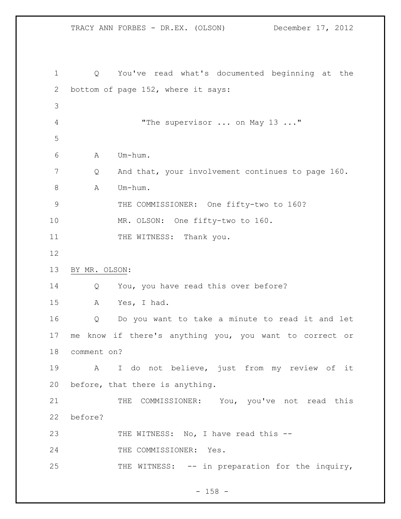TRACY ANN FORBES - DR.EX. (OLSON) December 17, 2012 Q You've read what's documented beginning at the bottom of page 152, where it says: 4 The supervisor ... on May 13 ..." A Um-hum. Q And that, your involvement continues to page 160. A Um-hum. THE COMMISSIONER: One fifty-two to 160? MR. OLSON: One fifty-two to 160. 11 THE WITNESS: Thank you. BY MR. OLSON: Q You, you have read this over before? A Yes, I had. Q Do you want to take a minute to read it and let me know if there's anything you, you want to correct or comment on? A I do not believe, just from my review of it before, that there is anything. 21 THE COMMISSIONER: You, you've not read this before? 23 THE WITNESS: No, I have read this --24 THE COMMISSIONER: Yes. THE WITNESS: -- in preparation for the inquiry,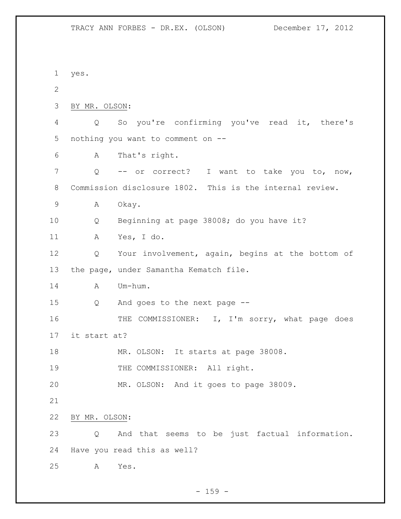yes. BY MR. OLSON: Q So you're confirming you've read it, there's nothing you want to comment on -- A That's right. Q -- or correct? I want to take you to, now, Commission disclosure 1802. This is the internal review. A Okay. Q Beginning at page 38008; do you have it? A Yes, I do. Q Your involvement, again, begins at the bottom of the page, under Samantha Kematch file. 14 A Um-hum. Q And goes to the next page -- THE COMMISSIONER: I, I'm sorry, what page does it start at? MR. OLSON: It starts at page 38008. 19 THE COMMISSIONER: All right. MR. OLSON: And it goes to page 38009. BY MR. OLSON: Q And that seems to be just factual information. Have you read this as well? A Yes.

 $- 159 -$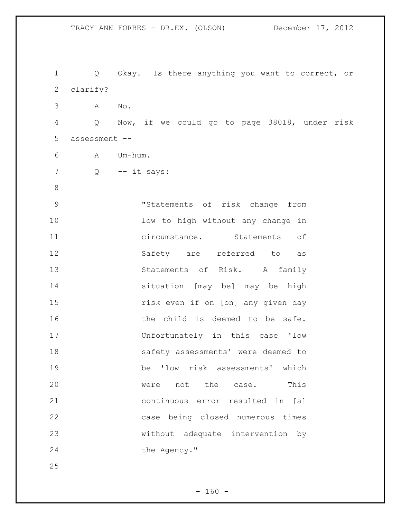TRACY ANN FORBES - DR.EX. (OLSON) December 17, 2012 Q Okay. Is there anything you want to correct, or clarify? A No. Q Now, if we could go to page 38018, under risk assessment -- A Um-hum. Q -- it says: "Statements of risk change from 10 low to high without any change in circumstance. Statements of Safety are referred to as 13 Statements of Risk. A family situation [may be] may be high risk even if on [on] any given day 16 the child is deemed to be safe. Unfortunately in this case 'low 18 safety assessments' were deemed to be 'low risk assessments' which 20 were not the case. This continuous error resulted in [a] case being closed numerous times without adequate intervention by 24 the Agency."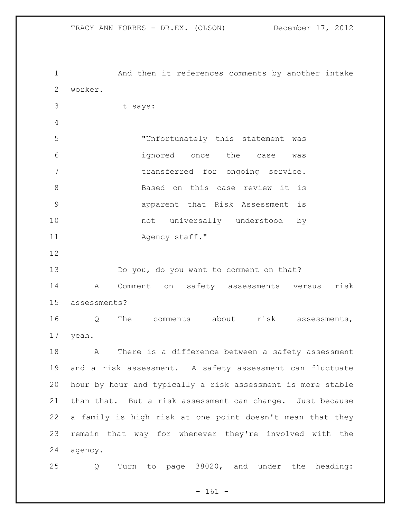And then it references comments by another intake worker. It says: "Unfortunately this statement was ignored once the case was 7 transferred for ongoing service. 8 Based on this case review it is apparent that Risk Assessment is 10 mot universally understood by 11 Agency staff." Do you, do you want to comment on that? A Comment on safety assessments versus risk assessments? Q The comments about risk assessments, yeah. A There is a difference between a safety assessment and a risk assessment. A safety assessment can fluctuate hour by hour and typically a risk assessment is more stable than that. But a risk assessment can change. Just because a family is high risk at one point doesn't mean that they remain that way for whenever they're involved with the agency. Q Turn to page 38020, and under the heading:

 $- 161 -$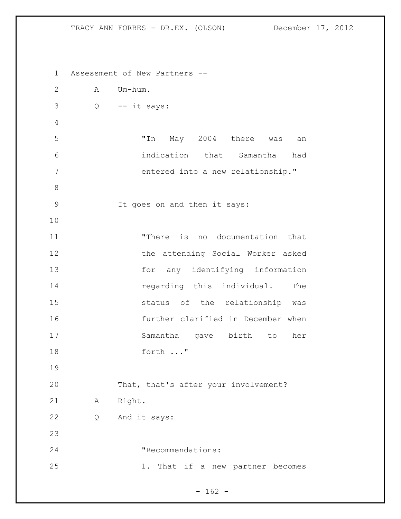Assessment of New Partners -- A Um-hum. Q -- it says: "In May 2004 there was an indication that Samantha had entered into a new relationship." It goes on and then it says: "There is no documentation that the attending Social Worker asked for any identifying information **regarding this individual.** The status of the relationship was further clarified in December when Samantha gave birth to her forth ..." That, that's after your involvement? A Right. Q And it says: 24 TRecommendations: 1. That if a new partner becomes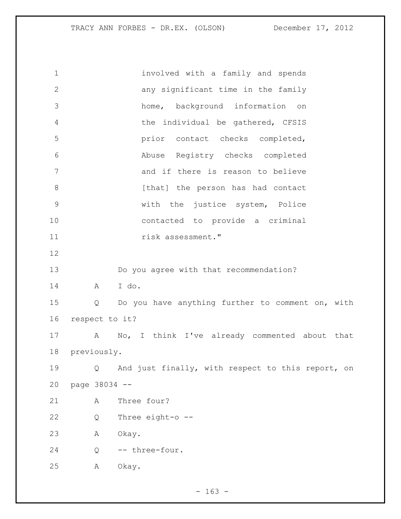| $\mathbf 1$  |                | involved with a family and spends                 |
|--------------|----------------|---------------------------------------------------|
| $\mathbf{2}$ |                | any significant time in the family                |
| 3            |                | home, background information<br>on                |
| 4            |                | the individual be gathered, CFSIS                 |
| 5            |                | prior contact checks completed,                   |
| 6            |                | Abuse Registry checks completed                   |
| 7            |                | and if there is reason to believe                 |
| $\,8\,$      |                | [that] the person has had contact                 |
| $\mathsf 9$  |                | with the justice system, Police                   |
| 10           |                | contacted to provide a criminal                   |
| 11           |                | risk assessment."                                 |
| 12           |                |                                                   |
| 13           |                | Do you agree with that recommendation?            |
| 14           | A              | I do.                                             |
| 15           | Q              | Do you have anything further to comment on, with  |
| 16           | respect to it? |                                                   |
| 17           | A              | No, I think I've already commented about that     |
| 18           | previously.    |                                                   |
| 19           | Q              | And just finally, with respect to this report, on |
| 20           | page 38034 --  |                                                   |
| 21           | Α              | Three four?                                       |
| 22           | Q              | Three eight-o --                                  |
| 23           | Α              | Okay.                                             |
| 24           | Q              | -- three-four.                                    |
| 25           | Α              | Okay.                                             |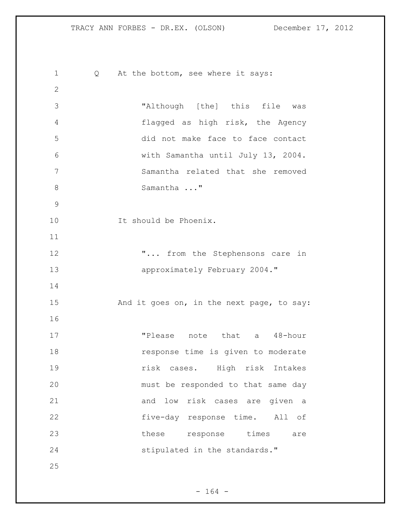1 Q At the bottom, see where it says: "Although [the] this file was flagged as high risk, the Agency did not make face to face contact with Samantha until July 13, 2004. Samantha related that she removed Samantha ..." 10 1t should be Phoenix. **"...** from the Stephensons care in **approximately February 2004.**" 15 And it goes on, in the next page, to say: 17 TPlease note that a 48-hour **response time is given to moderate**  risk cases. High risk Intakes must be responded to that same day and low risk cases are given a five-day response time. All of 23 these response times are 24 stipulated in the standards."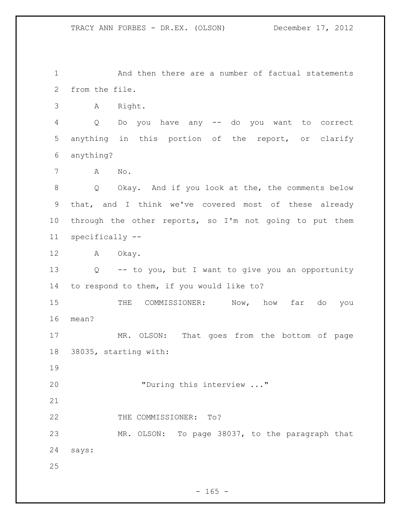1 And then there are a number of factual statements from the file.

A Right.

 Q Do you have any -- do you want to correct anything in this portion of the report, or clarify anything?

A No.

 Q Okay. And if you look at the, the comments below that, and I think we've covered most of these already through the other reports, so I'm not going to put them specifically --

A Okay.

 Q -- to you, but I want to give you an opportunity to respond to them, if you would like to?

 THE COMMISSIONER: Now, how far do you mean?

 MR. OLSON: That goes from the bottom of page 38035, starting with:

20 "During this interview ..."

22 THE COMMISSIONER: To?

 MR. OLSON: To page 38037, to the paragraph that says: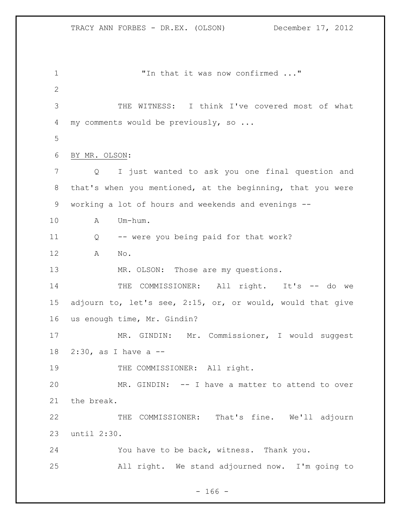1 The that it was now confirmed ..." THE WITNESS: I think I've covered most of what 4 my comments would be previously, so ... BY MR. OLSON: Q I just wanted to ask you one final question and that's when you mentioned, at the beginning, that you were working a lot of hours and weekends and evenings -- A Um-hum. Q -- were you being paid for that work? A No. 13 MR. OLSON: Those are my questions. 14 THE COMMISSIONER: All right. It's -- do we adjourn to, let's see, 2:15, or, or would, would that give us enough time, Mr. Gindin? MR. GINDIN: Mr. Commissioner, I would suggest 2:30, as I have a -- 19 THE COMMISSIONER: All right. MR. GINDIN: -- I have a matter to attend to over the break. THE COMMISSIONER: That's fine. We'll adjourn until 2:30. You have to be back, witness. Thank you. All right. We stand adjourned now. I'm going to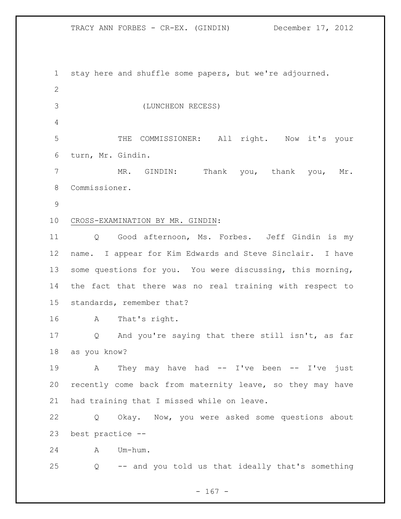TRACY ANN FORBES - CR-EX. (GINDIN) December 17, 2012

 stay here and shuffle some papers, but we're adjourned. (LUNCHEON RECESS) THE COMMISSIONER: All right. Now it's your turn, Mr. Gindin. MR. GINDIN: Thank you, thank you, Mr. Commissioner. CROSS-EXAMINATION BY MR. GINDIN: Q Good afternoon, Ms. Forbes. Jeff Gindin is my name. I appear for Kim Edwards and Steve Sinclair. I have some questions for you. You were discussing, this morning, the fact that there was no real training with respect to standards, remember that? A That's right. Q And you're saying that there still isn't, as far as you know? 19 A They may have had -- I've been -- I've just recently come back from maternity leave, so they may have had training that I missed while on leave. Q Okay. Now, you were asked some questions about best practice -- A Um-hum. Q -- and you told us that ideally that's something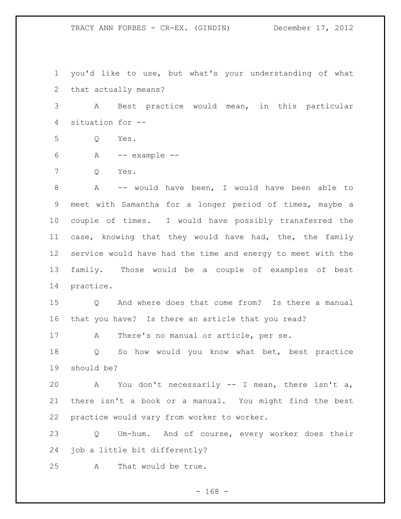you'd like to use, but what's your understanding of what that actually means? A Best practice would mean, in this particular situation for -- Q Yes. A -- example -- Q Yes. A -- would have been, I would have been able to meet with Samantha for a longer period of times, maybe a couple of times. I would have possibly transferred the case, knowing that they would have had, the, the family service would have had the time and energy to meet with the family. Those would be a couple of examples of best practice. Q And where does that come from? Is there a manual that you have? Is there an article that you read? A There's no manual or article, per se. Q So how would you know what bet, best practice should be? A You don't necessarily -- I mean, there isn't a, there isn't a book or a manual. You might find the best practice would vary from worker to worker. Q Um-hum. And of course, every worker does their job a little bit differently? A That would be true.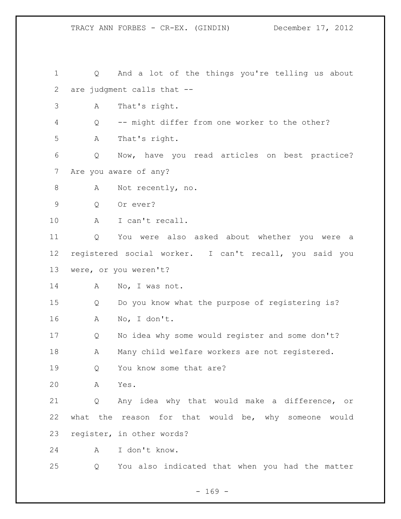Q And a lot of the things you're telling us about are judgment calls that -- A That's right. Q -- might differ from one worker to the other? A That's right. Q Now, have you read articles on best practice? Are you aware of any? 8 A Not recently, no. Q Or ever? A I can't recall. Q You were also asked about whether you were a registered social worker. I can't recall, you said you were, or you weren't? 14 A No, I was not. Q Do you know what the purpose of registering is? A No, I don't. Q No idea why some would register and some don't? 18 A Many child welfare workers are not registered. 19 Q You know some that are? A Yes. Q Any idea why that would make a difference, or what the reason for that would be, why someone would register, in other words? A I don't know. Q You also indicated that when you had the matter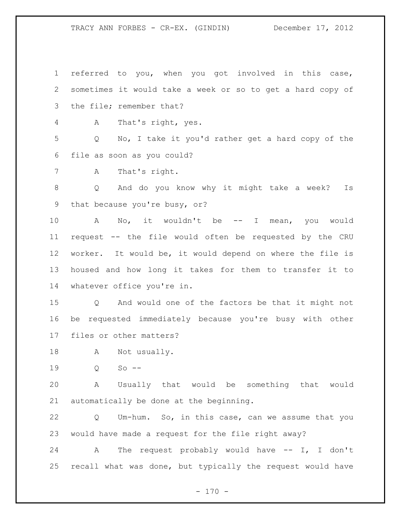referred to you, when you got involved in this case, sometimes it would take a week or so to get a hard copy of the file; remember that?

A That's right, yes.

 Q No, I take it you'd rather get a hard copy of the file as soon as you could?

A That's right.

 Q And do you know why it might take a week? Is that because you're busy, or?

10 A No, it wouldn't be -- I mean, you would request -- the file would often be requested by the CRU worker. It would be, it would depend on where the file is housed and how long it takes for them to transfer it to whatever office you're in.

 Q And would one of the factors be that it might not be requested immediately because you're busy with other files or other matters?

A Not usually.

Q So --

 A Usually that would be something that would automatically be done at the beginning.

 Q Um-hum. So, in this case, can we assume that you would have made a request for the file right away?

 A The request probably would have -- I, I don't recall what was done, but typically the request would have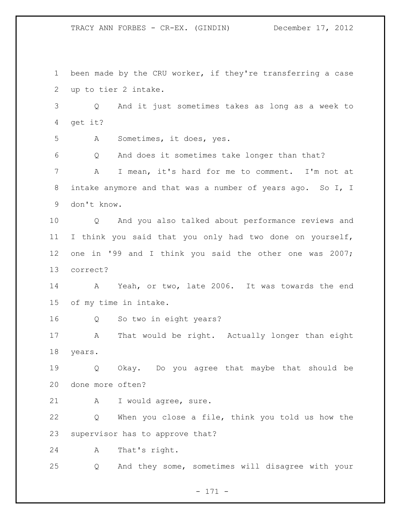TRACY ANN FORBES - CR-EX. (GINDIN) December 17, 2012

 been made by the CRU worker, if they're transferring a case up to tier 2 intake. Q And it just sometimes takes as long as a week to get it? A Sometimes, it does, yes. Q And does it sometimes take longer than that? A I mean, it's hard for me to comment. I'm not at intake anymore and that was a number of years ago. So I, I don't know. Q And you also talked about performance reviews and I think you said that you only had two done on yourself, one in '99 and I think you said the other one was 2007; correct? A Yeah, or two, late 2006. It was towards the end of my time in intake. Q So two in eight years? 17 A That would be right. Actually longer than eight years. Q Okay. Do you agree that maybe that should be done more often? A I would agree, sure. Q When you close a file, think you told us how the supervisor has to approve that? A That's right. Q And they some, sometimes will disagree with your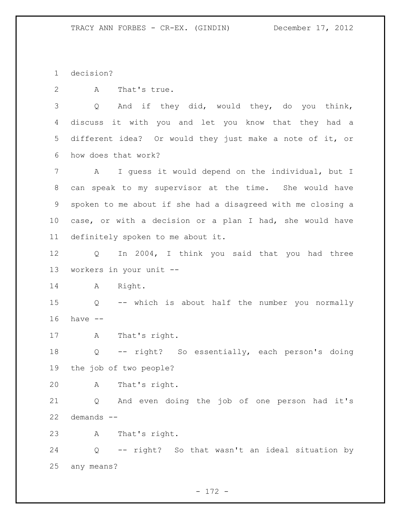decision?

A That's true.

 Q And if they did, would they, do you think, discuss it with you and let you know that they had a different idea? Or would they just make a note of it, or how does that work?

 A I guess it would depend on the individual, but I can speak to my supervisor at the time. She would have spoken to me about if she had a disagreed with me closing a case, or with a decision or a plan I had, she would have definitely spoken to me about it.

 Q In 2004, I think you said that you had three workers in your unit --

A Right.

 Q -- which is about half the number you normally have --

A That's right.

 Q -- right? So essentially, each person's doing the job of two people?

A That's right.

 Q And even doing the job of one person had it's demands --

A That's right.

 Q -- right? So that wasn't an ideal situation by any means?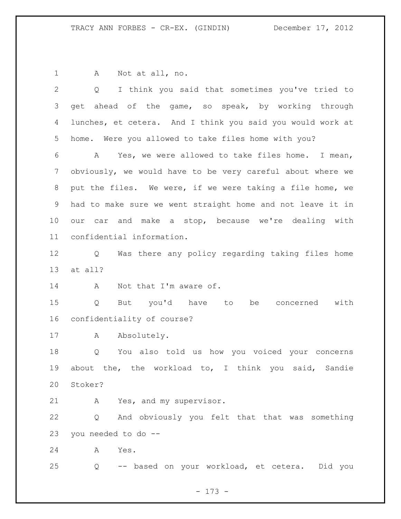A Not at all, no. Q I think you said that sometimes you've tried to 3 get ahead of the game, so speak, by working through lunches, et cetera. And I think you said you would work at home. Were you allowed to take files home with you? A Yes, we were allowed to take files home. I mean, obviously, we would have to be very careful about where we put the files. We were, if we were taking a file home, we had to make sure we went straight home and not leave it in our car and make a stop, because we're dealing with confidential information. Q Was there any policy regarding taking files home at all? 14 A Not that I'm aware of. Q But you'd have to be concerned with confidentiality of course? 17 A Absolutely. Q You also told us how you voiced your concerns about the, the workload to, I think you said, Sandie Stoker? A Yes, and my supervisor. Q And obviously you felt that that was something you needed to do -- A Yes. Q -- based on your workload, et cetera. Did you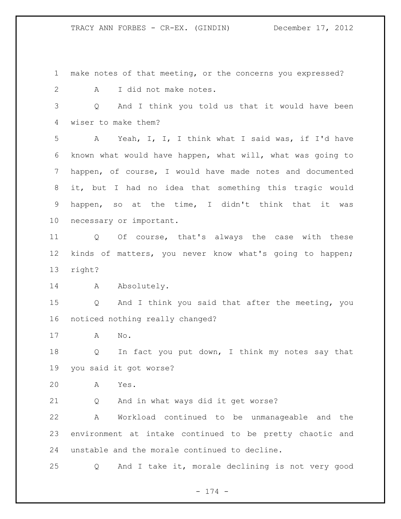make notes of that meeting, or the concerns you expressed? A I did not make notes.

 Q And I think you told us that it would have been wiser to make them?

 A Yeah, I, I, I think what I said was, if I'd have known what would have happen, what will, what was going to happen, of course, I would have made notes and documented it, but I had no idea that something this tragic would happen, so at the time, I didn't think that it was necessary or important.

 Q Of course, that's always the case with these kinds of matters, you never know what's going to happen; right?

14 A Absolutely.

 Q And I think you said that after the meeting, you noticed nothing really changed?

A No.

 Q In fact you put down, I think my notes say that you said it got worse?

A Yes.

Q And in what ways did it get worse?

 A Workload continued to be unmanageable and the environment at intake continued to be pretty chaotic and unstable and the morale continued to decline.

Q And I take it, morale declining is not very good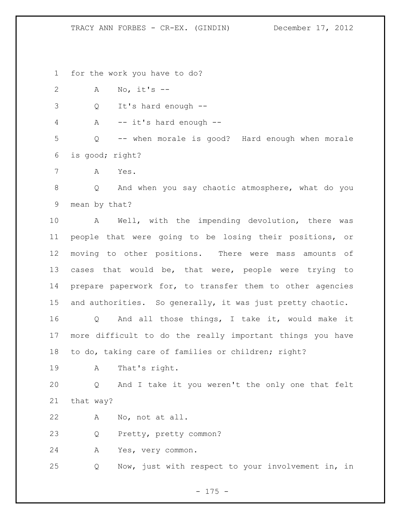## TRACY ANN FORBES - CR-EX. (GINDIN) December 17, 2012

for the work you have to do?

A No, it's --

Q It's hard enough --

A -- it's hard enough --

 Q -- when morale is good? Hard enough when morale is good; right?

A Yes.

 Q And when you say chaotic atmosphere, what do you mean by that?

 A Well, with the impending devolution, there was people that were going to be losing their positions, or moving to other positions. There were mass amounts of cases that would be, that were, people were trying to prepare paperwork for, to transfer them to other agencies and authorities. So generally, it was just pretty chaotic.

 Q And all those things, I take it, would make it more difficult to do the really important things you have to do, taking care of families or children; right?

A That's right.

 Q And I take it you weren't the only one that felt that way?

A No, not at all.

Q Pretty, pretty common?

A Yes, very common.

Q Now, just with respect to your involvement in, in

- 175 -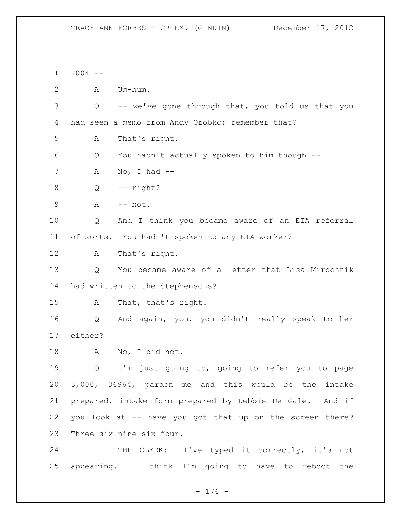2004 -- A Um-hum. Q -- we've gone through that, you told us that you had seen a memo from Andy Orobko; remember that? A That's right. Q You hadn't actually spoken to him though -- A No, I had -- Q -- right? A -- not. Q And I think you became aware of an EIA referral of sorts. You hadn't spoken to any EIA worker? A That's right. Q You became aware of a letter that Lisa Mirochnik had written to the Stephensons? A That, that's right. Q And again, you, you didn't really speak to her either? A No, I did not. Q I'm just going to, going to refer you to page 3,000, 36964, pardon me and this would be the intake prepared, intake form prepared by Debbie De Gale. And if you look at -- have you got that up on the screen there? Three six nine six four. 24 THE CLERK: I've typed it correctly, it's not appearing. I think I'm going to have to reboot the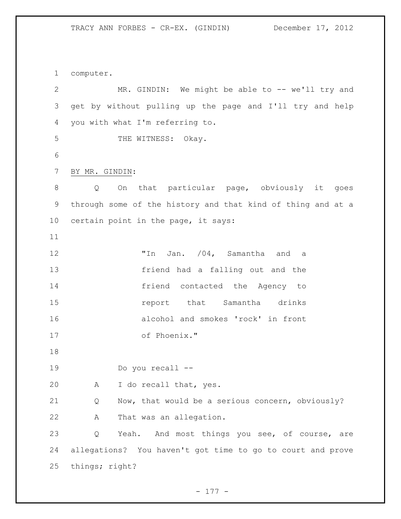computer.

2 MR. GINDIN: We might be able to -- we'll try and get by without pulling up the page and I'll try and help you with what I'm referring to. 5 THE WITNESS: Okay. BY MR. GINDIN: Q On that particular page, obviously it goes through some of the history and that kind of thing and at a certain point in the page, it says: 12 Th Jan.  $/04$ , Samantha and a friend had a falling out and the friend contacted the Agency to **15** report that Samantha drinks alcohol and smokes 'rock' in front of Phoenix." Do you recall -- A I do recall that, yes. Q Now, that would be a serious concern, obviously? A That was an allegation. 23 Q Yeah. And most things you see, of course, are allegations? You haven't got time to go to court and prove things; right?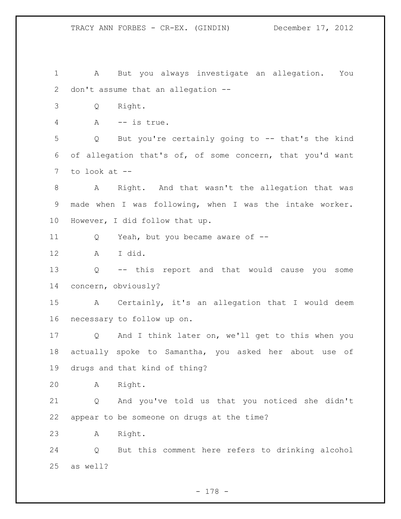A But you always investigate an allegation. You don't assume that an allegation -- Q Right. A -- is true. Q But you're certainly going to -- that's the kind of allegation that's of, of some concern, that you'd want to look at -- A Right. And that wasn't the allegation that was made when I was following, when I was the intake worker. However, I did follow that up. Q Yeah, but you became aware of -- A I did. Q -- this report and that would cause you some concern, obviously? A Certainly, it's an allegation that I would deem necessary to follow up on. Q And I think later on, we'll get to this when you actually spoke to Samantha, you asked her about use of drugs and that kind of thing? A Right. Q And you've told us that you noticed she didn't appear to be someone on drugs at the time? A Right. Q But this comment here refers to drinking alcohol as well?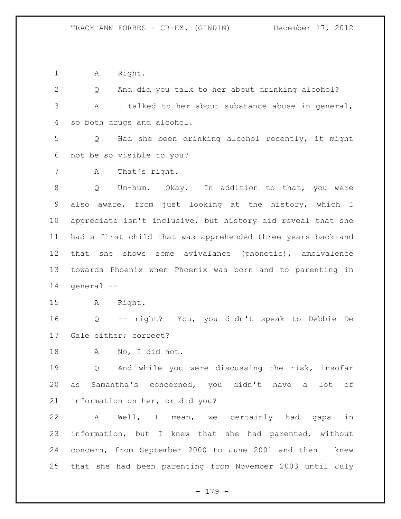1 A Right.

 Q And did you talk to her about drinking alcohol? A I talked to her about substance abuse in general, so both drugs and alcohol.

 Q Had she been drinking alcohol recently, it might not be so visible to you?

A That's right.

 Q Um-hum. Okay. In addition to that, you were also aware, from just looking at the history, which I appreciate isn't inclusive, but history did reveal that she had a first child that was apprehended three years back and that she shows some avivalance (phonetic), ambivalence towards Phoenix when Phoenix was born and to parenting in general --

A Right.

 Q -- right? You, you didn't speak to Debbie De Gale either; correct?

A No, I did not.

 Q And while you were discussing the risk, insofar as Samantha's concerned, you didn't have a lot of information on her, or did you?

 A Well, I mean, we certainly had gaps in information, but I knew that she had parented, without concern, from September 2000 to June 2001 and then I knew that she had been parenting from November 2003 until July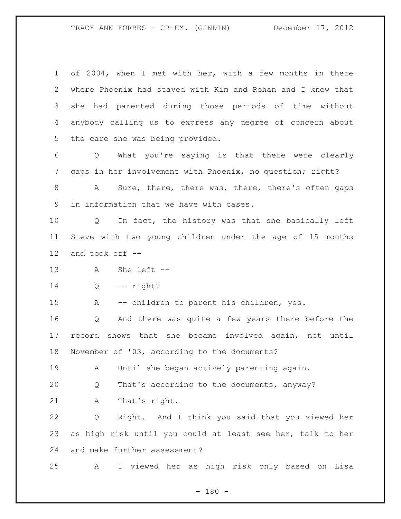of 2004, when I met with her, with a few months in there where Phoenix had stayed with Kim and Rohan and I knew that she had parented during those periods of time without anybody calling us to express any degree of concern about the care she was being provided.

 Q What you're saying is that there were clearly gaps in her involvement with Phoenix, no question; right?

 A Sure, there, there was, there, there's often gaps in information that we have with cases.

 Q In fact, the history was that she basically left Steve with two young children under the age of 15 months and took off --

A She left --

Q -- right?

A -- children to parent his children, yes.

 Q And there was quite a few years there before the record shows that she became involved again, not until November of '03, according to the documents?

A Until she began actively parenting again.

Q That's according to the documents, anyway?

A That's right.

 Q Right. And I think you said that you viewed her as high risk until you could at least see her, talk to her and make further assessment?

A I viewed her as high risk only based on Lisa

 $- 180 -$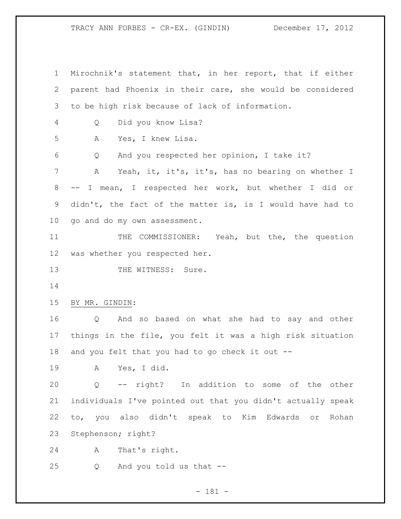Mirochnik's statement that, in her report, that if either parent had Phoenix in their care, she would be considered to be high risk because of lack of information. Q Did you know Lisa? A Yes, I knew Lisa. Q And you respected her opinion, I take it? A Yeah, it, it's, it's, has no bearing on whether I -- I mean, I respected her work, but whether I did or didn't, the fact of the matter is, is I would have had to go and do my own assessment. 11 THE COMMISSIONER: Yeah, but the, the question was whether you respected her. 13 THE WITNESS: Sure. BY MR. GINDIN: Q And so based on what she had to say and other things in the file, you felt it was a high risk situation and you felt that you had to go check it out -- A Yes, I did. Q -- right? In addition to some of the other individuals I've pointed out that you didn't actually speak to, you also didn't speak to Kim Edwards or Rohan Stephenson; right? A That's right. Q And you told us that --

## - 181 -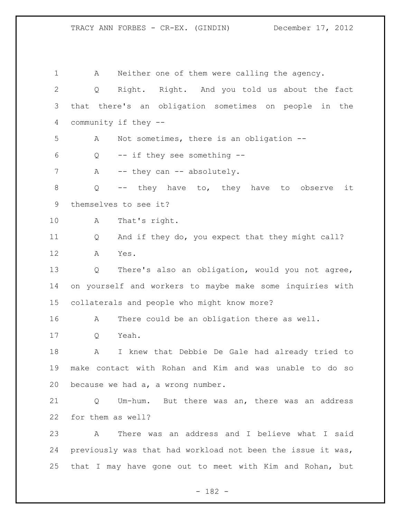A Neither one of them were calling the agency. Q Right. Right. And you told us about the fact that there's an obligation sometimes on people in the community if they -- A Not sometimes, there is an obligation -- Q -- if they see something -- 7 A -- they can -- absolutely. Q -- they have to, they have to observe it themselves to see it? A That's right. Q And if they do, you expect that they might call? A Yes. Q There's also an obligation, would you not agree, on yourself and workers to maybe make some inquiries with collaterals and people who might know more? A There could be an obligation there as well. Q Yeah. A I knew that Debbie De Gale had already tried to make contact with Rohan and Kim and was unable to do so because we had a, a wrong number. Q Um-hum. But there was an, there was an address for them as well? A There was an address and I believe what I said previously was that had workload not been the issue it was, that I may have gone out to meet with Kim and Rohan, but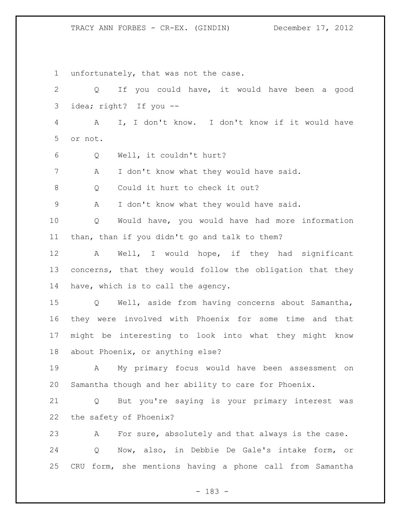unfortunately, that was not the case. Q If you could have, it would have been a good idea; right? If you -- A I, I don't know. I don't know if it would have or not. Q Well, it couldn't hurt? A I don't know what they would have said. 8 Q Could it hurt to check it out? A I don't know what they would have said. Q Would have, you would have had more information than, than if you didn't go and talk to them? A Well, I would hope, if they had significant concerns, that they would follow the obligation that they have, which is to call the agency. Q Well, aside from having concerns about Samantha, they were involved with Phoenix for some time and that might be interesting to look into what they might know about Phoenix, or anything else? A My primary focus would have been assessment on Samantha though and her ability to care for Phoenix. Q But you're saying is your primary interest was the safety of Phoenix? A For sure, absolutely and that always is the case. Q Now, also, in Debbie De Gale's intake form, or CRU form, she mentions having a phone call from Samantha

- 183 -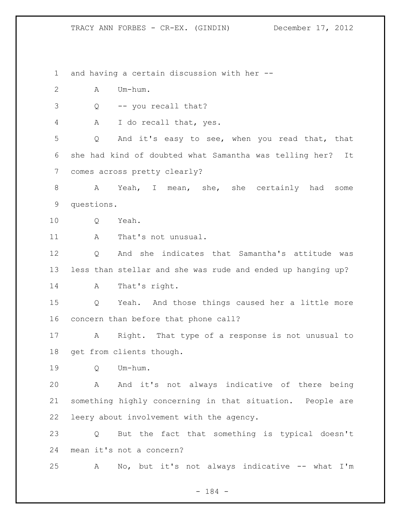and having a certain discussion with her -- A Um-hum. Q -- you recall that? A I do recall that, yes. Q And it's easy to see, when you read that, that she had kind of doubted what Samantha was telling her? It comes across pretty clearly? A Yeah, I mean, she, she certainly had some questions. 10 O Yeah. 11 A That's not unusual. Q And she indicates that Samantha's attitude was less than stellar and she was rude and ended up hanging up? A That's right. Q Yeah. And those things caused her a little more concern than before that phone call? A Right. That type of a response is not unusual to get from clients though. Q Um-hum. A And it's not always indicative of there being something highly concerning in that situation. People are leery about involvement with the agency. Q But the fact that something is typical doesn't mean it's not a concern? A No, but it's not always indicative -- what I'm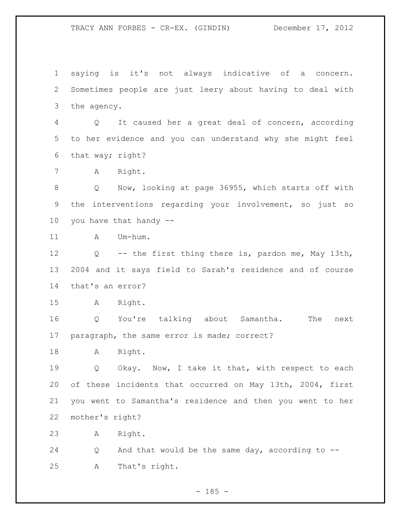saying is it's not always indicative of a concern. Sometimes people are just leery about having to deal with the agency.

 Q It caused her a great deal of concern, according to her evidence and you can understand why she might feel that way; right?

A Right.

 Q Now, looking at page 36955, which starts off with the interventions regarding your involvement, so just so you have that handy --

11 A Um-hum.

 Q -- the first thing there is, pardon me, May 13th, 2004 and it says field to Sarah's residence and of course that's an error?

A Right.

 Q You're talking about Samantha. The next paragraph, the same error is made; correct?

A Right.

19 O Okay. Now, I take it that, with respect to each of these incidents that occurred on May 13th, 2004, first you went to Samantha's residence and then you went to her mother's right?

A Right.

 Q And that would be the same day, according to -- A That's right.

 $- 185 -$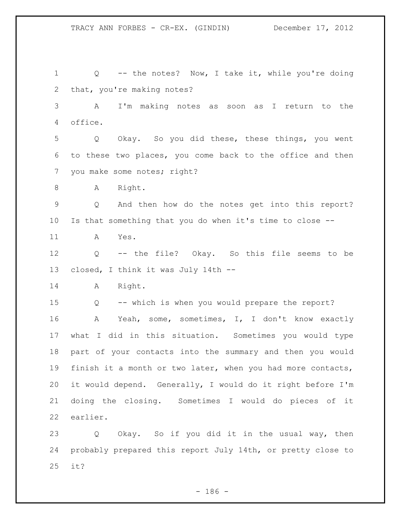Q -- the notes? Now, I take it, while you're doing that, you're making notes? A I'm making notes as soon as I return to the office. Q Okay. So you did these, these things, you went to these two places, you come back to the office and then you make some notes; right? 8 A Right. Q And then how do the notes get into this report? Is that something that you do when it's time to close -- A Yes. Q -- the file? Okay. So this file seems to be closed, I think it was July 14th -- A Right. Q -- which is when you would prepare the report? A Yeah, some, sometimes, I, I don't know exactly what I did in this situation. Sometimes you would type part of your contacts into the summary and then you would finish it a month or two later, when you had more contacts, it would depend. Generally, I would do it right before I'm doing the closing. Sometimes I would do pieces of it earlier. Q Okay. So if you did it in the usual way, then probably prepared this report July 14th, or pretty close to it?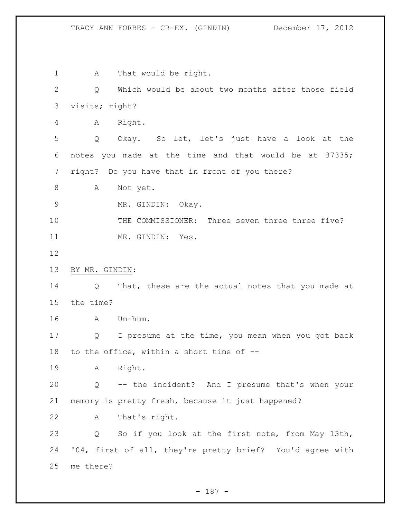1 A That would be right. Q Which would be about two months after those field visits; right? A Right. Q Okay. So let, let's just have a look at the notes you made at the time and that would be at 37335; right? Do you have that in front of you there? 8 A Not yet. MR. GINDIN: Okay. THE COMMISSIONER: Three seven three three five? 11 MR. GINDIN: Yes. BY MR. GINDIN: 14 Q That, these are the actual notes that you made at the time? A Um-hum. Q I presume at the time, you mean when you got back to the office, within a short time of -- A Right. Q -- the incident? And I presume that's when your memory is pretty fresh, because it just happened? A That's right. Q So if you look at the first note, from May 13th, '04, first of all, they're pretty brief? You'd agree with me there?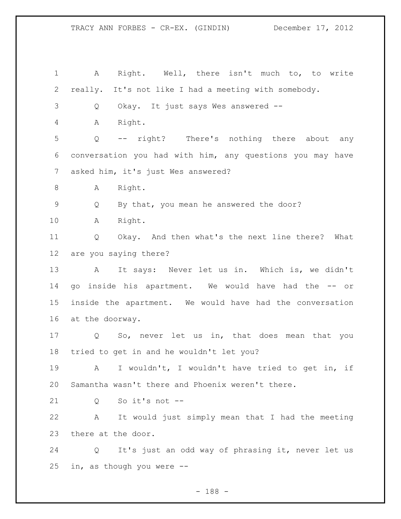A Right. Well, there isn't much to, to write really. It's not like I had a meeting with somebody. Q Okay. It just says Wes answered -- A Right. Q -- right? There's nothing there about any conversation you had with him, any questions you may have asked him, it's just Wes answered? 8 A Right. Q By that, you mean he answered the door? A Right. Q Okay. And then what's the next line there? What are you saying there? 13 A It says: Never let us in. Which is, we didn't go inside his apartment. We would have had the -- or inside the apartment. We would have had the conversation at the doorway. Q So, never let us in, that does mean that you tried to get in and he wouldn't let you? A I wouldn't, I wouldn't have tried to get in, if Samantha wasn't there and Phoenix weren't there. Q So it's not -- A It would just simply mean that I had the meeting there at the door. Q It's just an odd way of phrasing it, never let us in, as though you were --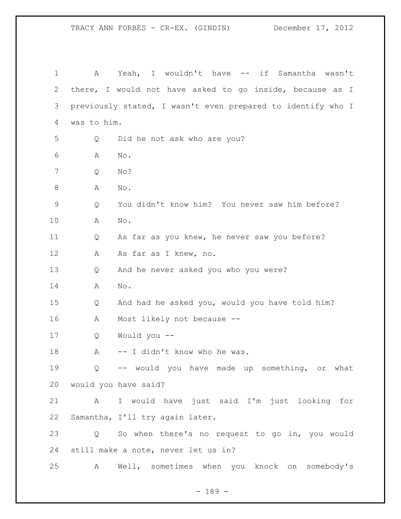| 1           | A                 | Yeah, I wouldn't have -- if Samantha wasn't                 |
|-------------|-------------------|-------------------------------------------------------------|
| 2           |                   | there, I would not have asked to go inside, because as I    |
| 3           |                   | previously stated, I wasn't even prepared to identify who I |
| 4           | was to him.       |                                                             |
| 5           | Q                 | Did he not ask who are you?                                 |
| 6           | Α                 | No.                                                         |
| 7           | Q                 | No?                                                         |
| 8           | Α                 | No.                                                         |
| $\mathsf 9$ | Q                 | You didn't know him? You never saw him before?              |
| 10          | Α                 | No.                                                         |
| 11          | Q                 | As far as you knew, he never saw you before?                |
| 12          | Α                 | As far as I knew, no.                                       |
| 13          | Q                 | And he never asked you who you were?                        |
| 14          | Α                 | No.                                                         |
| 15          | Q                 | And had he asked you, would you have told him?              |
| 16          | A                 | Most likely not because --                                  |
| 17          | Q                 | Would you --                                                |
| 18          | А                 | -- I didn't know who he was.                                |
| 19          | $Q \qquad \qquad$ | -- would you have made up something, or what                |
| 20          |                   | would you have said?                                        |
| 21          | $\mathbf{A}$      | I would have just said I'm just looking for                 |
| 22          |                   | Samantha, I'll try again later.                             |
| 23          | Q                 | So when there's no request to go in, you would              |
| 24          |                   | still make a note, never let us in?                         |
| 25          | A                 | Well, sometimes when you knock on somebody's                |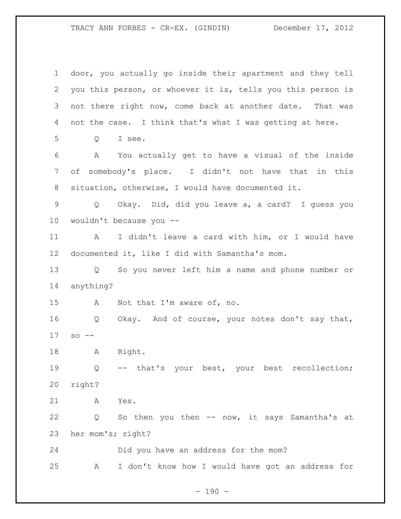door, you actually go inside their apartment and they tell you this person, or whoever it is, tells you this person is not there right now, come back at another date. That was not the case. I think that's what I was getting at here. Q I see. A You actually get to have a visual of the inside of somebody's place. I didn't not have that in this situation, otherwise, I would have documented it. Q Okay. Did, did you leave a, a card? I guess you wouldn't because you -- A I didn't leave a card with him, or I would have documented it, like I did with Samantha's mom. Q So you never left him a name and phone number or anything? A Not that I'm aware of, no. Q Okay. And of course, your notes don't say that, so -- A Right. Q -- that's your best, your best recollection; right? A Yes. Q So then you then -- now, it says Samantha's at her mom's; right? Did you have an address for the mom? A I don't know how I would have got an address for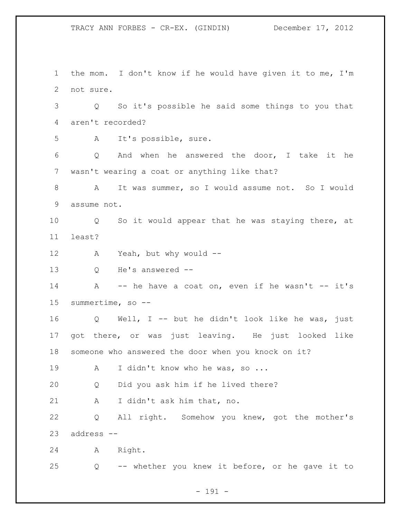the mom. I don't know if he would have given it to me, I'm not sure. Q So it's possible he said some things to you that aren't recorded? A It's possible, sure. Q And when he answered the door, I take it he wasn't wearing a coat or anything like that? A It was summer, so I would assume not. So I would assume not. Q So it would appear that he was staying there, at least? A Yeah, but why would -- Q He's answered -- 14 A -- he have a coat on, even if he wasn't -- it's summertime, so -- Q Well, I -- but he didn't look like he was, just got there, or was just leaving. He just looked like someone who answered the door when you knock on it? 19 A I didn't know who he was, so ... Q Did you ask him if he lived there? A I didn't ask him that, no. Q All right. Somehow you knew, got the mother's address -- A Right. Q -- whether you knew it before, or he gave it to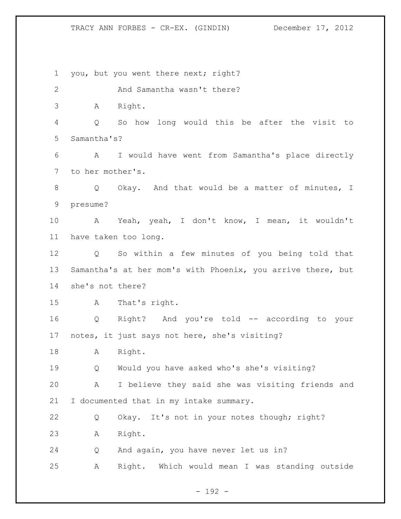you, but you went there next; right? 2 And Samantha wasn't there? A Right. Q So how long would this be after the visit to Samantha's? A I would have went from Samantha's place directly to her mother's. 8 Q Okay. And that would be a matter of minutes, I presume? A Yeah, yeah, I don't know, I mean, it wouldn't have taken too long. Q So within a few minutes of you being told that Samantha's at her mom's with Phoenix, you arrive there, but she's not there? A That's right. Q Right? And you're told -- according to your notes, it just says not here, she's visiting? A Right. Q Would you have asked who's she's visiting? A I believe they said she was visiting friends and I documented that in my intake summary. Q Okay. It's not in your notes though; right? A Right. Q And again, you have never let us in? A Right. Which would mean I was standing outside

- 192 -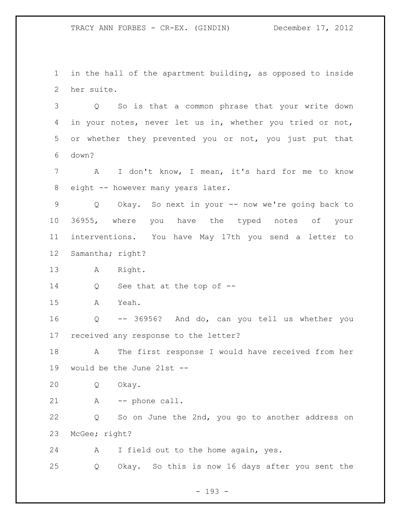in the hall of the apartment building, as opposed to inside her suite.

 Q So is that a common phrase that your write down in your notes, never let us in, whether you tried or not, or whether they prevented you or not, you just put that down?

 A I don't know, I mean, it's hard for me to know 8 eight -- however many years later.

 Q Okay. So next in your -- now we're going back to 36955, where you have the typed notes of your interventions. You have May 17th you send a letter to Samantha; right?

A Right.

Q See that at the top of --

A Yeah.

 Q -- 36956? And do, can you tell us whether you received any response to the letter?

 A The first response I would have received from her would be the June 21st --

Q Okay.

A -- phone call.

 Q So on June the 2nd, you go to another address on McGee; right?

A I field out to the home again, yes.

Q Okay. So this is now 16 days after you sent the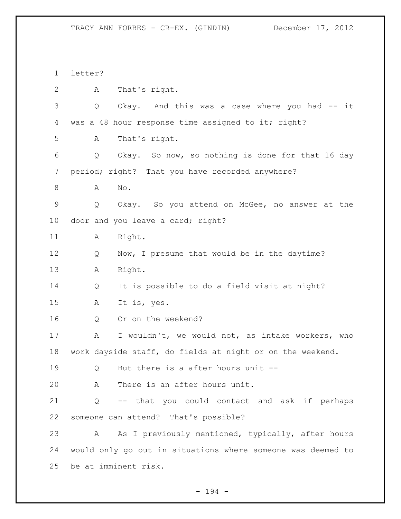letter? A That's right. Q Okay. And this was a case where you had -- it 4 was a 48 hour response time assigned to it; right? A That's right. Q Okay. So now, so nothing is done for that 16 day period; right? That you have recorded anywhere? A No. Q Okay. So you attend on McGee, no answer at the 10 door and you leave a card; right? 11 A Right. 12 Q Now, I presume that would be in the daytime? A Right. Q It is possible to do a field visit at night? A It is, yes. Q Or on the weekend? A I wouldn't, we would not, as intake workers, who work dayside staff, do fields at night or on the weekend. Q But there is a after hours unit -- A There is an after hours unit. Q -- that you could contact and ask if perhaps someone can attend? That's possible? A As I previously mentioned, typically, after hours would only go out in situations where someone was deemed to be at imminent risk.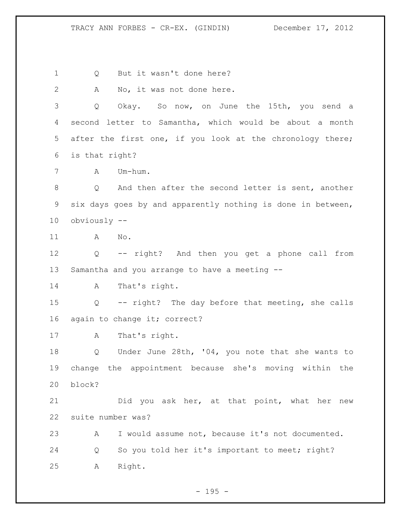Q But it wasn't done here?

A No, it was not done here.

 Q Okay. So now, on June the 15th, you send a second letter to Samantha, which would be about a month after the first one, if you look at the chronology there; is that right?

A Um-hum.

 Q And then after the second letter is sent, another six days goes by and apparently nothing is done in between, obviously --

A No.

 Q -- right? And then you get a phone call from Samantha and you arrange to have a meeting --

A That's right.

 Q -- right? The day before that meeting, she calls 16 again to change it; correct?

A That's right.

 Q Under June 28th, '04, you note that she wants to change the appointment because she's moving within the block?

 Did you ask her, at that point, what her new suite number was?

 A I would assume not, because it's not documented. Q So you told her it's important to meet; right? A Right.

 $- 195 -$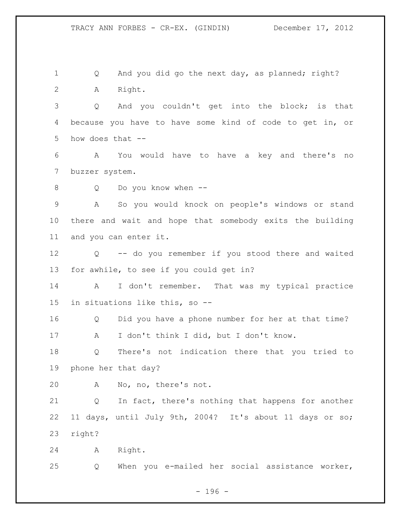1 Q And you did go the next day, as planned; right? A Right.

 Q And you couldn't get into the block; is that because you have to have some kind of code to get in, or how does that --

 A You would have to have a key and there's no buzzer system.

Q Do you know when --

 A So you would knock on people's windows or stand there and wait and hope that somebody exits the building and you can enter it.

 Q -- do you remember if you stood there and waited for awhile, to see if you could get in?

14 A I don't remember. That was my typical practice in situations like this, so --

 Q Did you have a phone number for her at that time? A I don't think I did, but I don't know.

 Q There's not indication there that you tried to phone her that day?

A No, no, there's not.

 Q In fact, there's nothing that happens for another 11 days, until July 9th, 2004? It's about 11 days or so; right?

A Right.

Q When you e-mailed her social assistance worker,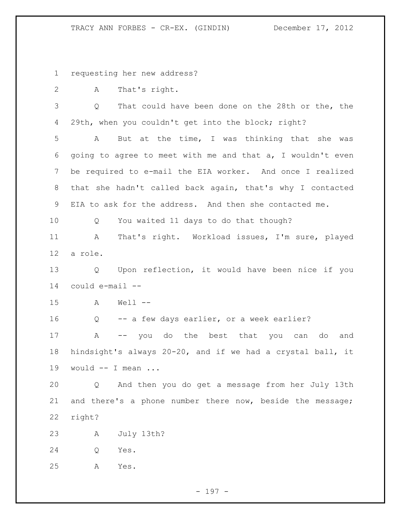requesting her new address?

A That's right.

 Q That could have been done on the 28th or the, the 29th, when you couldn't get into the block; right?

 A But at the time, I was thinking that she was going to agree to meet with me and that a, I wouldn't even be required to e-mail the EIA worker. And once I realized that she hadn't called back again, that's why I contacted EIA to ask for the address. And then she contacted me.

Q You waited 11 days to do that though?

 A That's right. Workload issues, I'm sure, played a role.

 Q Upon reflection, it would have been nice if you could e-mail --

A Well --

Q -- a few days earlier, or a week earlier?

 A -- you do the best that you can do and hindsight's always 20-20, and if we had a crystal ball, it would -- I mean ...

 Q And then you do get a message from her July 13th and there's a phone number there now, beside the message; right?

A July 13th?

Q Yes.

A Yes.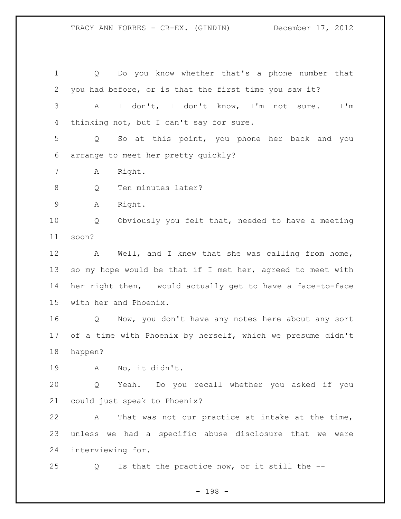Q Do you know whether that's a phone number that you had before, or is that the first time you saw it? A I don't, I don't know, I'm not sure. I'm thinking not, but I can't say for sure. Q So at this point, you phone her back and you arrange to meet her pretty quickly? A Right. 8 Q Ten minutes later? A Right. Q Obviously you felt that, needed to have a meeting soon? A Well, and I knew that she was calling from home, 13 so my hope would be that if I met her, agreed to meet with her right then, I would actually get to have a face-to-face with her and Phoenix. Q Now, you don't have any notes here about any sort of a time with Phoenix by herself, which we presume didn't happen? A No, it didn't. Q Yeah. Do you recall whether you asked if you could just speak to Phoenix? A That was not our practice at intake at the time, unless we had a specific abuse disclosure that we were

Q Is that the practice now, or it still the --

interviewing for.

- 198 -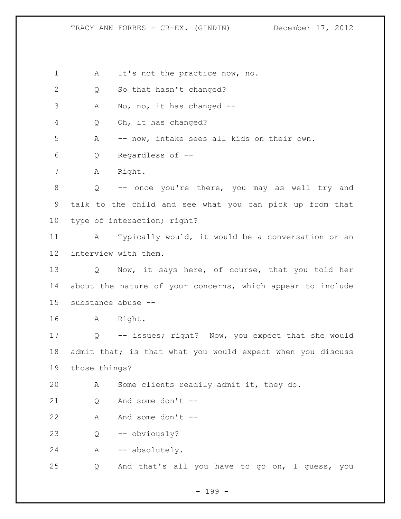1 A It's not the practice now, no.

2 Q So that hasn't changed?

A No, no, it has changed --

Q Oh, it has changed?

A -- now, intake sees all kids on their own.

Q Regardless of --

A Right.

 Q -- once you're there, you may as well try and talk to the child and see what you can pick up from that type of interaction; right?

 A Typically would, it would be a conversation or an interview with them.

 Q Now, it says here, of course, that you told her about the nature of your concerns, which appear to include substance abuse --

A Right.

 Q -- issues; right? Now, you expect that she would 18 admit that; is that what you would expect when you discuss those things?

A Some clients readily admit it, they do.

21 O And some don't --

A And some don't --

Q -- obviously?

A -- absolutely.

Q And that's all you have to go on, I guess, you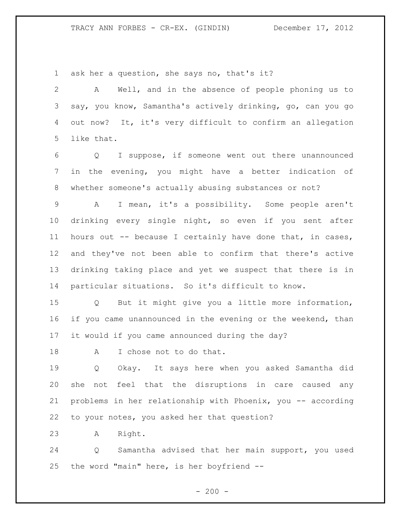ask her a question, she says no, that's it?

 A Well, and in the absence of people phoning us to say, you know, Samantha's actively drinking, go, can you go out now? It, it's very difficult to confirm an allegation like that.

 Q I suppose, if someone went out there unannounced in the evening, you might have a better indication of whether someone's actually abusing substances or not?

 A I mean, it's a possibility. Some people aren't drinking every single night, so even if you sent after hours out -- because I certainly have done that, in cases, and they've not been able to confirm that there's active drinking taking place and yet we suspect that there is in particular situations. So it's difficult to know.

 Q But it might give you a little more information, if you came unannounced in the evening or the weekend, than it would if you came announced during the day?

18 A I chose not to do that.

 Q Okay. It says here when you asked Samantha did she not feel that the disruptions in care caused any problems in her relationship with Phoenix, you -- according to your notes, you asked her that question?

A Right.

 Q Samantha advised that her main support, you used the word "main" here, is her boyfriend --

 $- 200 -$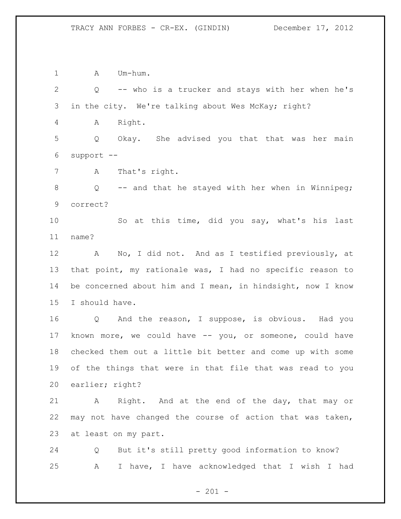1 A Um-hum. Q -- who is a trucker and stays with her when he's in the city. We're talking about Wes McKay; right? A Right. Q Okay. She advised you that that was her main support -- A That's right. Q -- and that he stayed with her when in Winnipeg; correct? So at this time, did you say, what's his last name? A No, I did not. And as I testified previously, at that point, my rationale was, I had no specific reason to be concerned about him and I mean, in hindsight, now I know I should have. Q And the reason, I suppose, is obvious. Had you known more, we could have -- you, or someone, could have checked them out a little bit better and come up with some of the things that were in that file that was read to you earlier; right? A Right. And at the end of the day, that may or may not have changed the course of action that was taken, at least on my part. Q But it's still pretty good information to know? A I have, I have acknowledged that I wish I had

 $- 201 -$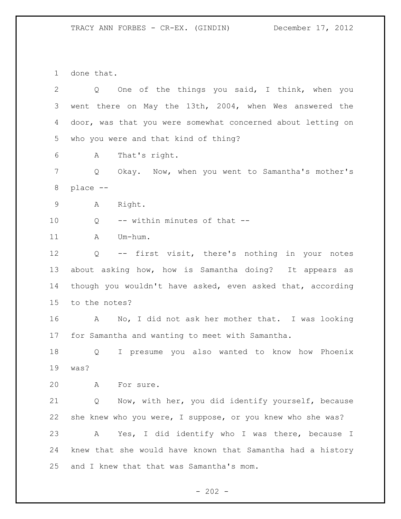done that.

| One of the things you said, I think, when you<br>Q          |  |
|-------------------------------------------------------------|--|
| went there on May the 13th, 2004, when Wes answered the     |  |
| door, was that you were somewhat concerned about letting on |  |
| who you were and that kind of thing?                        |  |
| That's right.<br>A                                          |  |
| Okay. Now, when you went to Samantha's mother's<br>Q        |  |
| place --                                                    |  |
| Right.<br>A                                                 |  |
| -- within minutes of that --<br>Q                           |  |
| Um-hum.<br>A                                                |  |
| -- first visit, there's nothing in your notes<br>Q          |  |
| about asking how, how is Samantha doing? It appears as      |  |
| though you wouldn't have asked, even asked that, according  |  |
| to the notes?                                               |  |
| A<br>No, I did not ask her mother that. I was looking       |  |
| for Samantha and wanting to meet with Samantha.             |  |
| I presume you also wanted to know how Phoenix<br>Q          |  |
| was?                                                        |  |
| A<br>For sure.                                              |  |
| Now, with her, you did identify yourself, because<br>Q      |  |
| she knew who you were, I suppose, or you knew who she was?  |  |
| Yes, I did identify who I was there, because I<br>A         |  |
| knew that she would have known that Samantha had a history  |  |
| and I knew that that was Samantha's mom.                    |  |
|                                                             |  |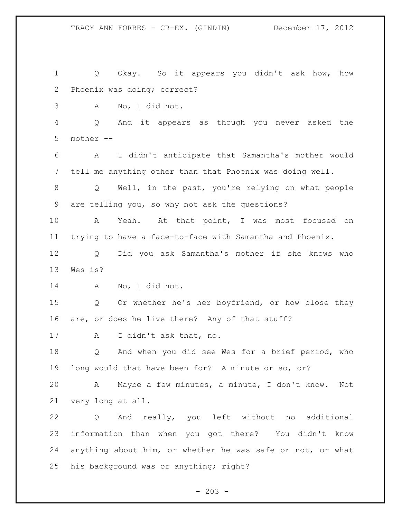Q Okay. So it appears you didn't ask how, how Phoenix was doing; correct? A No, I did not. Q And it appears as though you never asked the mother -- A I didn't anticipate that Samantha's mother would tell me anything other than that Phoenix was doing well. Q Well, in the past, you're relying on what people are telling you, so why not ask the questions? A Yeah. At that point, I was most focused on trying to have a face-to-face with Samantha and Phoenix. Q Did you ask Samantha's mother if she knows who Wes is? A No, I did not. Q Or whether he's her boyfriend, or how close they are, or does he live there? Any of that stuff? A I didn't ask that, no. Q And when you did see Wes for a brief period, who long would that have been for? A minute or so, or? A Maybe a few minutes, a minute, I don't know. Not very long at all. Q And really, you left without no additional information than when you got there? You didn't know anything about him, or whether he was safe or not, or what his background was or anything; right?

 $- 203 -$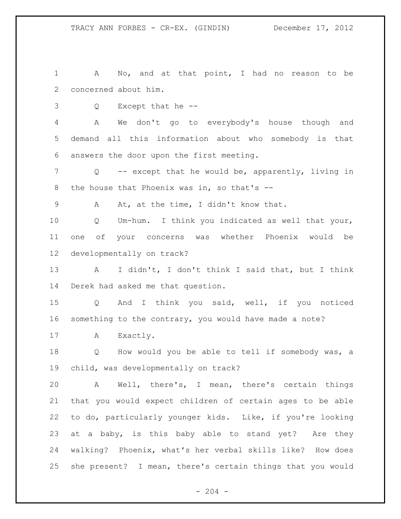A No, and at that point, I had no reason to be concerned about him.

Q Except that he --

 A We don't go to everybody's house though and demand all this information about who somebody is that answers the door upon the first meeting.

 Q -- except that he would be, apparently, living in 8 the house that Phoenix was in, so that's --

A At, at the time, I didn't know that.

 Q Um-hum. I think you indicated as well that your, one of your concerns was whether Phoenix would be developmentally on track?

 A I didn't, I don't think I said that, but I think Derek had asked me that question.

 Q And I think you said, well, if you noticed something to the contrary, you would have made a note?

17 A Exactly.

 Q How would you be able to tell if somebody was, a child, was developmentally on track?

 A Well, there's, I mean, there's certain things that you would expect children of certain ages to be able to do, particularly younger kids. Like, if you're looking at a baby, is this baby able to stand yet? Are they walking? Phoenix, what's her verbal skills like? How does she present? I mean, there's certain things that you would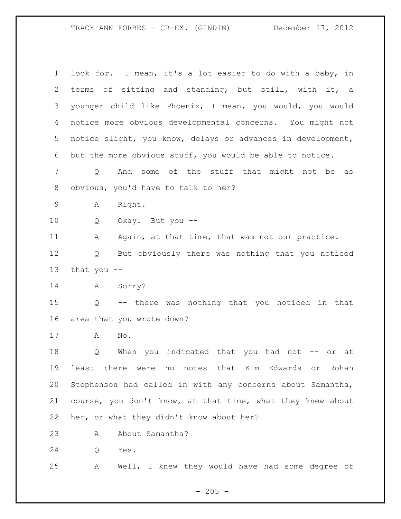| $\mathbf 1$ | look for. I mean, it's a lot easier to do with a baby, in   |
|-------------|-------------------------------------------------------------|
| 2           | sitting and standing, but still, with it, a<br>terms of     |
| 3           | younger child like Phoenix, I mean, you would, you would    |
| 4           | notice more obvious developmental concerns. You might not   |
| 5           | notice slight, you know, delays or advances in development, |
| 6           | but the more obvious stuff, you would be able to notice.    |
| 7           | And some of the stuff that might not be<br>Q<br>as          |
| 8           | obvious, you'd have to talk to her?                         |
| $\mathsf 9$ | Right.<br>Α                                                 |
| 10          | Okay. But you --<br>Q                                       |
| 11          | Again, at that time, that was not our practice.<br>Α        |
| 12          | But obviously there was nothing that you noticed<br>Q       |
| 13          | that you $-$                                                |
| 14          | Sorry?<br>A                                                 |
| 15          | -- there was nothing that you noticed in that<br>Q          |
| 16          | area that you wrote down?                                   |
| 17          | No.<br>Α                                                    |
| 18          | indicated that you had not -- or<br>When you<br>Q<br>at     |
| 19          | least there were no notes that Kim Edwards or Rohan         |
| 20          | Stephenson had called in with any concerns about Samantha,  |
| 21          | course, you don't know, at that time, what they knew about  |
| 22          | her, or what they didn't know about her?                    |
| 23          | About Samantha?<br>Α                                        |
| 24          | Yes.<br>Q                                                   |

A Well, I knew they would have had some degree of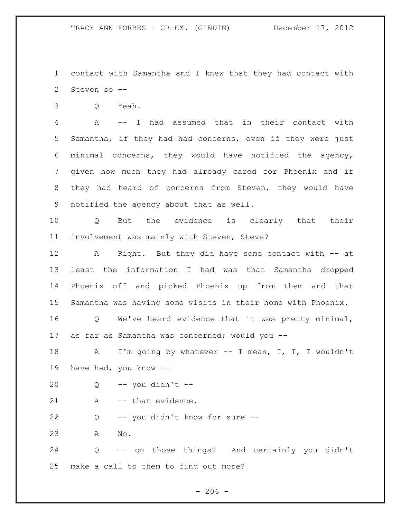contact with Samantha and I knew that they had contact with Steven so --

Q Yeah.

 A -- I had assumed that in their contact with Samantha, if they had had concerns, even if they were just minimal concerns, they would have notified the agency, given how much they had already cared for Phoenix and if they had heard of concerns from Steven, they would have notified the agency about that as well.

 Q But the evidence is clearly that their involvement was mainly with Steven, Steve?

 A Right. But they did have some contact with -- at least the information I had was that Samantha dropped Phoenix off and picked Phoenix up from them and that Samantha was having some visits in their home with Phoenix.

 Q We've heard evidence that it was pretty minimal, 17 as far as Samantha was concerned; would you --

 A I'm going by whatever -- I mean, I, I, I wouldn't have had, you know --

Q -- you didn't --

21 A -- that evidence.

Q -- you didn't know for sure --

A No.

 Q -- on those things? And certainly you didn't make a call to them to find out more?

 $-206 -$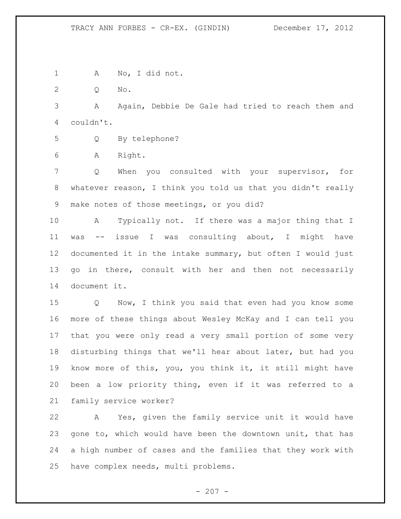A No, I did not.

Q No.

 A Again, Debbie De Gale had tried to reach them and couldn't.

Q By telephone?

A Right.

 Q When you consulted with your supervisor, for whatever reason, I think you told us that you didn't really make notes of those meetings, or you did?

 A Typically not. If there was a major thing that I was -- issue I was consulting about, I might have documented it in the intake summary, but often I would just 13 go in there, consult with her and then not necessarily document it.

 Q Now, I think you said that even had you know some more of these things about Wesley McKay and I can tell you that you were only read a very small portion of some very disturbing things that we'll hear about later, but had you know more of this, you, you think it, it still might have been a low priority thing, even if it was referred to a family service worker?

 A Yes, given the family service unit it would have gone to, which would have been the downtown unit, that has a high number of cases and the families that they work with have complex needs, multi problems.

 $- 207 -$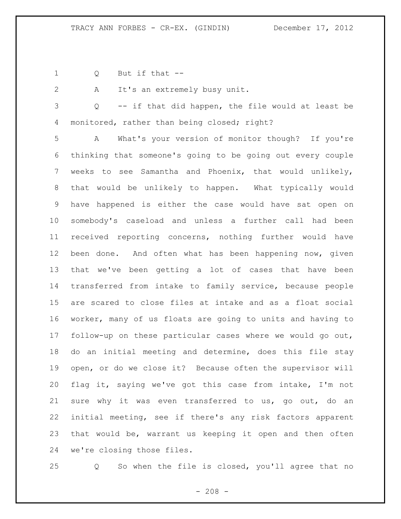- Q But if that --
- 

A It's an extremely busy unit.

 Q -- if that did happen, the file would at least be 4 monitored, rather than being closed; right?

 A What's your version of monitor though? If you're thinking that someone's going to be going out every couple weeks to see Samantha and Phoenix, that would unlikely, that would be unlikely to happen. What typically would have happened is either the case would have sat open on somebody's caseload and unless a further call had been received reporting concerns, nothing further would have been done. And often what has been happening now, given that we've been getting a lot of cases that have been transferred from intake to family service, because people are scared to close files at intake and as a float social worker, many of us floats are going to units and having to follow-up on these particular cases where we would go out, do an initial meeting and determine, does this file stay open, or do we close it? Because often the supervisor will flag it, saying we've got this case from intake, I'm not sure why it was even transferred to us, go out, do an initial meeting, see if there's any risk factors apparent that would be, warrant us keeping it open and then often we're closing those files.

Q So when the file is closed, you'll agree that no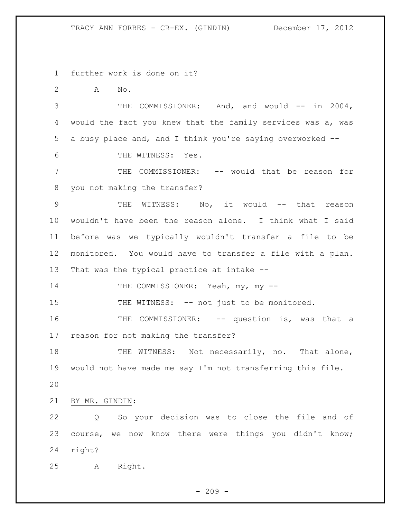further work is done on it?

A No.

3 THE COMMISSIONER: And, and would -- in 2004, would the fact you knew that the family services was a, was a busy place and, and I think you're saying overworked --

6 THE WITNESS: Yes.

 THE COMMISSIONER: -- would that be reason for you not making the transfer?

9 THE WITNESS: No, it would -- that reason wouldn't have been the reason alone. I think what I said before was we typically wouldn't transfer a file to be monitored. You would have to transfer a file with a plan. That was the typical practice at intake --

14 THE COMMISSIONER: Yeah, my, my --

15 THE WITNESS: -- not just to be monitored.

16 THE COMMISSIONER: -- question is, was that a reason for not making the transfer?

18 THE WITNESS: Not necessarily, no. That alone, would not have made me say I'm not transferring this file.

BY MR. GINDIN:

 Q So your decision was to close the file and of course, we now know there were things you didn't know; right?

A Right.

 $-209 -$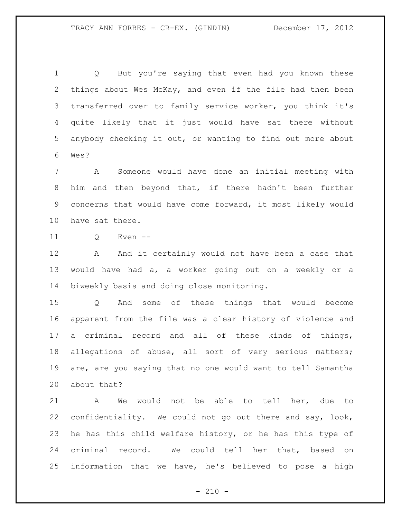Q But you're saying that even had you known these things about Wes McKay, and even if the file had then been transferred over to family service worker, you think it's quite likely that it just would have sat there without anybody checking it out, or wanting to find out more about Wes?

 A Someone would have done an initial meeting with him and then beyond that, if there hadn't been further concerns that would have come forward, it most likely would have sat there.

Q Even --

12 A And it certainly would not have been a case that would have had a, a worker going out on a weekly or a biweekly basis and doing close monitoring.

 Q And some of these things that would become apparent from the file was a clear history of violence and a criminal record and all of these kinds of things, allegations of abuse, all sort of very serious matters; are, are you saying that no one would want to tell Samantha about that?

 A We would not be able to tell her, due to confidentiality. We could not go out there and say, look, he has this child welfare history, or he has this type of criminal record. We could tell her that, based on information that we have, he's believed to pose a high

 $- 210 -$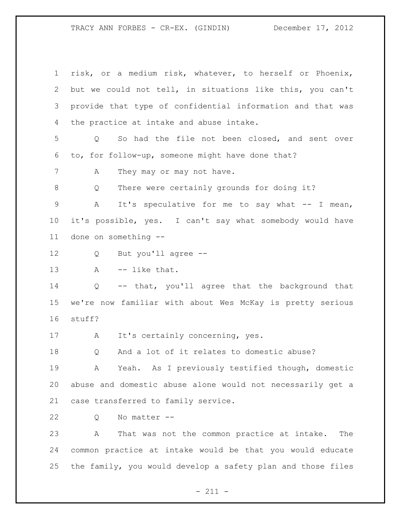risk, or a medium risk, whatever, to herself or Phoenix, but we could not tell, in situations like this, you can't provide that type of confidential information and that was the practice at intake and abuse intake. Q So had the file not been closed, and sent over to, for follow-up, someone might have done that? 7 A They may or may not have. Q There were certainly grounds for doing it? 9 A It's speculative for me to say what -- I mean, it's possible, yes. I can't say what somebody would have done on something -- Q But you'll agree -- 13 A -- like that. Q -- that, you'll agree that the background that we're now familiar with about Wes McKay is pretty serious stuff? A It's certainly concerning, yes. Q And a lot of it relates to domestic abuse? A Yeah. As I previously testified though, domestic abuse and domestic abuse alone would not necessarily get a case transferred to family service. Q No matter -- A That was not the common practice at intake. The common practice at intake would be that you would educate

- 211 -

the family, you would develop a safety plan and those files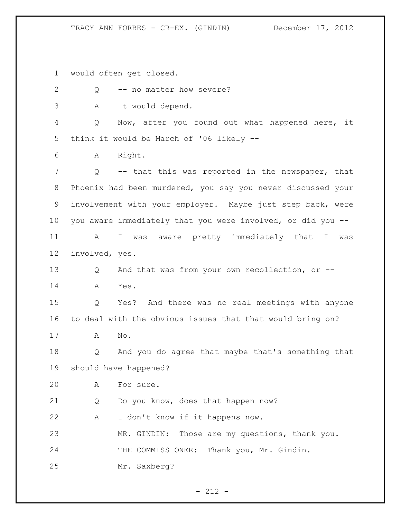would often get closed.

| $\overline{2}$ | Q              | -- no matter how severe?                                    |
|----------------|----------------|-------------------------------------------------------------|
| 3              | A              | It would depend.                                            |
| 4              | Q              | Now, after you found out what happened here, it             |
| 5              |                | think it would be March of '06 likely --                    |
| 6              | A              | Right.                                                      |
| 7              | $\mathsf{Q}$   | -- that this was reported in the newspaper, that            |
| 8              |                | Phoenix had been murdered, you say you never discussed your |
| 9              |                | involvement with your employer. Maybe just step back, were  |
| 10             |                | you aware immediately that you were involved, or did you -- |
| 11             | A              | I was aware pretty immediately that I was                   |
| 12             | involved, yes. |                                                             |
| 13             | Q              | And that was from your own recollection, or --              |
| 14             | A              | Yes.                                                        |
| 15             | Q              | Yes? And there was no real meetings with anyone             |
| 16             |                | to deal with the obvious issues that that would bring on?   |
| 17             | Α              | $\mathrm{No}$ .                                             |
| 18             | Q              | And you do agree that maybe that's something that           |
| 19             |                | should have happened?                                       |
| 20             | A              | For sure.                                                   |
| 21             | Q              | Do you know, does that happen now?                          |
| 22             | A              | I don't know if it happens now.                             |
| 23             |                | Those are my questions, thank you.<br>MR. GINDIN:           |
| 24             |                | THE COMMISSIONER:<br>Thank you, Mr. Gindin.                 |
| 25             |                | Mr. Saxberg?                                                |

- 212 -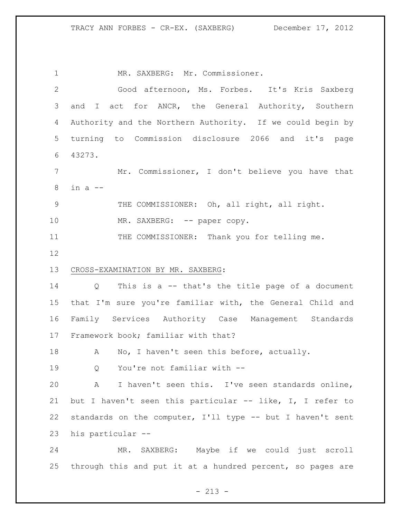1 MR. SAXBERG: Mr. Commissioner. Good afternoon, Ms. Forbes. It's Kris Saxberg and I act for ANCR, the General Authority, Southern Authority and the Northern Authority. If we could begin by turning to Commission disclosure 2066 and it's page 43273. Mr. Commissioner, I don't believe you have that in a -- THE COMMISSIONER: Oh, all right, all right. 10 MR. SAXBERG: -- paper copy. THE COMMISSIONER: Thank you for telling me. CROSS-EXAMINATION BY MR. SAXBERG: Q This is a -- that's the title page of a document that I'm sure you're familiar with, the General Child and Family Services Authority Case Management Standards Framework book; familiar with that? 18 A No, I haven't seen this before, actually. Q You're not familiar with -- A I haven't seen this. I've seen standards online, but I haven't seen this particular -- like, I, I refer to standards on the computer, I'll type -- but I haven't sent his particular -- MR. SAXBERG: Maybe if we could just scroll 25 through this and put it at a hundred percent, so pages are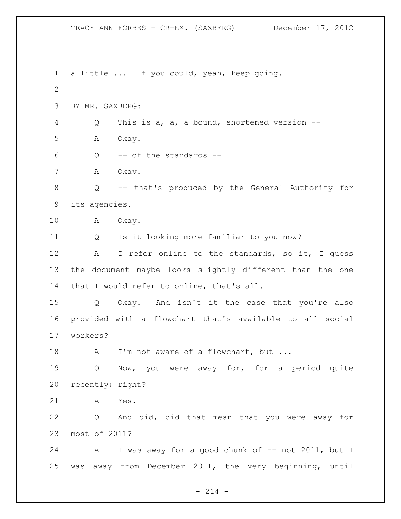a little ... If you could, yeah, keep going. BY MR. SAXBERG: Q This is a, a, a bound, shortened version -- A Okay. Q -- of the standards -- 7 A Okay. Q -- that's produced by the General Authority for its agencies. A Okay. Q Is it looking more familiar to you now? 12 A I refer online to the standards, so it, I guess the document maybe looks slightly different than the one that I would refer to online, that's all. Q Okay. And isn't it the case that you're also provided with a flowchart that's available to all social workers? 18 A I'm not aware of a flowchart, but ... Q Now, you were away for, for a period quite recently; right? A Yes. Q And did, did that mean that you were away for most of 2011? 24 A I was away for a good chunk of -- not 2011, but I was away from December 2011, the very beginning, until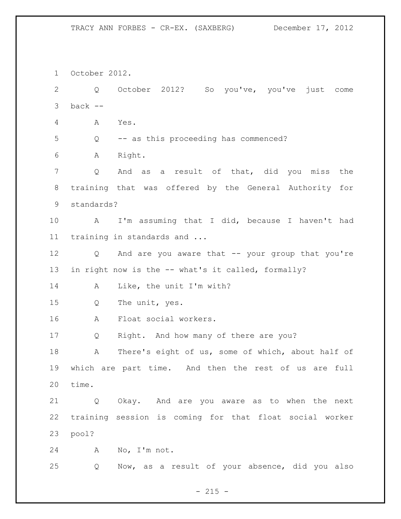October 2012. Q October 2012? So you've, you've just come back  $-$  A Yes. Q -- as this proceeding has commenced? A Right. Q And as a result of that, did you miss the training that was offered by the General Authority for standards? A I'm assuming that I did, because I haven't had training in standards and ... Q And are you aware that -- your group that you're in right now is the -- what's it called, formally? A Like, the unit I'm with? Q The unit, yes. A Float social workers. Q Right. And how many of there are you? A There's eight of us, some of which, about half of which are part time. And then the rest of us are full time. Q Okay. And are you aware as to when the next training session is coming for that float social worker pool? A No, I'm not. Q Now, as a result of your absence, did you also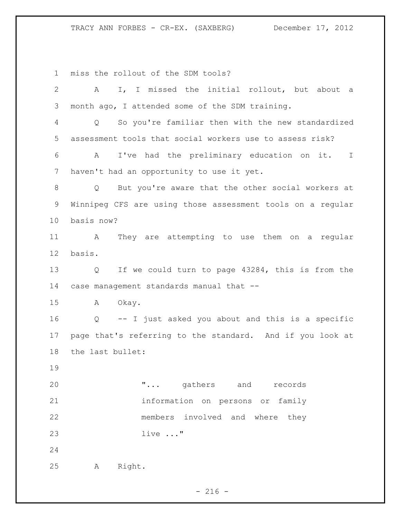miss the rollout of the SDM tools?

| $\mathbf{2}$ | I, I missed the initial rollout, but about a<br>A                |
|--------------|------------------------------------------------------------------|
| 3            | month ago, I attended some of the SDM training.                  |
| 4            | So you're familiar then with the new standardized<br>$Q_{\rm c}$ |
| 5            | assessment tools that social workers use to assess risk?         |
| 6            | I've had the preliminary education on it. I<br>A                 |
| 7            | haven't had an opportunity to use it yet.                        |
| 8            | But you're aware that the other social workers at<br>Q           |
| 9            | Winnipeg CFS are using those assessment tools on a regular       |
| 10           | basis now?                                                       |
| 11           | They are attempting to use them on a regular<br>$\mathbb A$      |
| 12           | basis.                                                           |
| 13           | If we could turn to page 43284, this is from the<br>Q            |
| 14           | case management standards manual that --                         |
| 15           | Okay.<br>A                                                       |
| 16           | -- I just asked you about and this is a specific<br>$Q_{\perp}$  |
| 17           | page that's referring to the standard. And if you look at        |
| 18           | the last bullet:                                                 |
| 19           |                                                                  |
| 20           | " gathers and records                                            |
| 21           | information on persons or family                                 |
| 22           | members involved and where they                                  |
| 23           | live $\ldots$ "                                                  |
| 24           |                                                                  |
| 25           | Right.<br>Α                                                      |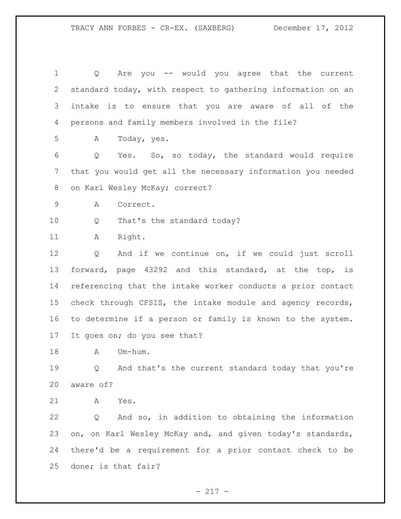Q Are you -- would you agree that the current standard today, with respect to gathering information on an intake is to ensure that you are aware of all of the persons and family members involved in the file? A Today, yes. Q Yes. So, so today, the standard would require that you would get all the necessary information you needed 8 on Karl Wesley McKay; correct? A Correct. 10 Q That's the standard today? 11 A Right. Q And if we continue on, if we could just scroll forward, page 43292 and this standard, at the top, is referencing that the intake worker conducts a prior contact check through CFSIS, the intake module and agency records, to determine if a person or family is known to the system. It goes on; do you see that? 18 A Um-hum. Q And that's the current standard today that you're aware of? A Yes. Q And so, in addition to obtaining the information 23 on, on Karl Wesley McKay and, and given today's standards, there'd be a requirement for a prior contact check to be done; is that fair?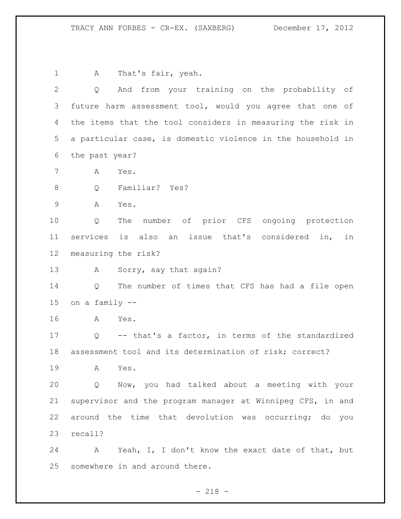1 A That's fair, yeah. Q And from your training on the probability of future harm assessment tool, would you agree that one of the items that the tool considers in measuring the risk in a particular case, is domestic violence in the household in the past year? A Yes. Q Familiar? Yes? A Yes. Q The number of prior CFS ongoing protection services is also an issue that's considered in, in measuring the risk? 13 A Sorry, say that again? Q The number of times that CFS has had a file open on a family -- A Yes. Q -- that's a factor, in terms of the standardized assessment tool and its determination of risk; correct? A Yes. Q Now, you had talked about a meeting with your supervisor and the program manager at Winnipeg CFS, in and around the time that devolution was occurring; do you recall? A Yeah, I, I don't know the exact date of that, but somewhere in and around there.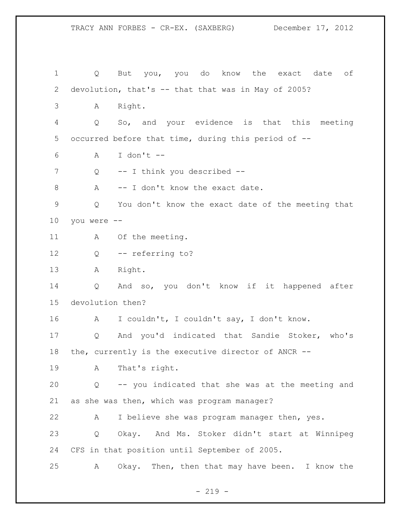TRACY ANN FORBES - CR-EX. (SAXBERG) December 17, 2012 Q But you, you do know the exact date of devolution, that's -- that that was in May of 2005? A Right. Q So, and your evidence is that this meeting occurred before that time, during this period of -- A I don't -- 7 Q -- I think you described --8 A -- I don't know the exact date.

 Q You don't know the exact date of the meeting that you were --

11 A Of the meeting.

Q -- referring to?

A Right.

 Q And so, you don't know if it happened after devolution then?

A I couldn't, I couldn't say, I don't know.

 Q And you'd indicated that Sandie Stoker, who's the, currently is the executive director of ANCR --

A That's right.

 Q -- you indicated that she was at the meeting and as she was then, which was program manager?

A I believe she was program manager then, yes.

 Q Okay. And Ms. Stoker didn't start at Winnipeg CFS in that position until September of 2005.

A Okay. Then, then that may have been. I know the

 $-219 -$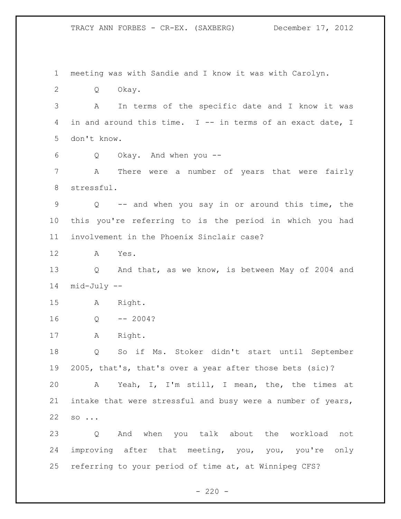meeting was with Sandie and I know it was with Carolyn. Q Okay. A In terms of the specific date and I know it was in and around this time. I -- in terms of an exact date, I don't know. Q Okay. And when you -- A There were a number of years that were fairly stressful. Q -- and when you say in or around this time, the this you're referring to is the period in which you had involvement in the Phoenix Sinclair case? A Yes. Q And that, as we know, is between May of 2004 and mid-July -- A Right. Q -- 2004? A Right. Q So if Ms. Stoker didn't start until September 2005, that's, that's over a year after those bets (sic)? A Yeah, I, I'm still, I mean, the, the times at intake that were stressful and busy were a number of years, so ... Q And when you talk about the workload not improving after that meeting, you, you, you're only referring to your period of time at, at Winnipeg CFS?

 $- 220 -$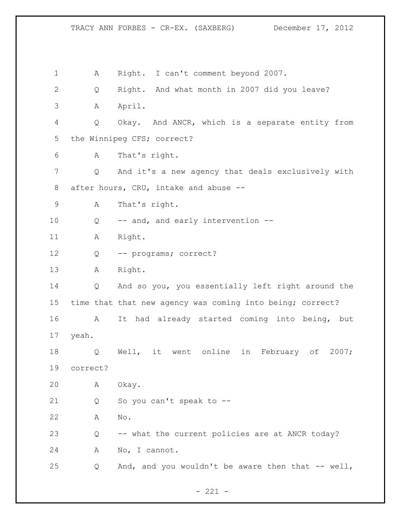A Right. I can't comment beyond 2007. Q Right. And what month in 2007 did you leave? A April. Q Okay. And ANCR, which is a separate entity from the Winnipeg CFS; correct? A That's right. Q And it's a new agency that deals exclusively with after hours, CRU, intake and abuse -- A That's right. 10 Q -- and, and early intervention --11 A Right. Q -- programs; correct? A Right. Q And so you, you essentially left right around the time that that new agency was coming into being; correct? A It had already started coming into being, but yeah. Q Well, it went online in February of 2007; correct? A Okay. Q So you can't speak to -- A No. Q -- what the current policies are at ANCR today? A No, I cannot. Q And, and you wouldn't be aware then that -- well,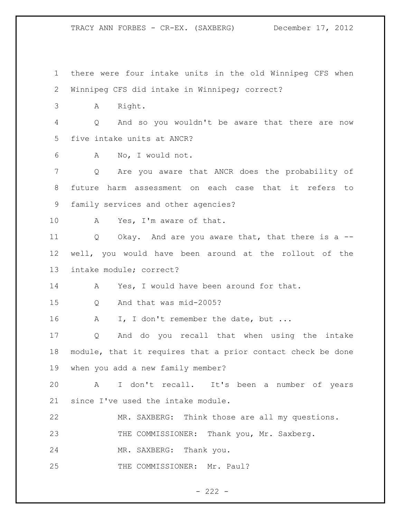there were four intake units in the old Winnipeg CFS when Winnipeg CFS did intake in Winnipeg; correct? A Right. Q And so you wouldn't be aware that there are now five intake units at ANCR? A No, I would not. Q Are you aware that ANCR does the probability of future harm assessment on each case that it refers to family services and other agencies? 10 A Yes, I'm aware of that. 11 Q Okay. And are you aware that, that there is a -- well, you would have been around at the rollout of the intake module; correct? 14 A Yes, I would have been around for that. Q And that was mid-2005? 16 A I, I don't remember the date, but ... Q And do you recall that when using the intake module, that it requires that a prior contact check be done when you add a new family member? A I don't recall. It's been a number of years since I've used the intake module. MR. SAXBERG: Think those are all my questions. 23 THE COMMISSIONER: Thank you, Mr. Saxberg. MR. SAXBERG: Thank you. 25 THE COMMISSIONER: Mr. Paul?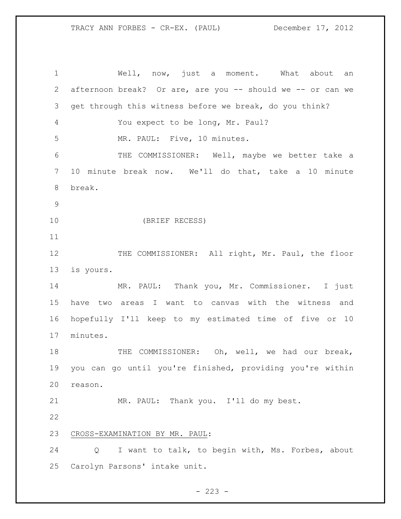Well, now, just a moment. What about an afternoon break? Or are, are you -- should we -- or can we get through this witness before we break, do you think? You expect to be long, Mr. Paul? MR. PAUL: Five, 10 minutes. THE COMMISSIONER: Well, maybe we better take a 10 minute break now. We'll do that, take a 10 minute break. (BRIEF RECESS) 12 THE COMMISSIONER: All right, Mr. Paul, the floor is yours. MR. PAUL: Thank you, Mr. Commissioner. I just have two areas I want to canvas with the witness and hopefully I'll keep to my estimated time of five or 10 minutes. 18 THE COMMISSIONER: Oh, well, we had our break, you can go until you're finished, providing you're within reason. MR. PAUL: Thank you. I'll do my best. CROSS-EXAMINATION BY MR. PAUL: Q I want to talk, to begin with, Ms. Forbes, about Carolyn Parsons' intake unit.

 $- 223 -$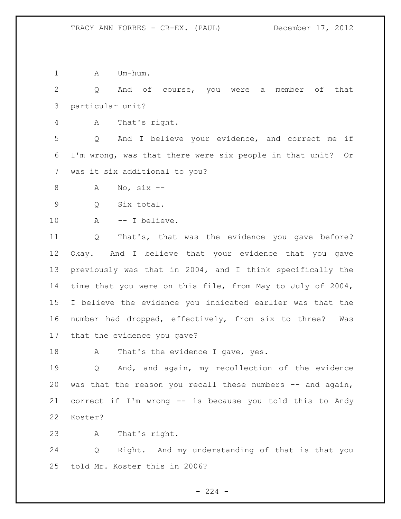1 A Um-hum.

 Q And of course, you were a member of that particular unit?

A That's right.

 Q And I believe your evidence, and correct me if I'm wrong, was that there were six people in that unit? Or was it six additional to you?

A No, six --

Q Six total.

A -- I believe.

 Q That's, that was the evidence you gave before? Okay. And I believe that your evidence that you gave previously was that in 2004, and I think specifically the time that you were on this file, from May to July of 2004, I believe the evidence you indicated earlier was that the number had dropped, effectively, from six to three? Was that the evidence you gave?

18 A That's the evidence I gave, yes.

 Q And, and again, my recollection of the evidence was that the reason you recall these numbers -- and again, correct if I'm wrong -- is because you told this to Andy Koster?

A That's right.

 Q Right. And my understanding of that is that you told Mr. Koster this in 2006?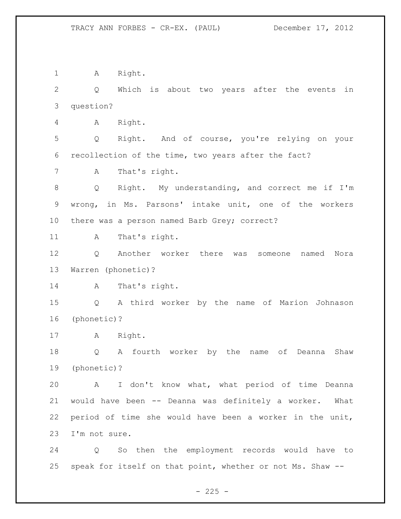1 A Right. Q Which is about two years after the events in question? A Right. Q Right. And of course, you're relying on your recollection of the time, two years after the fact? A That's right. Q Right. My understanding, and correct me if I'm wrong, in Ms. Parsons' intake unit, one of the workers there was a person named Barb Grey; correct? 11 A That's right. Q Another worker there was someone named Nora Warren (phonetic)? 14 A That's right. Q A third worker by the name of Marion Johnason (phonetic)? A Right. Q A fourth worker by the name of Deanna Shaw (phonetic)? A I don't know what, what period of time Deanna would have been -- Deanna was definitely a worker. What period of time she would have been a worker in the unit, I'm not sure. Q So then the employment records would have to speak for itself on that point, whether or not Ms. Shaw --

 $- 225 -$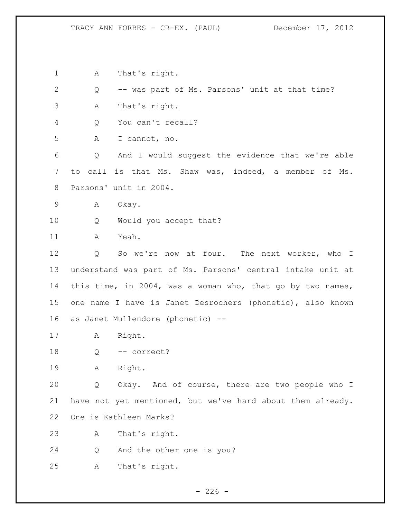A That's right. Q -- was part of Ms. Parsons' unit at that time? A That's right. Q You can't recall? A I cannot, no. Q And I would suggest the evidence that we're able to call is that Ms. Shaw was, indeed, a member of Ms. Parsons' unit in 2004. A Okay. Q Would you accept that? A Yeah. 12 Q So we're now at four. The next worker, who I understand was part of Ms. Parsons' central intake unit at this time, in 2004, was a woman who, that go by two names, one name I have is Janet Desrochers (phonetic), also known as Janet Mullendore (phonetic) -- A Right. 18 Q -- correct? A Right. Q Okay. And of course, there are two people who I have not yet mentioned, but we've hard about them already. One is Kathleen Marks? A That's right. Q And the other one is you? A That's right.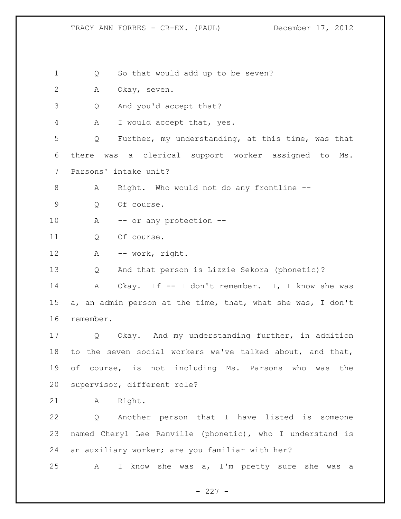$- 227 -$  Q So that would add up to be seven? A Okay, seven. Q And you'd accept that? A I would accept that, yes. Q Further, my understanding, at this time, was that there was a clerical support worker assigned to Ms. Parsons' intake unit? A Right. Who would not do any frontline -- Q Of course. 10 A -- or any protection -- Q Of course. A -- work, right. Q And that person is Lizzie Sekora (phonetic)? A Okay. If -- I don't remember. I, I know she was a, an admin person at the time, that, what she was, I don't remember. Q Okay. And my understanding further, in addition to the seven social workers we've talked about, and that, of course, is not including Ms. Parsons who was the supervisor, different role? A Right. Q Another person that I have listed is someone named Cheryl Lee Ranville (phonetic), who I understand is an auxiliary worker; are you familiar with her? A I know she was a, I'm pretty sure she was a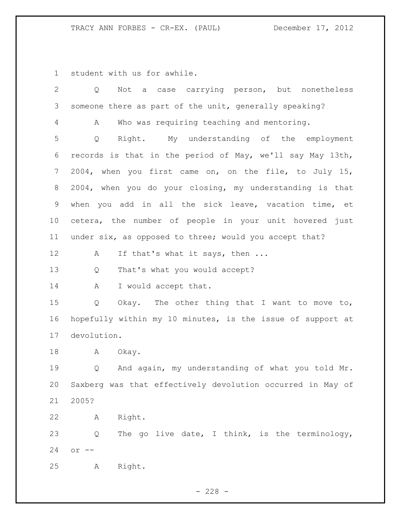student with us for awhile.

| 2  | case carrying person, but nonetheless<br>Not<br>Q<br>a     |
|----|------------------------------------------------------------|
| 3  | someone there as part of the unit, generally speaking?     |
| 4  | Who was requiring teaching and mentoring.<br>A             |
| 5  | My understanding of the employment<br>Right.<br>Q          |
| 6  | records is that in the period of May, we'll say May 13th,  |
| 7  | 2004, when you first came on, on the file, to July 15,     |
| 8  | 2004, when you do your closing, my understanding is that   |
| 9  | when you add in all the sick leave, vacation time, et      |
| 10 | cetera, the number of people in your unit hovered just     |
| 11 | under six, as opposed to three; would you accept that?     |
| 12 | If that's what it says, then<br>Α                          |
| 13 | That's what you would accept?<br>Q                         |
| 14 | I would accept that.<br>A                                  |
| 15 | Okay. The other thing that I want to move to,<br>Q         |
| 16 | hopefully within my 10 minutes, is the issue of support at |
| 17 | devolution.                                                |
| 18 | A<br>Okay.                                                 |
| 19 | And again, my understanding of what you told Mr.<br>Q      |
| 20 | Saxberg was that effectively devolution occurred in May of |
| 21 | 2005?                                                      |
| 22 | Right.<br>Α                                                |
| 23 | The go live date, I think, is the terminology,<br>Q        |
| 24 | $or$ $--$                                                  |
| 25 | Right.<br>Α                                                |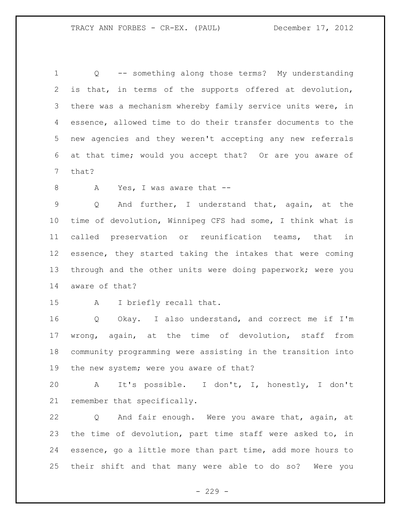Q -- something along those terms? My understanding is that, in terms of the supports offered at devolution, there was a mechanism whereby family service units were, in essence, allowed time to do their transfer documents to the new agencies and they weren't accepting any new referrals at that time; would you accept that? Or are you aware of that?

8 A Yes, I was aware that --

 Q And further, I understand that, again, at the time of devolution, Winnipeg CFS had some, I think what is called preservation or reunification teams, that in essence, they started taking the intakes that were coming through and the other units were doing paperwork; were you aware of that?

A I briefly recall that.

 Q Okay. I also understand, and correct me if I'm wrong, again, at the time of devolution, staff from community programming were assisting in the transition into 19 the new system; were you aware of that?

 A It's possible. I don't, I, honestly, I don't remember that specifically.

 Q And fair enough. Were you aware that, again, at the time of devolution, part time staff were asked to, in essence, go a little more than part time, add more hours to their shift and that many were able to do so? Were you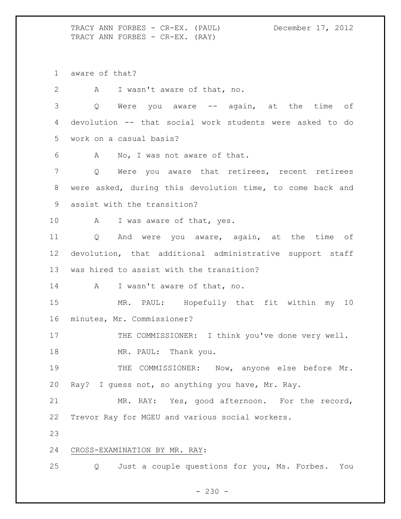TRACY ANN FORBES - CR-EX. (PAUL) December 17, 2012 TRACY ANN FORBES - CR-EX. (RAY)

aware of that?

A I wasn't aware of that, no.

3 Q Were you aware -- again, at the time of devolution -- that social work students were asked to do work on a casual basis?

A No, I was not aware of that.

 Q Were you aware that retirees, recent retirees were asked, during this devolution time, to come back and assist with the transition?

10 A I was aware of that, yes.

 Q And were you aware, again, at the time of devolution, that additional administrative support staff was hired to assist with the transition?

A I wasn't aware of that, no.

 MR. PAUL: Hopefully that fit within my 10 minutes, Mr. Commissioner?

17 THE COMMISSIONER: I think you've done very well.

18 MR. PAUL: Thank you.

 THE COMMISSIONER: Now, anyone else before Mr. Ray? I guess not, so anything you have, Mr. Ray.

 MR. RAY: Yes, good afternoon. For the record, Trevor Ray for MGEU and various social workers.

## CROSS-EXAMINATION BY MR. RAY:

Q Just a couple questions for you, Ms. Forbes. You

 $- 230 -$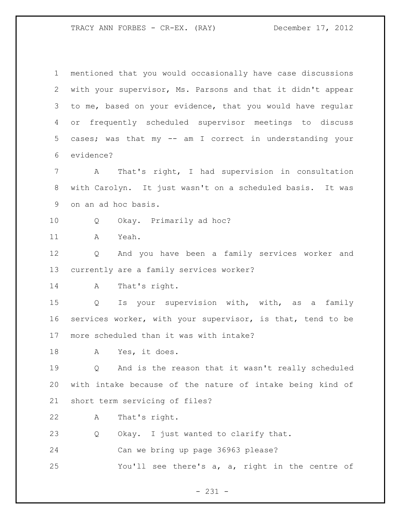- 231 - mentioned that you would occasionally have case discussions with your supervisor, Ms. Parsons and that it didn't appear to me, based on your evidence, that you would have regular or frequently scheduled supervisor meetings to discuss cases; was that my -- am I correct in understanding your evidence? A That's right, I had supervision in consultation with Carolyn. It just wasn't on a scheduled basis. It was on an ad hoc basis. Q Okay. Primarily ad hoc? A Yeah. Q And you have been a family services worker and currently are a family services worker? 14 A That's right. Q Is your supervision with, with, as a family services worker, with your supervisor, is that, tend to be more scheduled than it was with intake? A Yes, it does. Q And is the reason that it wasn't really scheduled with intake because of the nature of intake being kind of short term servicing of files? A That's right. Q Okay. I just wanted to clarify that. Can we bring up page 36963 please? You'll see there's a, a, right in the centre of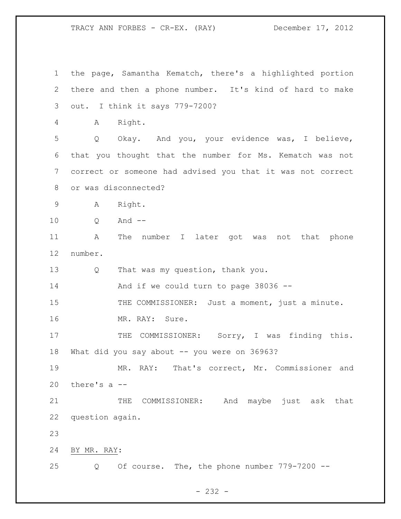the page, Samantha Kematch, there's a highlighted portion there and then a phone number. It's kind of hard to make out. I think it says 779-7200? A Right. Q Okay. And you, your evidence was, I believe, that you thought that the number for Ms. Kematch was not correct or someone had advised you that it was not correct or was disconnected? A Right. Q And -- A The number I later got was not that phone number. Q That was my question, thank you. And if we could turn to page 38036 -- 15 THE COMMISSIONER: Just a moment, just a minute. MR. RAY: Sure. 17 THE COMMISSIONER: Sorry, I was finding this. What did you say about -- you were on 36963? MR. RAY: That's correct, Mr. Commissioner and there's a -- 21 THE COMMISSIONER: And maybe just ask that question again. BY MR. RAY: Q Of course. The, the phone number 779-7200 --

 $- 232 -$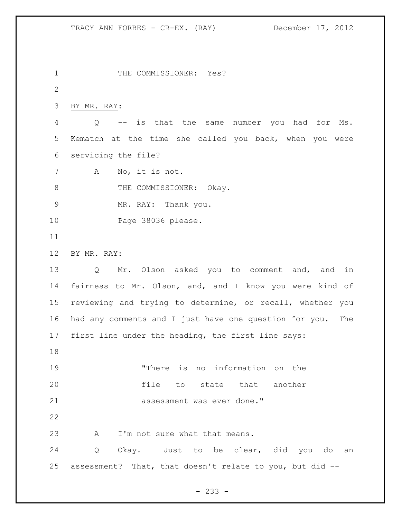1 THE COMMISSIONER: Yes? BY MR. RAY: Q -- is that the same number you had for Ms. Kematch at the time she called you back, when you were servicing the file? A No, it is not. 8 THE COMMISSIONER: Okay. MR. RAY: Thank you. Page 38036 please. BY MR. RAY: Q Mr. Olson asked you to comment and, and in fairness to Mr. Olson, and, and I know you were kind of reviewing and trying to determine, or recall, whether you had any comments and I just have one question for you. The first line under the heading, the first line says: "There is no information on the file to state that another 21 assessment was ever done." 23 A I'm not sure what that means. Q Okay. Just to be clear, did you do an assessment? That, that doesn't relate to you, but did --

- 233 -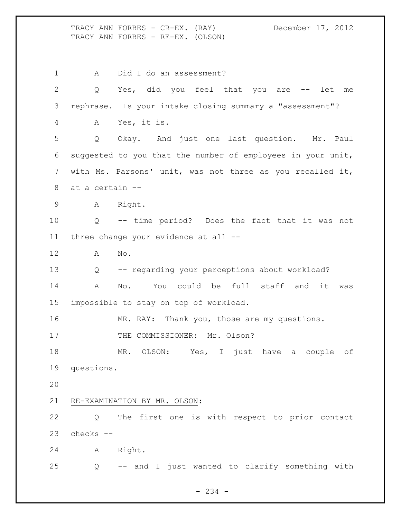TRACY ANN FORBES - CR-EX. (RAY) December 17, 2012 TRACY ANN FORBES - RE-EX. (OLSON)

1 A Did I do an assessment? Q Yes, did you feel that you are -- let me rephrase. Is your intake closing summary a "assessment"? A Yes, it is. Q Okay. And just one last question. Mr. Paul suggested to you that the number of employees in your unit, with Ms. Parsons' unit, was not three as you recalled it, at a certain -- A Right. Q -- time period? Does the fact that it was not three change your evidence at all -- A No. Q -- regarding your perceptions about workload? A No. You could be full staff and it was impossible to stay on top of workload. 16 MR. RAY: Thank you, those are my questions. 17 THE COMMISSIONER: Mr. Olson? MR. OLSON: Yes, I just have a couple of questions. RE-EXAMINATION BY MR. OLSON: Q The first one is with respect to prior contact checks -- A Right. Q -- and I just wanted to clarify something with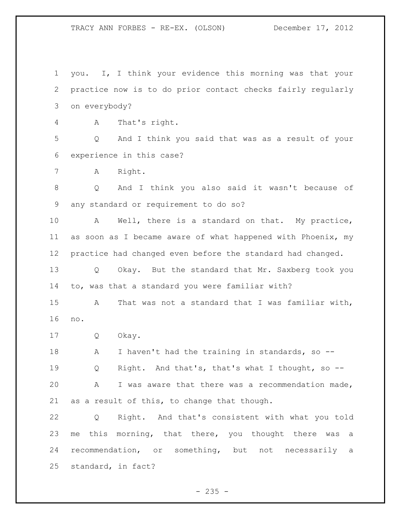you. I, I think your evidence this morning was that your practice now is to do prior contact checks fairly regularly on everybody?

A That's right.

 Q And I think you said that was as a result of your experience in this case?

A Right.

 Q And I think you also said it wasn't because of any standard or requirement to do so?

 A Well, there is a standard on that. My practice, as soon as I became aware of what happened with Phoenix, my practice had changed even before the standard had changed. Q Okay. But the standard that Mr. Saxberg took you

to, was that a standard you were familiar with?

 A That was not a standard that I was familiar with, no.

Q Okay.

18 A I haven't had the training in standards, so -- Q Right. And that's, that's what I thought, so -- A I was aware that there was a recommendation made, as a result of this, to change that though.

 Q Right. And that's consistent with what you told 23 me this morning, that there, you thought there was a recommendation, or something, but not necessarily a standard, in fact?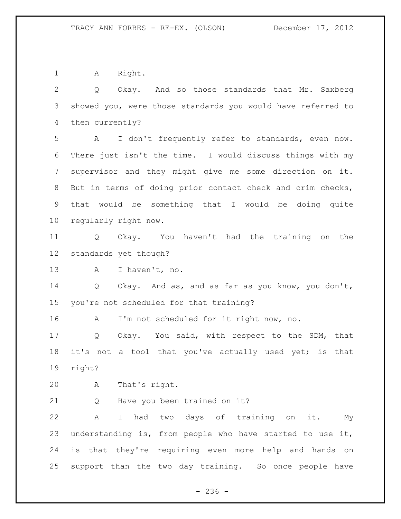1 A Right.

 Q Okay. And so those standards that Mr. Saxberg showed you, were those standards you would have referred to then currently? A I don't frequently refer to standards, even now. There just isn't the time. I would discuss things with my supervisor and they might give me some direction on it. But in terms of doing prior contact check and crim checks, that would be something that I would be doing quite regularly right now.

 Q Okay. You haven't had the training on the standards yet though?

13 A I haven't, no.

 Q Okay. And as, and as far as you know, you don't, you're not scheduled for that training?

A I'm not scheduled for it right now, no.

 Q Okay. You said, with respect to the SDM, that 18 it's not a tool that you've actually used yet; is that right?

A That's right.

Q Have you been trained on it?

 A I had two days of training on it. My understanding is, from people who have started to use it, is that they're requiring even more help and hands on support than the two day training. So once people have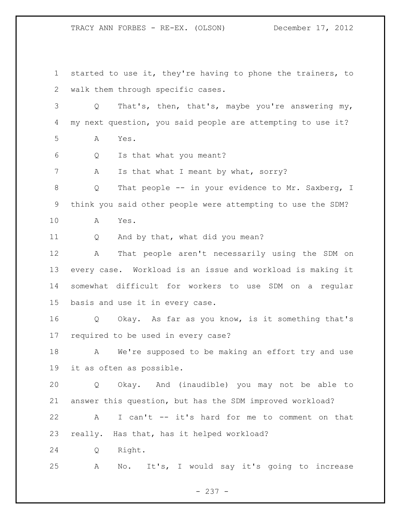started to use it, they're having to phone the trainers, to walk them through specific cases. Q That's, then, that's, maybe you're answering my, my next question, you said people are attempting to use it? A Yes. Q Is that what you meant? 7 A Is that what I meant by what, sorry? 8 Q That people -- in your evidence to Mr. Saxberg, I think you said other people were attempting to use the SDM? A Yes. Q And by that, what did you mean? A That people aren't necessarily using the SDM on every case. Workload is an issue and workload is making it somewhat difficult for workers to use SDM on a regular basis and use it in every case. Q Okay. As far as you know, is it something that's required to be used in every case? 18 A We're supposed to be making an effort try and use it as often as possible. Q Okay. And (inaudible) you may not be able to answer this question, but has the SDM improved workload? A I can't -- it's hard for me to comment on that really. Has that, has it helped workload? Q Right. A No. It's, I would say it's going to increase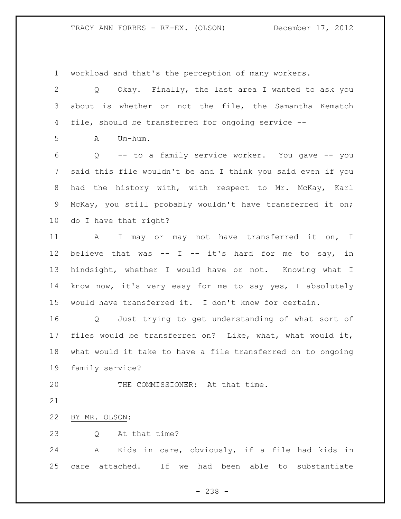workload and that's the perception of many workers.

 Q Okay. Finally, the last area I wanted to ask you about is whether or not the file, the Samantha Kematch file, should be transferred for ongoing service --

 $A$   $Um-h \, \ldots$ 

 Q -- to a family service worker. You gave -- you said this file wouldn't be and I think you said even if you had the history with, with respect to Mr. McKay, Karl McKay, you still probably wouldn't have transferred it on; do I have that right?

 A I may or may not have transferred it on, I believe that was -- I -- it's hard for me to say, in hindsight, whether I would have or not. Knowing what I know now, it's very easy for me to say yes, I absolutely would have transferred it. I don't know for certain.

 Q Just trying to get understanding of what sort of files would be transferred on? Like, what, what would it, what would it take to have a file transferred on to ongoing family service?

20 THE COMMISSIONER: At that time.

BY MR. OLSON:

23 0 At that time?

 A Kids in care, obviously, if a file had kids in care attached. If we had been able to substantiate

- 238 -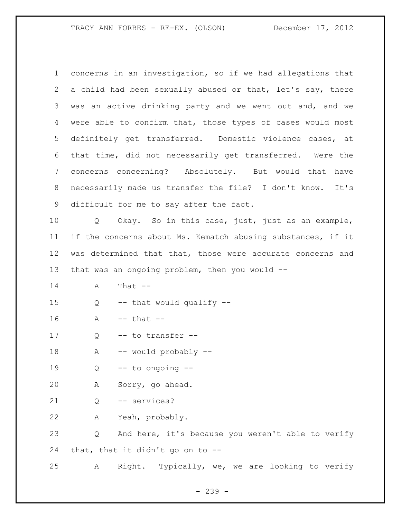concerns in an investigation, so if we had allegations that a child had been sexually abused or that, let's say, there was an active drinking party and we went out and, and we were able to confirm that, those types of cases would most definitely get transferred. Domestic violence cases, at that time, did not necessarily get transferred. Were the concerns concerning? Absolutely. But would that have necessarily made us transfer the file? I don't know. It's difficult for me to say after the fact. Q Okay. So in this case, just, just as an example, if the concerns about Ms. Kematch abusing substances, if it was determined that that, those were accurate concerns and that was an ongoing problem, then you would -- A That -- Q -- that would qualify -- A -- that -- 17 Q -- to transfer -- A -- would probably -- Q  $-$  to ongoing  $-$  A Sorry, go ahead. Q -- services? A Yeah, probably. Q And here, it's because you weren't able to verify that, that it didn't go on to -- A Right. Typically, we, we are looking to verify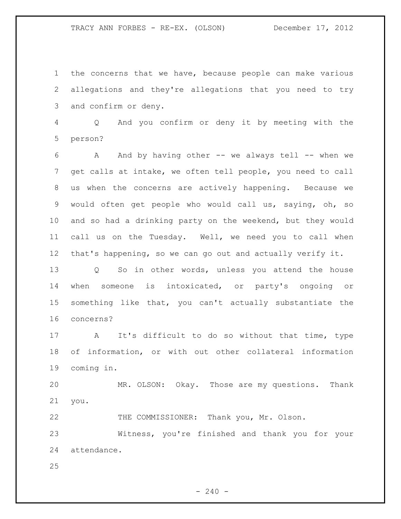the concerns that we have, because people can make various allegations and they're allegations that you need to try and confirm or deny.

 Q And you confirm or deny it by meeting with the person?

 A And by having other -- we always tell -- when we get calls at intake, we often tell people, you need to call us when the concerns are actively happening. Because we would often get people who would call us, saying, oh, so and so had a drinking party on the weekend, but they would call us on the Tuesday. Well, we need you to call when that's happening, so we can go out and actually verify it.

 Q So in other words, unless you attend the house when someone is intoxicated, or party's ongoing or something like that, you can't actually substantiate the concerns?

 A It's difficult to do so without that time, type of information, or with out other collateral information coming in.

 MR. OLSON: Okay. Those are my questions. Thank you.

THE COMMISSIONER: Thank you, Mr. Olson.

 Witness, you're finished and thank you for your attendance.

 $-240 -$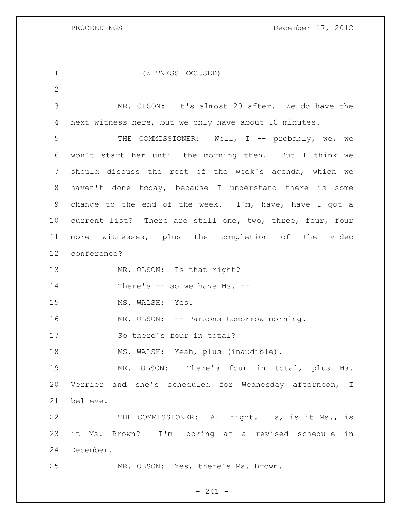PROCEEDINGS December 17, 2012

| $\mathbf 1$     | (WITNESS EXCUSED)                                         |
|-----------------|-----------------------------------------------------------|
| 2               |                                                           |
| 3               | MR. OLSON: It's almost 20 after. We do have the           |
| 4               | next witness here, but we only have about 10 minutes.     |
| 5               | THE COMMISSIONER: Well, I -- probably, we, we             |
| 6               | won't start her until the morning then. But I think we    |
| $7\phantom{.0}$ | should discuss the rest of the week's agenda, which we    |
| 8               | haven't done today, because I understand there is some    |
| 9               | change to the end of the week. I'm, have, have I got a    |
| 10              | current list? There are still one, two, three, four, four |
| 11              | more witnesses, plus the completion of the video          |
| 12 <sup>°</sup> | conference?                                               |
| 13              | MR. OLSON: Is that right?                                 |
| 14              | There's -- so we have Ms. --                              |
| 15              | MS. WALSH: Yes.                                           |
| 16              | MR. OLSON: -- Parsons tomorrow morning.                   |
| 17              | So there's four in total?                                 |
| 18              | MS. WALSH: Yeah, plus (inaudible).                        |
| 19              | MR. OLSON: There's four in total, plus Ms.                |
| 20              | Verrier and she's scheduled for Wednesday afternoon, I    |
| 21              | believe.                                                  |
| 22              | THE COMMISSIONER: All right. Is, is it Ms., is            |
| 23              | it Ms. Brown? I'm looking at a revised schedule<br>in     |
| 24              | December.                                                 |
| 25              | MR. OLSON: Yes, there's Ms. Brown.                        |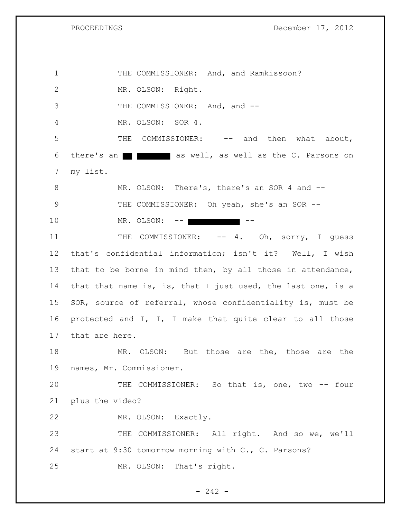1 THE COMMISSIONER: And, and Ramkissoon? 2 MR. OLSON: Right. 3 THE COMMISSIONER: And, and --4 MR. OLSON: SOR 4. 5 THE COMMISSIONER: -- and then what about, 6 there's an  $\blacksquare$   $\blacksquare$  as well, as well as the C. Parsons on 7 my list. 8 MR. OLSON: There's, there's an SOR 4 and --9 THE COMMISSIONER: Oh yeah, she's an SOR --10 MR. OLSON: --11 THE COMMISSIONER: -- 4. Oh, sorry, I guess 12 that's confidential information; isn't it? Well, I wish 13 that to be borne in mind then, by all those in attendance, 14 that that name is, is, that I just used, the last one, is a 15 SOR, source of referral, whose confidentiality is, must be 16 protected and I, I, I make that quite clear to all those 17 that are here. 18 MR. OLSON: But those are the, those are the 19 names, Mr. Commissioner. 20 THE COMMISSIONER: So that is, one, two -- four 21 plus the video? 22 MR. OLSON: Exactly. 23 THE COMMISSIONER: All right. And so we, we'll 24 start at 9:30 tomorrow morning with C., C. Parsons? 25 MR. OLSON: That's right.

 $- 242 -$